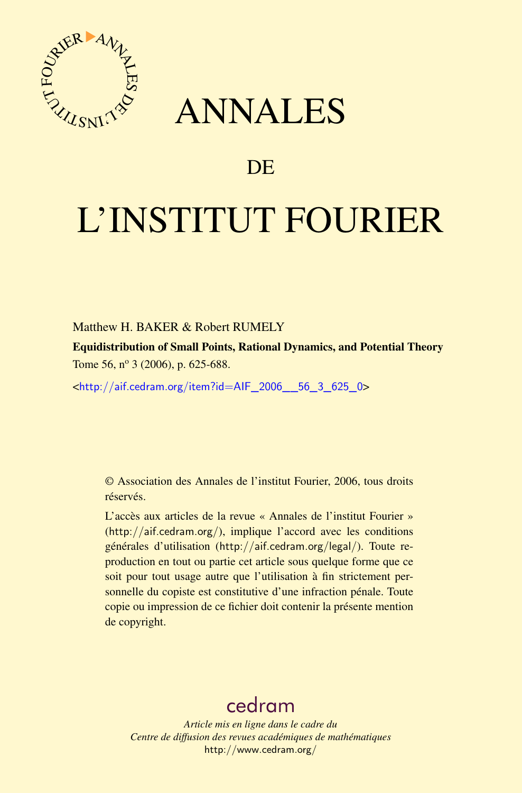

# ANNALES

# **DE**

# L'INSTITUT FOURIER

## Matthew H. BAKER & Robert RUMELY

Equidistribution of Small Points, Rational Dynamics, and Potential Theory Tome 56,  $n^{\circ}$  3 (2006), p. 625-688.

<[http://aif.cedram.org/item?id=AIF\\_2006\\_\\_56\\_3\\_625\\_0](http://aif.cedram.org/item?id=AIF_2006__56_3_625_0)>

© Association des Annales de l'institut Fourier, 2006, tous droits réservés.

L'accès aux articles de la revue « Annales de l'institut Fourier » (<http://aif.cedram.org/>), implique l'accord avec les conditions générales d'utilisation (<http://aif.cedram.org/legal/>). Toute reproduction en tout ou partie cet article sous quelque forme que ce soit pour tout usage autre que l'utilisation à fin strictement personnelle du copiste est constitutive d'une infraction pénale. Toute copie ou impression de ce fichier doit contenir la présente mention de copyright.

# [cedram](http://www.cedram.org/)

*Article mis en ligne dans le cadre du Centre de diffusion des revues académiques de mathématiques* <http://www.cedram.org/>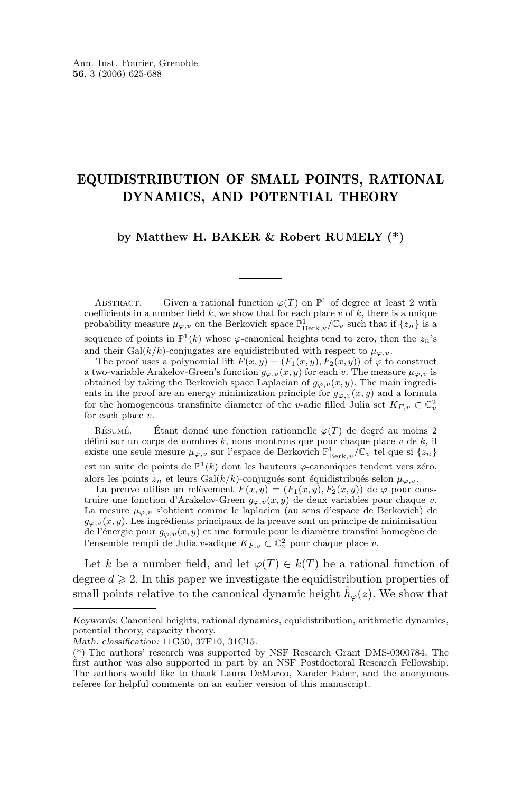# EQUIDISTRIBUTION OF SMALL POINTS, RATIONAL DYNAMICS, AND POTENTIAL THEORY

#### **by Matthew H. BAKER & Robert RUMELY (\*)**

ABSTRACT. — Given a rational function  $\varphi(T)$  on  $\mathbb{P}^1$  of degree at least 2 with coefficients in a number field  $k$ , we show that for each place  $v$  of  $k$ , there is a unique probability measure  $\mu_{\varphi, v}$  on the Berkovich space  $\mathbb{P}^1_{\operatorname{Berk},v}/\mathbb{C}_v$  such that if  $\{z_n\}$  is a sequence of points in  $\mathbb{P}^1(\overline{k})$  whose  $\varphi$ -canonical heights tend to zero, then the  $z_n$ 's and their Gal( $\overline{k}/k$ )-conjugates are equidistributed with respect to  $\mu_{\varphi,v}$ .

The proof uses a polynomial lift  $F(x, y) = (F_1(x, y), F_2(x, y))$  of  $\varphi$  to construct a two-variable Arakelov-Green's function  $g_{\varphi,v}(x, y)$  for each v. The measure  $\mu_{\varphi,v}$  is obtained by taking the Berkovich space Laplacian of  $g_{\varphi,v}(x, y)$ . The main ingredients in the proof are an energy minimization principle for  $g_{\varphi,v}(x, y)$  and a formula for the homogeneous transfinite diameter of the v-adic filled Julia set  $K_{F,v} \subset \mathbb{C}^2_v$ for each place  $v$ .

RÉSUMÉ. — Étant donné une fonction rationnelle  $\varphi(T)$  de degré au moins 2 défini sur un corps de nombres  $k$ , nous montrons que pour chaque place  $v$  de  $k$ , il existe une seule mesure  $\mu_{\varphi,v}$ sur l'espace de Berkovich $\mathbb{P}^1_{\operatorname{Berk},v}/\mathbb{C}_v$ tel que si $\{z_n\}$ est un suite de points de  $\mathbb{P}^1(\overline{k})$  dont les hauteurs  $\varphi$ -canoniques tendent vers zéro, alors les points  $z_n$  et leurs Gal( $\overline{k}/k$ )-conjugués sont équidistribués selon  $\mu_{\varphi, v}$ .

La preuve utilise un relèvement  $F(x, y) = (F_1(x, y), F_2(x, y))$  de  $\varphi$  pour construire une fonction d'Arakelov-Green  $g_{\varphi,v}(x, y)$  de deux variables pour chaque v. La mesure  $\mu_{\varphi, v}$  s'obtient comme le laplacien (au sens d'espace de Berkovich) de  $g_{\varphi,v}(x, y)$ . Les ingrédients principaux de la preuve sont un principe de minimisation de l'énergie pour  $g_{\varphi,v}(x, y)$  et une formule pour le diamètre transfini homogène de l'ensemble rempli de Julia v-adique  $K_{F,v} \subset \mathbb{C}^2_v$  pour chaque place v.

Let k be a number field, and let  $\varphi(T) \in k(T)$  be a rational function of degree  $d \geqslant 2$ . In this paper we investigate the equidistribution properties of small points relative to the canonical dynamic height  $\hat{h}_{\varphi}(z)$ . We show that

*Keywords:* Canonical heights, rational dynamics, equidistribution, arithmetic dynamics, potential theory, capacity theory.

*Math. classification:* 11G50, 37F10, 31C15.

<sup>(\*)</sup> The authors' research was supported by NSF Research Grant DMS-0300784. The first author was also supported in part by an NSF Postdoctoral Research Fellowship. The authors would like to thank Laura DeMarco, Xander Faber, and the anonymous referee for helpful comments on an earlier version of this manuscript.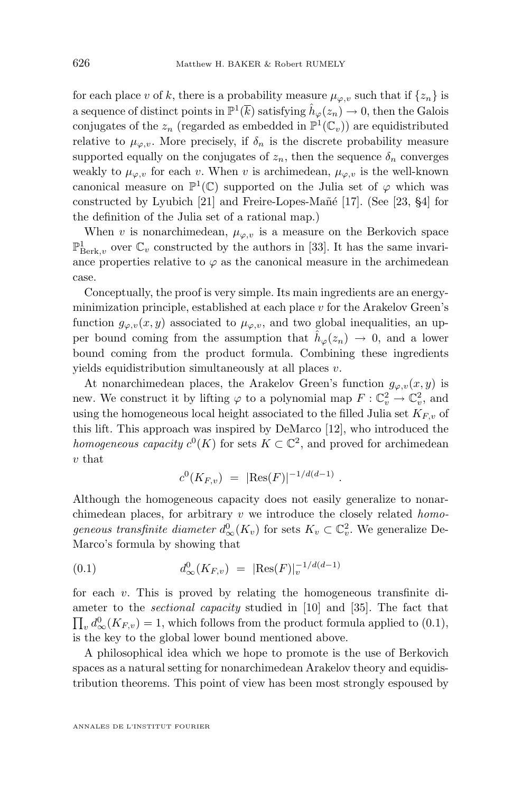for each place v of k, there is a probability measure  $\mu_{\varphi,v}$  such that if  $\{z_n\}$  is a sequence of distinct points in  $\mathbb{P}^1(\overline{k})$  satisfying  $\hat{h}_{\varphi}(z_n) \to 0$ , then the Galois conjugates of the  $z_n$  (regarded as embedded in  $\mathbb{P}^1(\mathbb{C}_v)$ ) are equidistributed relative to  $\mu_{\varphi,v}$ . More precisely, if  $\delta_n$  is the discrete probability measure supported equally on the conjugates of  $z_n$ , then the sequence  $\delta_n$  converges weakly to  $\mu_{\varphi,v}$  for each v. When v is archimedean,  $\mu_{\varphi,v}$  is the well-known canonical measure on  $\mathbb{P}^1(\mathbb{C})$  supported on the Julia set of  $\varphi$  which was constructed by Lyubich [\[21\]](#page-63-0) and Freire-Lopes-Mañé [\[17\]](#page-63-0). (See [\[23,](#page-63-0) §4] for the definition of the Julia set of a rational map.)

When v is nonarchimedean,  $\mu_{\varphi, v}$  is a measure on the Berkovich space  $\mathbb{P}^1_{\operatorname{Berk},v}$  over  $\mathbb{C}_v$  constructed by the authors in [\[33\]](#page-64-0). It has the same invariance properties relative to  $\varphi$  as the canonical measure in the archimedean case.

Conceptually, the proof is very simple. Its main ingredients are an energyminimization principle, established at each place  $v$  for the Arakelov Green's function  $g_{\varphi,v}(x, y)$  associated to  $\mu_{\varphi,v}$ , and two global inequalities, an upper bound coming from the assumption that  $\hat{h}_{\varphi}(z_n) \to 0$ , and a lower bound coming from the product formula. Combining these ingredients yields equidistribution simultaneously at all places v.

At nonarchimedean places, the Arakelov Green's function  $g_{\varphi,v}(x, y)$  is new. We construct it by lifting  $\varphi$  to a polynomial map  $F: \mathbb{C}_v^2 \to \mathbb{C}_v^2$ , and using the homogeneous local height associated to the filled Julia set  $K_{F,v}$  of this lift. This approach was inspired by DeMarco [\[12\]](#page-63-0), who introduced the *homogeneous capacity*  $c^0(K)$  for sets  $K \subset \mathbb{C}^2$ , and proved for archimedean v that

$$
c^0(K_{F,v}) = |\text{Res}(F)|^{-1/d(d-1)}.
$$

Although the homogeneous capacity does not easily generalize to nonarchimedean places, for arbitrary v we introduce the closely related *homogeneous transfinite diameter*  $d_{\infty}^{0}(K_v)$  for sets  $K_v \subset \mathbb{C}_v^2$ . We generalize De-Marco's formula by showing that

(0.1) 
$$
d_{\infty}^{0}(K_{F,v}) = |\text{Res}(F)|_{v}^{-1/d(d-1)}
$$

for each  $v$ . This is proved by relating the homogeneous transfinite diameter to the *sectional capacity* studied in [\[10\]](#page-63-0) and [\[35\]](#page-64-0). The fact that  $\prod_v d_{\infty}^0(K_{F,v}) = 1$ , which follows from the product formula applied to (0.1), is the key to the global lower bound mentioned above.

A philosophical idea which we hope to promote is the use of Berkovich spaces as a natural setting for nonarchimedean Arakelov theory and equidistribution theorems. This point of view has been most strongly espoused by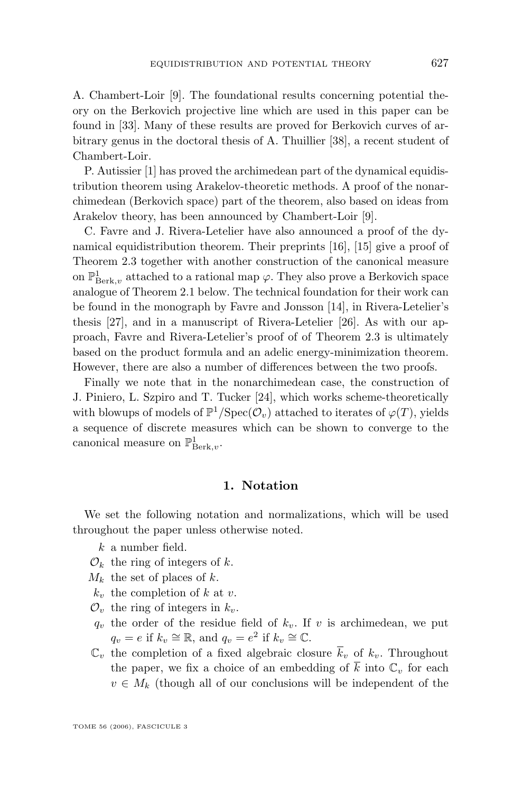A. Chambert-Loir [\[9\]](#page-63-0). The foundational results concerning potential theory on the Berkovich projective line which are used in this paper can be found in [\[33\]](#page-64-0). Many of these results are proved for Berkovich curves of arbitrary genus in the doctoral thesis of A. Thuillier [\[38\]](#page-64-0), a recent student of Chambert-Loir.

P. Autissier [\[1\]](#page-62-0) has proved the archimedean part of the dynamical equidistribution theorem using Arakelov-theoretic methods. A proof of the nonarchimedean (Berkovich space) part of the theorem, also based on ideas from Arakelov theory, has been announced by Chambert-Loir [\[9\]](#page-63-0).

C. Favre and J. Rivera-Letelier have also announced a proof of the dynamical equidistribution theorem. Their preprints [\[16\]](#page-63-0), [\[15\]](#page-63-0) give a proof of Theorem [2.3](#page-7-0) together with another construction of the canonical measure on  $\mathbb{P}^1_{\operatorname{Berk},v}$  attached to a rational map  $\varphi$ . They also prove a Berkovich space analogue of Theorem [2.1](#page-5-0) below. The technical foundation for their work can be found in the monograph by Favre and Jonsson [\[14\]](#page-63-0), in Rivera-Letelier's thesis [\[27\]](#page-63-0), and in a manuscript of Rivera-Letelier [\[26\]](#page-63-0). As with our approach, Favre and Rivera-Letelier's proof of of Theorem [2.3](#page-7-0) is ultimately based on the product formula and an adelic energy-minimization theorem. However, there are also a number of differences between the two proofs.

Finally we note that in the nonarchimedean case, the construction of J. Piniero, L. Szpiro and T. Tucker [\[24\]](#page-63-0), which works scheme-theoretically with blowups of models of  $\mathbb{P}^1/\text{Spec}(\mathcal{O}_v)$  attached to iterates of  $\varphi(T)$ , yields a sequence of discrete measures which can be shown to converge to the canonical measure on  $\mathbb{P}^1_{\operatorname{Berk},v}$ .

#### **1. Notation**

We set the following notation and normalizations, which will be used throughout the paper unless otherwise noted.

- $k$  a number field.
- $\mathcal{O}_k$  the ring of integers of k.
- $M_k$  the set of places of k.
- $k_v$  the completion of k at v.
- $\mathcal{O}_v$  the ring of integers in  $k_v$ .
- $q_v$  the order of the residue field of  $k_v$ . If v is archimedean, we put  $q_v = e$  if  $k_v \cong \mathbb{R}$ , and  $q_v = e^2$  if  $k_v \cong \mathbb{C}$ .
- $\mathbb{C}_v$  the completion of a fixed algebraic closure  $\overline{k}_v$  of  $k_v$ . Throughout the paper, we fix a choice of an embedding of  $\overline{k}$  into  $\mathbb{C}_v$  for each  $v \in M_k$  (though all of our conclusions will be independent of the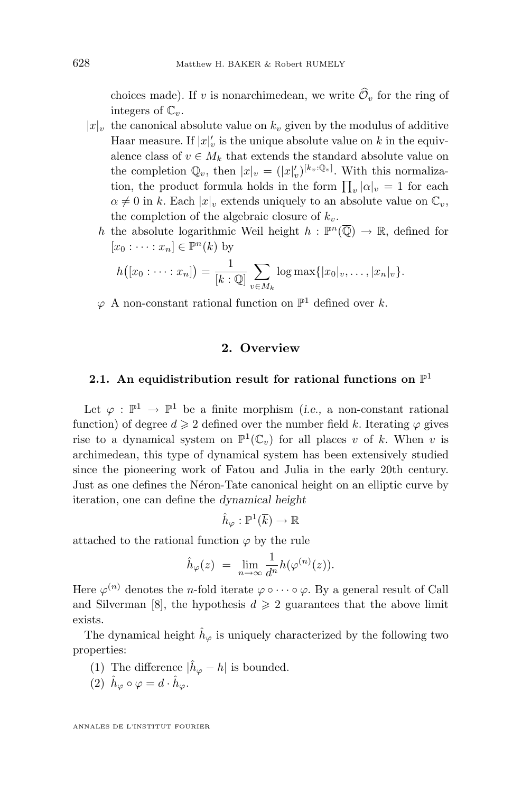<span id="page-4-0"></span>choices made). If v is nonarchimedean, we write  $\widehat{\mathcal{O}}_v$  for the ring of integers of  $\mathbb{C}_v$ .

- $|x|_v$  the canonical absolute value on  $k_v$  given by the modulus of additive Haar measure. If  $|x|'_v$  is the unique absolute value on k in the equivalence class of  $v \in M_k$  that extends the standard absolute value on the completion  $\mathbb{Q}_v$ , then  $|x|_v = (|x|_v')^{[k_v:\mathbb{Q}_v]}$ . With this normalization, the product formula holds in the form  $\prod_{v} |\alpha|_{v} = 1$  for each  $\alpha \neq 0$  in k. Each  $|x|_v$  extends uniquely to an absolute value on  $\mathbb{C}_v$ , the completion of the algebraic closure of  $k_v$ .
	- h the absolute logarithmic Weil height  $h : \mathbb{P}^n(\overline{\mathbb{Q}}) \to \mathbb{R}$ , defined for  $[x_0 : \cdots : x_n] \in \mathbb{P}^n(k)$  by

$$
h([x_0:\dots:x_n])=\frac{1}{[k:\mathbb{Q}]}\sum_{v\in M_k}\log\max\{|x_0|_v,\dots,|x_n|_v\}.
$$

 $\varphi$  A non-constant rational function on  $\mathbb{P}^1$  defined over k.

#### **2. Overview**

### **2.1. An equidistribution result for rational functions on** P 1

Let  $\varphi : \mathbb{P}^1 \to \mathbb{P}^1$  be a finite morphism (*i.e.*, a non-constant rational function) of degree  $d \geq 2$  defined over the number field k. Iterating  $\varphi$  gives rise to a dynamical system on  $\mathbb{P}^1(\mathbb{C}_v)$  for all places v of k. When v is archimedean, this type of dynamical system has been extensively studied since the pioneering work of Fatou and Julia in the early 20th century. Just as one defines the Néron-Tate canonical height on an elliptic curve by iteration, one can define the *dynamical height*

 $\hat{h}_{\varphi}:\mathbb{P}^1(\overline{k})\to\mathbb{R}$ 

attached to the rational function  $\varphi$  by the rule

$$
\hat{h}_{\varphi}(z) = \lim_{n \to \infty} \frac{1}{d^n} h(\varphi^{(n)}(z)).
$$

Here  $\varphi^{(n)}$  denotes the *n*-fold iterate  $\varphi \circ \cdots \circ \varphi$ . By a general result of Call and Silverman [\[8\]](#page-63-0), the hypothesis  $d \geq 2$  guarantees that the above limit exists.

The dynamical height  $\hat{h}_{\varphi}$  is uniquely characterized by the following two properties:

- (1) The difference  $|\hat{h}_{\varphi} h|$  is bounded.
- (2)  $\hat{h}_{\varphi} \circ \varphi = d \cdot \hat{h}_{\varphi}$ .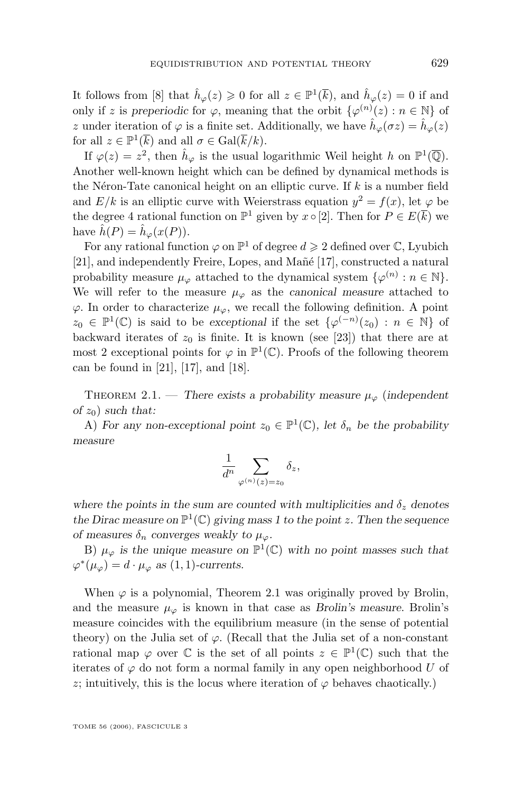<span id="page-5-0"></span>It follows from [\[8\]](#page-63-0) that  $\hat{h}_{\varphi}(z) \geq 0$  for all  $z \in \mathbb{P}^1(\overline{k})$ , and  $\hat{h}_{\varphi}(z) = 0$  if and only if z is preperiodic for  $\varphi$ , meaning that the orbit  $\{\varphi^{(n)}(z) : n \in \mathbb{N}\}\$  of z under iteration of  $\varphi$  is a finite set. Additionally, we have  $\hat{h}_{\varphi}(\sigma z) = \hat{h}_{\varphi}(z)$ for all  $z \in \mathbb{P}^1(\overline{k})$  and all  $\sigma \in \text{Gal}(\overline{k}/k)$ .

If  $\varphi(z) = z^2$ , then  $\hat{h}_{\varphi}$  is the usual logarithmic Weil height h on  $\mathbb{P}^1(\overline{\mathbb{Q}})$ . Another well-known height which can be defined by dynamical methods is the Néron-Tate canonical height on an elliptic curve. If  $k$  is a number field and  $E/k$  is an elliptic curve with Weierstrass equation  $y^2 = f(x)$ , let  $\varphi$  be the degree 4 rational function on  $\mathbb{P}^1$  given by  $x \circ [2]$ . Then for  $P \in E(\overline{k})$  we have  $\hat{h}(P) = \hat{h}_{\varphi}(x(P)).$ 

For any rational function  $\varphi$  on  $\mathbb{P}^1$  of degree  $d \geq 2$  defined over  $\mathbb{C}$ , Lyubich [\[21\]](#page-63-0), and independently Freire, Lopes, and Mañé [\[17\]](#page-63-0), constructed a natural probability measure  $\mu_{\varphi}$  attached to the dynamical system  $\{\varphi^{(n)} : n \in \mathbb{N}\}.$ We will refer to the measure  $\mu_{\varphi}$  as the *canonical measure* attached to  $\varphi$ . In order to characterize  $\mu_{\varphi}$ , we recall the following definition. A point  $z_0 \in \mathbb{P}^1(\mathbb{C})$  is said to be exceptional if the set  $\{\varphi^{(-n)}(z_0) : n \in \mathbb{N}\}\$  of backward iterates of  $z_0$  is finite. It is known (see [\[23\]](#page-63-0)) that there are at most 2 exceptional points for  $\varphi$  in  $\mathbb{P}^1(\mathbb{C})$ . Proofs of the following theorem can be found in [\[21\]](#page-63-0), [\[17\]](#page-63-0), and [\[18\]](#page-63-0).

THEOREM 2.1. — *There exists a probability measure*  $\mu_{\varphi}$  (*independent*  $of z<sub>0</sub>$ *such that:* 

A) For any non-exceptional point  $z_0 \in \mathbb{P}^1(\mathbb{C})$ , let  $\delta_n$  be the probability *measure*

$$
\frac{1}{d^n}\sum_{\varphi^{(n)}(z)=z_0}\delta_z,
$$

*where the points in the sum are counted with multiplicities and*  $\delta_z$  *denotes* the Dirac measure on  $\mathbb{P}^1(\mathbb{C})$  giving mass 1 to the point z. Then the sequence *of measures*  $\delta_n$  *converges weakly to*  $\mu_\varphi$ *.* 

B)  $\mu_{\varphi}$  is the unique measure on  $\mathbb{P}^1(\mathbb{C})$  with no point masses such that  $\varphi^*(\mu_{\varphi}) = d \cdot \mu_{\varphi}$  as (1, 1)-currents.

When  $\varphi$  is a polynomial, Theorem 2.1 was originally proved by Brolin, and the measure  $\mu_{\varphi}$  is known in that case as *Brolin's measure*. Brolin's measure coincides with the equilibrium measure (in the sense of potential theory) on the Julia set of  $\varphi$ . (Recall that the Julia set of a non-constant rational map  $\varphi$  over  $\mathbb C$  is the set of all points  $z \in \mathbb P^1(\mathbb C)$  such that the iterates of  $\varphi$  do not form a normal family in any open neighborhood U of z; intuitively, this is the locus where iteration of  $\varphi$  behaves chaotically.)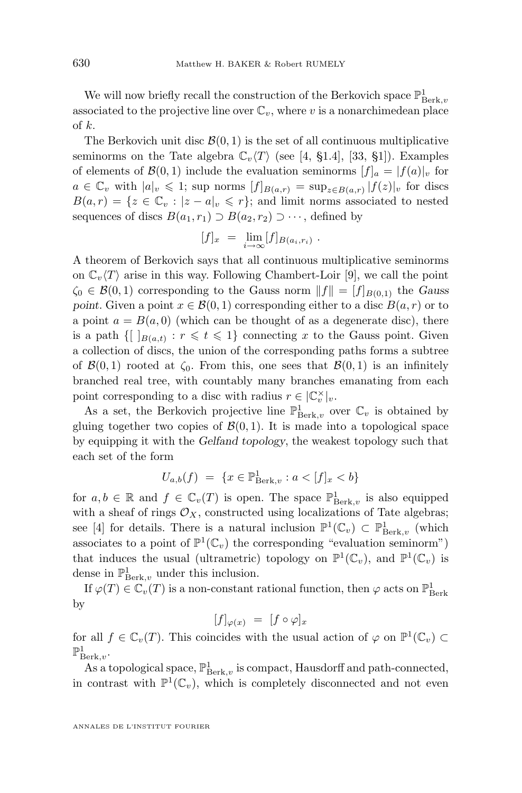We will now briefly recall the construction of the Berkovich space  $\mathbb{P}^1_{\operatorname{Berk},v}$ associated to the projective line over  $\mathbb{C}_v$ , where v is a nonarchimedean place of k.

The Berkovich unit disc  $\mathcal{B}(0,1)$  is the set of all continuous multiplicative seminorms on the Tate algebra  $\mathbb{C}_v\langle T\rangle$  (see [\[4,](#page-63-0) §1.4], [\[33,](#page-64-0) §1]). Examples of elements of  $\mathcal{B}(0,1)$  include the evaluation seminorms  $[f]_a = [f(a)]_v$  for  $a \in \mathbb{C}_v$  with  $|a|_v \leq 1$ ; sup norms  $[f]_{B(a,r)} = \sup_{z \in B(a,r)} |f(z)|_v$  for discs  $B(a,r) = \{z \in \mathbb{C}_v : |z - a|_v \leqslant r\};$  and limit norms associated to nested sequences of discs  $B(a_1, r_1) \supset B(a_2, r_2) \supset \cdots$ , defined by

$$
[f]_x = \lim_{i \to \infty} [f]_{B(a_i, r_i)}.
$$

A theorem of Berkovich says that all continuous multiplicative seminorms on  $\mathbb{C}_v \langle T \rangle$  arise in this way. Following Chambert-Loir [\[9\]](#page-63-0), we call the point  $\zeta_0 \in \mathcal{B}(0,1)$  corresponding to the Gauss norm  $||f|| = [f]_{B(0,1)}$  the *Gauss point.* Given a point  $x \in \mathcal{B}(0,1)$  corresponding either to a disc  $B(a,r)$  or to a point  $a = B(a, 0)$  (which can be thought of as a degenerate disc), there is a path  $\{[\ ]_{B(a,t)} : r \leq t \leq 1\}$  connecting x to the Gauss point. Given a collection of discs, the union of the corresponding paths forms a subtree of  $\mathcal{B}(0,1)$  rooted at  $\zeta_0$ . From this, one sees that  $\mathcal{B}(0,1)$  is an infinitely branched real tree, with countably many branches emanating from each point corresponding to a disc with radius  $r \in |\mathbb{C}_v^{\times}|_v$ .

As a set, the Berkovich projective line  $\mathbb{P}^1_{\operatorname{Berk},v}$  over  $\mathbb{C}_v$  is obtained by gluing together two copies of  $\mathcal{B}(0, 1)$ . It is made into a topological space by equipping it with the *Gelfand topology*, the weakest topology such that each set of the form

$$
U_{a,b}(f) = \{ x \in \mathbb{P}^1_{\operatorname{Berk},v} : a < [f]_x < b \}
$$

for  $a, b \in \mathbb{R}$  and  $f \in \mathbb{C}_v(T)$  is open. The space  $\mathbb{P}^1_{\operatorname{Berk},v}$  is also equipped with a sheaf of rings  $\mathcal{O}_X$ , constructed using localizations of Tate algebras; see [\[4\]](#page-63-0) for details. There is a natural inclusion  $\mathbb{P}^1(\mathbb{C}_v) \subset \mathbb{P}^1_{\text{Berk},v}$  (which associates to a point of  $\mathbb{P}^1(\mathbb{C}_v)$  the corresponding "evaluation seminorm") that induces the usual (ultrametric) topology on  $\mathbb{P}^1(\mathbb{C}_v)$ , and  $\mathbb{P}^1(\mathbb{C}_v)$  is dense in  $\mathbb{P}^1_{\operatorname{Berk},v}$  under this inclusion.

If  $\varphi(T) \in \mathbb{C}_v(T)$  is a non-constant rational function, then  $\varphi$  acts on  $\mathbb{P}^1_{\operatorname{Berk}}$ by

$$
[f]_{\varphi(x)} = [f \circ \varphi]_x
$$

for all  $f \in \mathbb{C}_v(T)$ . This coincides with the usual action of  $\varphi$  on  $\mathbb{P}^1(\mathbb{C}_v) \subset$  $\mathbb{P}^1_{\operatorname{Berk},v}.$ 

As a topological space,  $\mathbb{P}^1_{\operatorname{Berk},v}$  is compact, Hausdorff and path-connected, in contrast with  $\mathbb{P}^1(\mathbb{C}_v)$ , which is completely disconnected and not even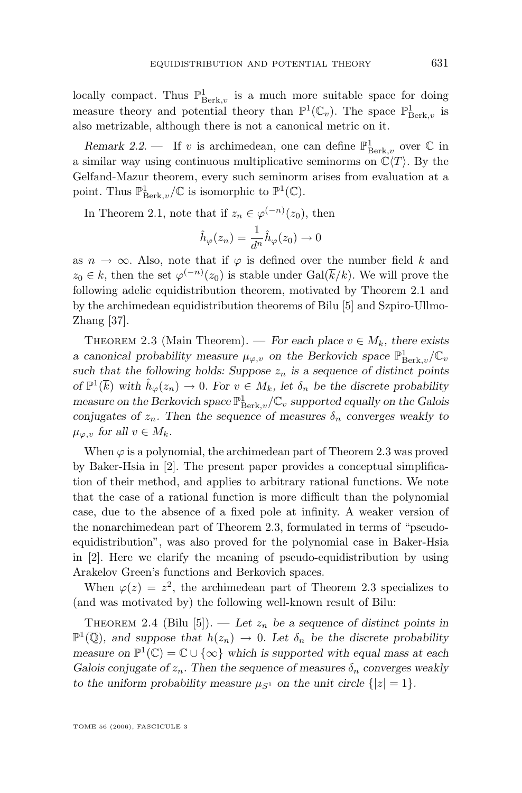<span id="page-7-0"></span>locally compact. Thus  $\mathbb{P}^1_{\operatorname{Berk},v}$  is a much more suitable space for doing measure theory and potential theory than  $\mathbb{P}^1(\mathbb{C}_v)$ . The space  $\mathbb{P}^1_{\operatorname{Berk},v}$  is also metrizable, although there is not a canonical metric on it.

*Remark 2.2.* — If v is archimedean, one can define  $\mathbb{P}^1_{\text{Berk},v}$  over  $\mathbb C$  in a similar way using continuous multiplicative seminorms on  $\mathbb{C}\langle T \rangle$ . By the Gelfand-Mazur theorem, every such seminorm arises from evaluation at a point. Thus  $\mathbb{P}^1_{\operatorname{Berk},v}/\mathbb{C}$  is isomorphic to  $\mathbb{P}^1(\mathbb{C})$ .

In Theorem [2.1,](#page-5-0) note that if  $z_n \in \varphi^{(-n)}(z_0)$ , then

$$
\hat{h}_{\varphi}(z_n) = \frac{1}{d^n} \hat{h}_{\varphi}(z_0) \to 0
$$

as  $n \to \infty$ . Also, note that if  $\varphi$  is defined over the number field k and  $z_0 \in k$ , then the set  $\varphi^{(-n)}(z_0)$  is stable under  $Gal(\overline{k}/k)$ . We will prove the following adelic equidistribution theorem, motivated by Theorem [2.1](#page-5-0) and by the archimedean equidistribution theorems of Bilu [\[5\]](#page-63-0) and Szpiro-Ullmo-Zhang [\[37\]](#page-64-0).

THEOREM 2.3 (Main Theorem). — *For each place*  $v \in M_k$ *, there exists a* canonical probability measure  $\mu_{\varphi, v}$  on the Berkovich space  $\mathbb{P}^1_{\operatorname{Berk},v}/\mathbb{C}_v$ such that the following holds: Suppose  $z_n$  is a sequence of distinct points *of*  $\mathbb{P}^1(\overline{k})$  *with*  $\hat{h}_{\varphi}(z_n) \to 0$ *. For*  $v \in M_k$ *, let*  $\delta_n$  *be the discrete probability measure on the Berkovich space*  $\mathbb{P}^1_{\operatorname{Berk},v}/\mathbb{C}_v$  *supported equally on the Galois conjugates of*  $z_n$ *. Then the sequence of measures*  $\delta_n$  *converges weakly to*  $\mu_{\varphi,v}$  for all  $v \in M_k$ .

When  $\varphi$  is a polynomial, the archimedean part of Theorem 2.3 was proved by Baker-Hsia in [\[2\]](#page-62-0). The present paper provides a conceptual simplification of their method, and applies to arbitrary rational functions. We note that the case of a rational function is more difficult than the polynomial case, due to the absence of a fixed pole at infinity. A weaker version of the nonarchimedean part of Theorem 2.3, formulated in terms of "pseudoequidistribution", was also proved for the polynomial case in Baker-Hsia in [\[2\]](#page-62-0). Here we clarify the meaning of pseudo-equidistribution by using Arakelov Green's functions and Berkovich spaces.

When  $\varphi(z) = z^2$ , the archimedean part of Theorem 2.3 specializes to (and was motivated by) the following well-known result of Bilu:

THEOREM 2.4 (Bilu [\[5\]](#page-63-0)). — Let  $z_n$  be a sequence of distinct points in  $\mathbb{P}^1(\overline{\mathbb{Q}})$ , and suppose that  $h(z_n) \to 0$ . Let  $\delta_n$  be the discrete probability *measure on*  $\mathbb{P}^1(\mathbb{C}) = \mathbb{C} \cup \{\infty\}$  *which is supported with equal mass at each Galois conjugate of*  $z_n$ . Then the sequence of measures  $\delta_n$  converges weakly *to the uniform probability measure*  $\mu_{S^1}$  *on the unit circle*  $\{|z|=1\}$ *.*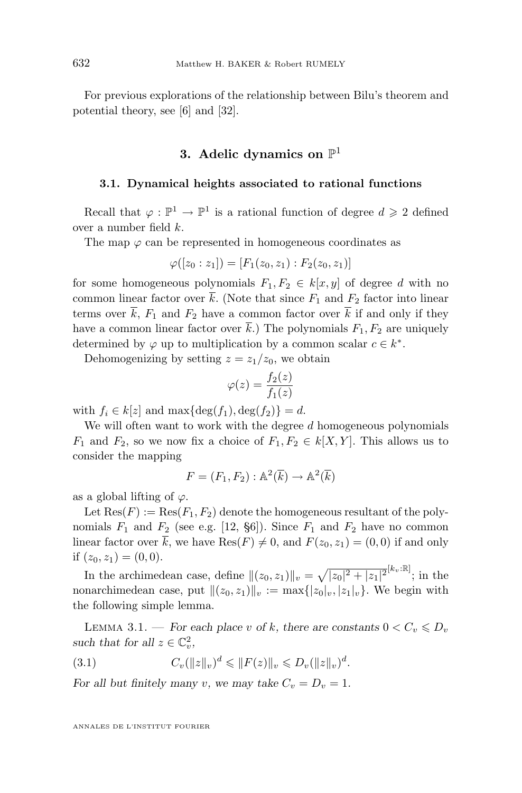<span id="page-8-0"></span>For previous explorations of the relationship between Bilu's theorem and potential theory, see [\[6\]](#page-63-0) and [\[32\]](#page-64-0).

## **3. Adelic dynamics on** P 1

#### **3.1. Dynamical heights associated to rational functions**

Recall that  $\varphi : \mathbb{P}^1 \to \mathbb{P}^1$  is a rational function of degree  $d \geq 2$  defined over a number field k.

The map  $\varphi$  can be represented in homogeneous coordinates as

$$
\varphi([z_0:z_1]) = [F_1(z_0,z_1):F_2(z_0,z_1)]
$$

for some homogeneous polynomials  $F_1, F_2 \in k[x, y]$  of degree d with no common linear factor over  $\bar{k}$ . (Note that since  $F_1$  and  $F_2$  factor into linear terms over  $\overline{k}$ ,  $F_1$  and  $F_2$  have a common factor over  $\overline{k}$  if and only if they have a common linear factor over  $\bar{k}$ .) The polynomials  $F_1, F_2$  are uniquely determined by  $\varphi$  up to multiplication by a common scalar  $c \in k^*$ .

Dehomogenizing by setting  $z = z_1/z_0$ , we obtain

$$
\varphi(z) = \frac{f_2(z)}{f_1(z)}
$$

with  $f_i \in k[z]$  and  $\max{\deg(f_1), \deg(f_2)} = d$ .

We will often want to work with the degree  $d$  homogeneous polynomials  $F_1$  and  $F_2$ , so we now fix a choice of  $F_1, F_2 \in k[X, Y]$ . This allows us to consider the mapping

$$
F = (F_1, F_2) : \mathbb{A}^2(\overline{k}) \to \mathbb{A}^2(\overline{k})
$$

as a global lifting of  $\varphi$ .

Let  $\text{Res}(F) := \text{Res}(F_1, F_2)$  denote the homogeneous resultant of the polynomials  $F_1$  and  $F_2$  (see e.g. [\[12,](#page-63-0) §6]). Since  $F_1$  and  $F_2$  have no common linear factor over  $\overline{k}$ , we have  $\text{Res}(F) \neq 0$ , and  $F(z_0, z_1) = (0, 0)$  if and only if  $(z_0, z_1) = (0, 0)$ .

In the archimedean case, define  $||(z_0, z_1)||_v = \sqrt{|z_0|^2 + |z_1|^2}^{[k_v : \mathbb{R}]}$ ; in the nonarchimedean case, put  $\|(z_0, z_1)\|_v := \max\{|z_0|_v, |z_1|_v\}$ . We begin with the following simple lemma.

LEMMA 3.1. — For each place v of k, there are constants  $0 < C_v \le D_v$ such that for all  $z \in \mathbb{C}_v^2$ ,

(3.1) 
$$
C_v(||z||_v)^d \leq ||F(z)||_v \leq D_v(||z||_v)^d.
$$

*For all but finitely many v, we may take*  $C_v = D_v = 1$ *.*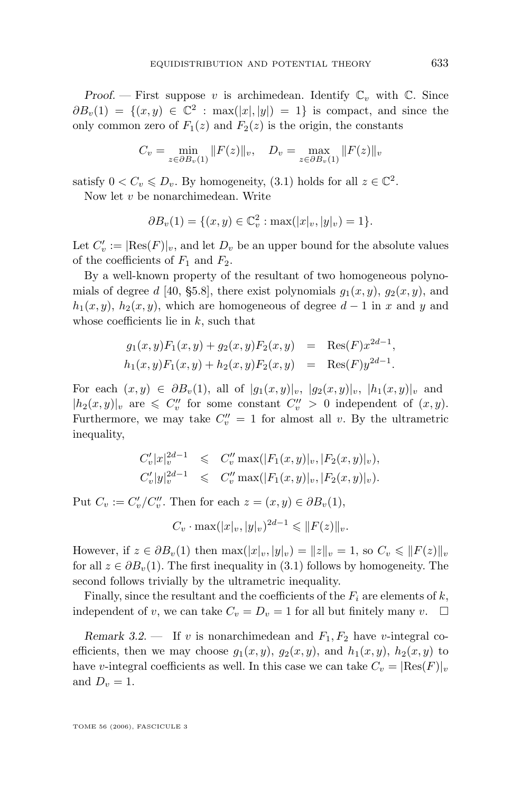<span id="page-9-0"></span>*Proof.* — First suppose v is archimedean. Identify  $\mathbb{C}_v$  with  $\mathbb{C}$ . Since  $\partial B_v(1) = \{(x, y) \in \mathbb{C}^2 : \max(|x|, |y|) = 1\}$  is compact, and since the only common zero of  $F_1(z)$  and  $F_2(z)$  is the origin, the constants

$$
C_v = \min_{z \in \partial B_v(1)} \|F(z)\|_v, \quad D_v = \max_{z \in \partial B_v(1)} \|F(z)\|_v
$$

satisfy  $0 < C_v \le D_v$ . By homogeneity, [\(3.1\)](#page-8-0) holds for all  $z \in \mathbb{C}^2$ .

Now let v be nonarchimedean. Write

$$
\partial B_v(1) = \{(x, y) \in \mathbb{C}_v^2 : \max(|x|_v, |y|_v) = 1\}.
$$

Let  $C'_v := |\text{Res}(F)|_v$ , and let  $D_v$  be an upper bound for the absolute values of the coefficients of  $F_1$  and  $F_2$ .

By a well-known property of the resultant of two homogeneous polyno-mials of degree d [\[40,](#page-64-0) §5.8], there exist polynomials  $g_1(x, y)$ ,  $g_2(x, y)$ , and  $h_1(x, y)$ ,  $h_2(x, y)$ , which are homogeneous of degree  $d-1$  in x and y and whose coefficients lie in  $k$ , such that

$$
g_1(x, y)F_1(x, y) + g_2(x, y)F_2(x, y) = \text{Res}(F)x^{2d-1},
$$
  

$$
h_1(x, y)F_1(x, y) + h_2(x, y)F_2(x, y) = \text{Res}(F)y^{2d-1}.
$$

For each  $(x, y) \in \partial B_v(1)$ , all of  $|g_1(x, y)|_v$ ,  $|g_2(x, y)|_v$ ,  $|h_1(x, y)|_v$  and  $|h_2(x, y)|_v$  are  $\leqslant C''_v$  for some constant  $C''_v > 0$  independent of  $(x, y)$ . Furthermore, we may take  $C_v'' = 1$  for almost all v. By the ultrametric inequality,

$$
C'_{v}|x|_{v}^{2d-1} \leq C''_{v} \max(|F_{1}(x,y)|_{v}, |F_{2}(x,y)|_{v}),
$$
  
\n
$$
C'_{v}|y|_{v}^{2d-1} \leq C''_{v} \max(|F_{1}(x,y)|_{v}, |F_{2}(x,y)|_{v}).
$$

Put  $C_v := C_v'/C_v''$ . Then for each  $z = (x, y) \in \partial B_v(1)$ ,

$$
C_v \cdot \max(|x|_v, |y|_v)^{2d-1} \leq ||F(z)||_v.
$$

However, if  $z \in \partial B_v(1)$  then  $\max(|x|_v, |y|_v) = ||z||_v = 1$ , so  $C_v \le ||F(z)||_v$ for all  $z \in \partial B_v(1)$ . The first inequality in [\(3.1\)](#page-8-0) follows by homogeneity. The second follows trivially by the ultrametric inequality.

Finally, since the resultant and the coefficients of the  $F_i$  are elements of  $k$ , independent of v, we can take  $C_v = D_v = 1$  for all but finitely many v.  $\Box$ 

*Remark 3.2.* — If v is nonarchimedean and  $F_1, F_2$  have v-integral coefficients, then we may choose  $g_1(x, y)$ ,  $g_2(x, y)$ , and  $h_1(x, y)$ ,  $h_2(x, y)$  to have v-integral coefficients as well. In this case we can take  $C_v = |\text{Res}(F)|_v$ and  $D_v = 1$ .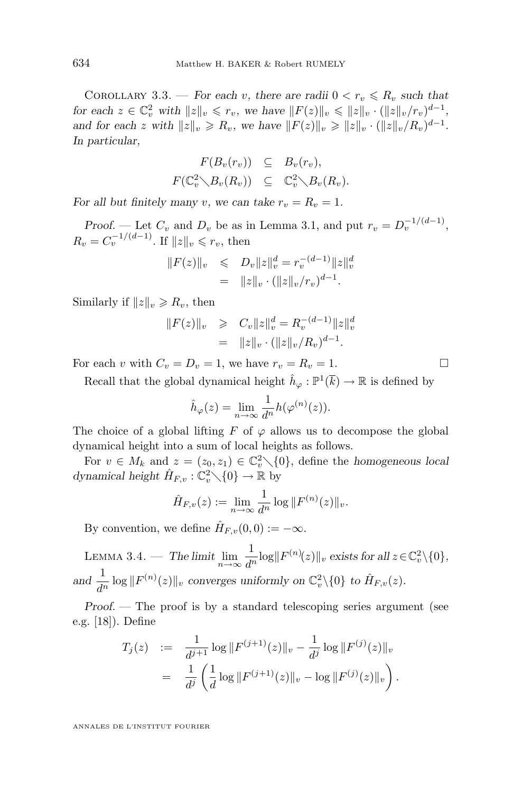COROLLARY 3.3. — *For each* v, there are radii  $0 < r_v \le R_v$  *such that for each*  $z \in \mathbb{C}_v^2$  *with*  $||z||_v \leq r_v$ , we have  $||F(z)||_v \leq ||z||_v \cdot (||z||_v/r_v)^{d-1}$ , *and for each* z *with*  $||z||_v \ge R_v$ , we have  $||F(z)||_v \ge ||z||_v \cdot (||z||_v/R_v)^{d-1}$ . *In particular,*

$$
F(B_v(r_v)) \subseteq B_v(r_v),
$$
  

$$
F(\mathbb{C}_v^2 \setminus B_v(R_v)) \subseteq \mathbb{C}_v^2 \setminus B_v(R_v).
$$

*For all but finitely many v*, we can take  $r_v = R_v = 1$ .

*Proof.* — Let  $C_v$  and  $D_v$  be as in Lemma [3.1,](#page-8-0) and put  $r_v = D_v^{-1/(d-1)}$ ,  $R_v = C_v^{-1/(d-1)}$ . If  $||z||_v \le r_v$ , then

$$
||F(z)||_v \leq D_v ||z||_v^d = r_v^{-(d-1)} ||z||_v^d
$$
  
=  $||z||_v \cdot (||z||_v/r_v)^{d-1}$ .

Similarly if  $||z||_v \ge R_v$ , then

$$
||F(z)||_{v} \geq C_{v}||z||_{v}^{d} = R_{v}^{-(d-1)}||z||_{v}^{d}
$$
  
=  $||z||_{v} \cdot (||z||_{v}/R_{v})^{d-1}$ .

For each v with  $C_v = D_v = 1$ , we have  $r_v = R_v = 1$ .

Recall that the global dynamical height  $\hat{h}_{\varphi}: \mathbb{P}^1(\overline{k}) \to \mathbb{R}$  is defined by

$$
\hat{h}_{\varphi}(z) = \lim_{n \to \infty} \frac{1}{d^n} h(\varphi^{(n)}(z)).
$$

The choice of a global lifting F of  $\varphi$  allows us to decompose the global dynamical height into a sum of local heights as follows.

For  $v \in M_k$  and  $z = (z_0, z_1) \in \mathbb{C}_v^2 \setminus \{0\}$ , define the *homogeneous local* dynamical height  $\hat{H}_{F,v} : \mathbb{C}_v^2 \setminus \{0\} \to \mathbb{R}$  by

$$
\hat{H}_{F,v}(z) := \lim_{n \to \infty} \frac{1}{d^n} \log \| F^{(n)}(z) \|_v.
$$

By convention, we define  $\hat{H}_{F,v}(0,0) := -\infty$ .

LEMMA 3.4. — The limit  $\lim_{n\to\infty}\frac{1}{d^n}$  $\frac{1}{d^n} \log ||F^{(n)}(z)||_v$  exists for all  $z \in \mathbb{C}^2_v \backslash \{0\},$ and  $\frac{1}{d^n} \log ||F^{(n)}(z)||_v$  converges uniformly on  $\mathbb{C}_v^2 \setminus \{0\}$  to  $\hat{H}_{F,v}(z)$ *.* 

*Proof.* — The proof is by a standard telescoping series argument (see e.g. [\[18\]](#page-63-0)). Define

$$
T_j(z) := \frac{1}{d^{j+1}} \log ||F^{(j+1)}(z)||_v - \frac{1}{d^j} \log ||F^{(j)}(z)||_v
$$
  
= 
$$
\frac{1}{d^j} \left( \frac{1}{d} \log ||F^{(j+1)}(z)||_v - \log ||F^{(j)}(z)||_v \right).
$$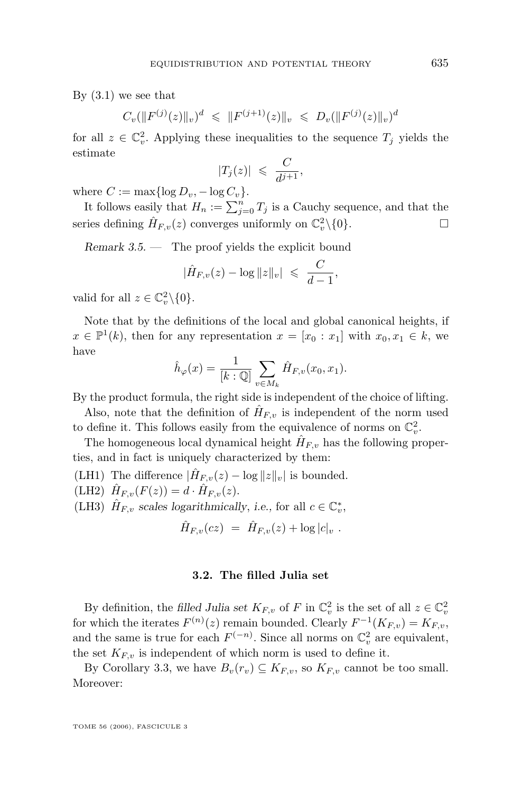<span id="page-11-0"></span>By  $(3.1)$  we see that

 $C_v(\|F^{(j)}(z)\|_v)^d \ \leqslant \ \|F^{(j+1)}(z)\|_v \ \leqslant \ D_v(\|F^{(j)}(z)\|_v)^d$ 

for all  $z \in \mathbb{C}_v^2$ . Applying these inequalities to the sequence  $T_j$  yields the estimate

$$
|T_j(z)| \leqslant \frac{C}{d^{j+1}},
$$

where  $C := \max\{\log D_v, -\log C_v\}.$ 

It follows easily that  $H_n := \sum_{j=0}^n T_j$  is a Cauchy sequence, and that the series defining  $\hat{H}_{F,v}(z)$  converges uniformly on  $\mathbb{C}_v^2 \setminus \{0\}.$ 

*Remark 3.5. —* The proof yields the explicit bound

$$
|\hat{H}_{F,v}(z) - \log ||z||_v| \leq C \frac{C}{d-1},
$$

valid for all  $z \in \mathbb{C}_v^2 \backslash \{0\}.$ 

Note that by the definitions of the local and global canonical heights, if  $x \in \mathbb{P}^1(k)$ , then for any representation  $x = [x_0 : x_1]$  with  $x_0, x_1 \in k$ , we have

$$
\hat{h}_{\varphi}(x) = \frac{1}{[k:\mathbb{Q}]} \sum_{v \in M_k} \hat{H}_{F,v}(x_0, x_1).
$$

By the product formula, the right side is independent of the choice of lifting.

Also, note that the definition of  $\hat{H}_{F,v}$  is independent of the norm used to define it. This follows easily from the equivalence of norms on  $\mathbb{C}_v^2$ .

The homogeneous local dynamical height  $\hat{H}_{F,v}$  has the following properties, and in fact is uniquely characterized by them:

(LH1) The difference  $|\hat{H}_{F,v}(z) - \log ||z||_v|$  is bounded.

(LH2)  $\hat{H}_{F,v}(F(z)) = d \cdot \hat{H}_{F,v}(z)$ .

(LH3)  $\hat{H}_{F,v}$  scales logarithmically, i.e., for all  $c \in \mathbb{C}_v^*$ ,

$$
\hat{H}_{F,v}(cz) = \hat{H}_{F,v}(z) + \log|c|_v.
$$

#### **3.2. The filled Julia set**

By definition, the *filled Julia set*  $K_{F,v}$  of F in  $\mathbb{C}_v^2$  is the set of all  $z \in \mathbb{C}_v^2$ for which the iterates  $F^{(n)}(z)$  remain bounded. Clearly  $F^{-1}(K_{F,v}) = K_{F,v}$ , and the same is true for each  $F^{(-n)}$ . Since all norms on  $\mathbb{C}_v^2$  are equivalent, the set  $K_{F,v}$  is independent of which norm is used to define it.

By Corollary [3.3,](#page-9-0) we have  $B_v(r_v) \subseteq K_{F,v}$ , so  $K_{F,v}$  cannot be too small. Moreover: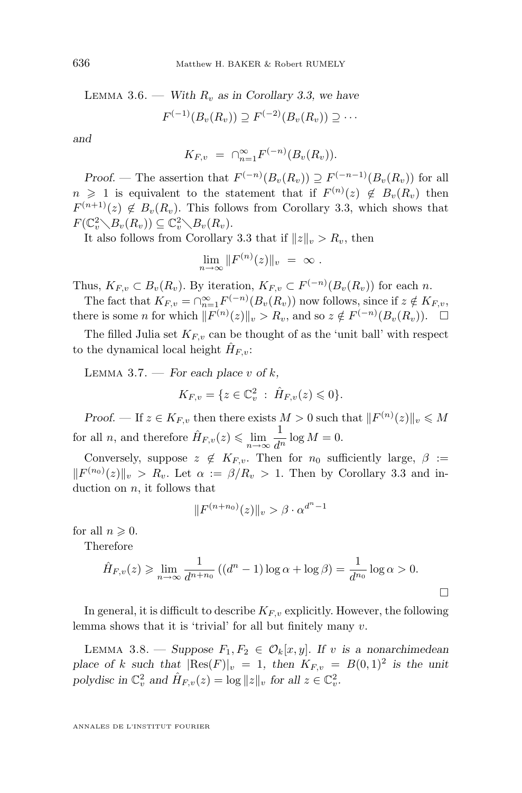LEMMA 3.6. — *With*  $R_v$  *as in Corollary [3.3,](#page-9-0) we have* 

$$
F^{(-1)}(B_v(R_v)) \supseteq F^{(-2)}(B_v(R_v)) \supseteq \cdots
$$

*and*

$$
K_{F,v} = \bigcap_{n=1}^{\infty} F^{(-n)}(B_v(R_v)).
$$

*Proof.* — The assertion that  $F^{(-n)}(B_v(R_v)) \supseteq F^{(-n-1)}(B_v(R_v))$  for all  $n \geq 1$  is equivalent to the statement that if  $F^{(n)}(z) \notin B_v(R_v)$  then  $F^{(n+1)}(z) \notin B_v(R_v)$ . This follows from Corollary [3.3,](#page-9-0) which shows that  $F(\mathbb{C}_v^2 \setminus B_v(R_v)) \subseteq \mathbb{C}_v^2 \setminus B_v(R_v).$ 

It also follows from Corollary [3.3](#page-9-0) that if  $||z||_v > R_v$ , then

$$
\lim_{n\to\infty}||F^{(n)}(z)||_v = \infty.
$$

Thus,  $K_{F,v} \subset B_v(R_v)$ . By iteration,  $K_{F,v} \subset F^{(-n)}(B_v(R_v))$  for each n.

The fact that  $K_{F,v} = \bigcap_{n=1}^{\infty} F^{(-n)}(B_v(R_v))$  now follows, since if  $z \notin K_{F,v}$ , there is some *n* for which  $||F^{(n)}(z)||_v > R_v$ , and so  $z \notin F^{(-n)}(B_v(R_v))$ .  $\Box$ 

The filled Julia set  $K_{F,v}$  can be thought of as the 'unit ball' with respect to the dynamical local height  $\hat{H}_{F,v}$ :

LEMMA 3.7. — *For each place* v of  $k$ ,

$$
K_{F,v} = \{ z \in \mathbb{C}_v^2 : \hat{H}_{F,v}(z) \leq 0 \}.
$$

*Proof.* — If  $z \in K_{F,v}$  then there exists  $M > 0$  such that  $||F^{(n)}(z)||_v \le M$ for all *n*, and therefore  $\hat{H}_{F,v}(z) \leq \lim_{n \to \infty} \frac{1}{d^n}$  $\frac{1}{d^n} \log M = 0.$ 

Conversely, suppose  $z \notin K_{F,v}$ . Then for  $n_0$  sufficiently large,  $\beta :=$  $||F^{(n_0)}(z)||_v > R_v$ . Let  $\alpha := \beta/R_v > 1$ . Then by Corollary [3.3](#page-9-0) and induction on  $n$ , it follows that

$$
||F^{(n+n_0)}(z)||_v > \beta \cdot \alpha^{d^n - 1}
$$

for all  $n \geqslant 0$ .

Therefore

$$
\hat{H}_{F,v}(z) \geq \lim_{n \to \infty} \frac{1}{d^{n+n_0}} \left( (d^n - 1) \log \alpha + \log \beta \right) = \frac{1}{d^{n_0}} \log \alpha > 0.
$$

In general, it is difficult to describe  $K_{F,v}$  explicitly. However, the following lemma shows that it is 'trivial' for all but finitely many v.

LEMMA 3.8. — Suppose  $F_1, F_2 \in \mathcal{O}_k[x, y]$ . If v is a nonarchimedean *place of* k *such that*  $|Res(F)|_v = 1$ , then  $K_{F,v} = B(0,1)^2$  is the unit polydisc in  $\mathbb{C}_v^2$  and  $\hat{H}_{F,v}(z) = \log ||z||_v$  for all  $z \in \mathbb{C}_v^2$ .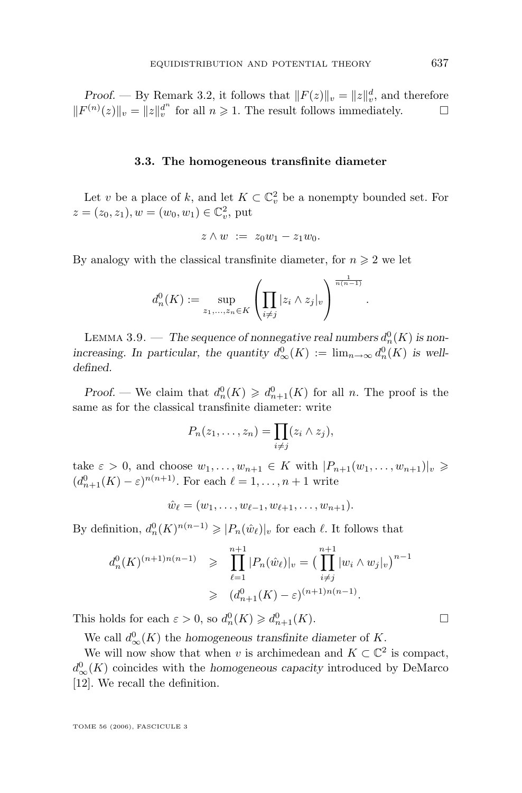<span id="page-13-0"></span>*Proof.* — By Remark [3.2,](#page-9-0) it follows that  $||F(z)||_v = ||z||_v^d$ , and therefore  $||F^{(n)}(z)||_v = ||z||_v^{d^n}$  for all  $n \ge 1$ . The result follows immediately.  $\square$ 

#### **3.3. The homogeneous transfinite diameter**

Let v be a place of k, and let  $K \subset \mathbb{C}^2_v$  be a nonempty bounded set. For  $z = (z_0, z_1), w = (w_0, w_1) \in \mathbb{C}_v^2$ , put

$$
z\wedge w\ :=\ z_0w_1-z_1w_0.
$$

By analogy with the classical transfinite diameter, for  $n \geq 2$  we let

$$
d_n^0(K) := \sup_{z_1,\dots,z_n \in K} \left( \prod_{i \neq j} |z_i \wedge z_j|_v \right)^{\frac{1}{n(n-1)}}
$$

.

LEMMA 3.9. — The sequence of nonnegative real numbers  $d_n^0(K)$  is non*increasing.* In particular, the quantity  $d_{\infty}^{0}(K) := \lim_{n \to \infty} d_{n}^{0}(K)$  is well*defined.*

*Proof.* — We claim that  $d_n^0(K) \geq d_{n+1}^0(K)$  for all n. The proof is the same as for the classical transfinite diameter: write

$$
P_n(z_1,\ldots,z_n)=\prod_{i\neq j}(z_i\wedge z_j),
$$

take  $\varepsilon > 0$ , and choose  $w_1, \ldots, w_{n+1} \in K$  with  $|P_{n+1}(w_1, \ldots, w_{n+1})|_{v} \geq$  $(d_{n+1}^0(K) - \varepsilon)^{n(n+1)}$ . For each  $\ell = 1, \ldots, n+1$  write

$$
\hat{w}_{\ell} = (w_1, \ldots, w_{\ell-1}, w_{\ell+1}, \ldots, w_{n+1}).
$$

By definition,  $d_n^0(K)^{n(n-1)} \geqslant |P_n(\hat{w}_\ell)|_v$  for each  $\ell$ . It follows that

$$
d_n^0(K)^{(n+1)n(n-1)} \geq \prod_{\ell=1}^{n+1} |P_n(\hat{w}_\ell)|_v = \left(\prod_{i \neq j}^{n+1} |w_i \wedge w_j|_v\right)^{n-1}
$$
  
 
$$
\geq (d_{n+1}^0(K) - \varepsilon)^{(n+1)n(n-1)}.
$$

This holds for each  $\varepsilon > 0$ , so  $d_n^0(K) \geq d_{n+1}^0(K)$ .

We call  $d_{\infty}^{0}(K)$  the *homogeneous transfinite diameter* of K.

We will now show that when v is archimedean and  $K \subset \mathbb{C}^2$  is compact,  $d_{\infty}^{0}(K)$  coincides with the *homogeneous capacity* introduced by DeMarco [\[12\]](#page-63-0). We recall the definition.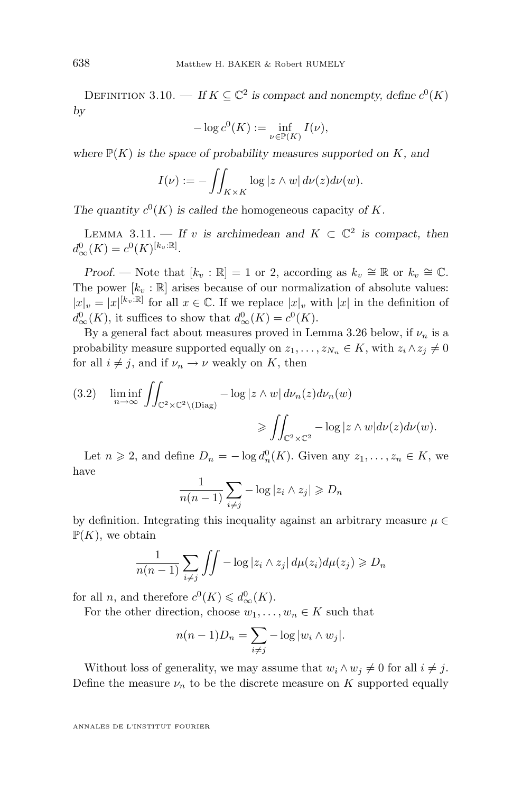<span id="page-14-0"></span>DEFINITION 3.10. — If  $K \subseteq \mathbb{C}^2$  is compact and nonempty, define  $c^0(K)$ *by*

$$
-\log c^0(K) := \inf_{\nu \in \mathbb{P}(K)} I(\nu),
$$

where  $\mathbb{P}(K)$  *is the space of probability measures supported on* K, and

$$
I(\nu) := -\iint_{K \times K} \log |z \wedge w| \, d\nu(z) d\nu(w).
$$

The quantity  $c^0(K)$  is called the homogeneous capacity of K.

LEMMA 3.11. — If v is archimedean and  $K \subset \mathbb{C}^2$  is compact, then  $d_{\infty}^{0}(K) = c^{0}(K)^{[k_{v}:\mathbb{R}]}$ .

*Proof.* — Note that  $[k_v : \mathbb{R}] = 1$  or 2, according as  $k_v \cong \mathbb{R}$  or  $k_v \cong \mathbb{C}$ . The power  $[k_v : \mathbb{R}]$  arises because of our normalization of absolute values:  $|x|_v = |x|^{[k_v:\mathbb{R}]}$  for all  $x \in \mathbb{C}$ . If we replace  $|x|_v$  with  $|x|$  in the definition of  $d_{\infty}^{0}(K)$ , it suffices to show that  $d_{\infty}^{0}(K) = c^{0}(K)$ .

By a general fact about measures proved in Lemma [3.26](#page-26-0) below, if  $\nu_n$  is a probability measure supported equally on  $z_1, \ldots, z_{N_n} \in K$ , with  $z_i \wedge z_j \neq 0$ for all  $i \neq j$ , and if  $\nu_n \to \nu$  weakly on K, then

(3.2) 
$$
\liminf_{n \to \infty} \iint_{\mathbb{C}^2 \times \mathbb{C}^2 \setminus (\text{Diag})} -\log |z \wedge w| d\nu_n(z) d\nu_n(w)
$$

$$
\geqslant \iint_{\mathbb{C}^2 \times \mathbb{C}^2} -\log |z \wedge w| d\nu(z) d\nu(w).
$$

Let  $n \geq 2$ , and define  $D_n = -\log d_n^0(K)$ . Given any  $z_1, \ldots, z_n \in K$ , we have

$$
\frac{1}{n(n-1)}\sum_{i\neq j} -\log|z_i \wedge z_j| \geq D_n
$$

by definition. Integrating this inequality against an arbitrary measure  $\mu \in$  $\mathbb{P}(K)$ , we obtain

$$
\frac{1}{n(n-1)}\sum_{i\neq j}\iint -\log|z_i\wedge z_j|\,d\mu(z_i)d\mu(z_j)\geq D_n
$$

for all *n*, and therefore  $c^0(K) \leq d_{\infty}^0(K)$ .

For the other direction, choose  $w_1, \ldots, w_n \in K$  such that

$$
n(n-1)D_n = \sum_{i \neq j} -\log|w_i \wedge w_j|.
$$

Without loss of generality, we may assume that  $w_i \wedge w_j \neq 0$  for all  $i \neq j$ . Define the measure  $\nu_n$  to be the discrete measure on K supported equally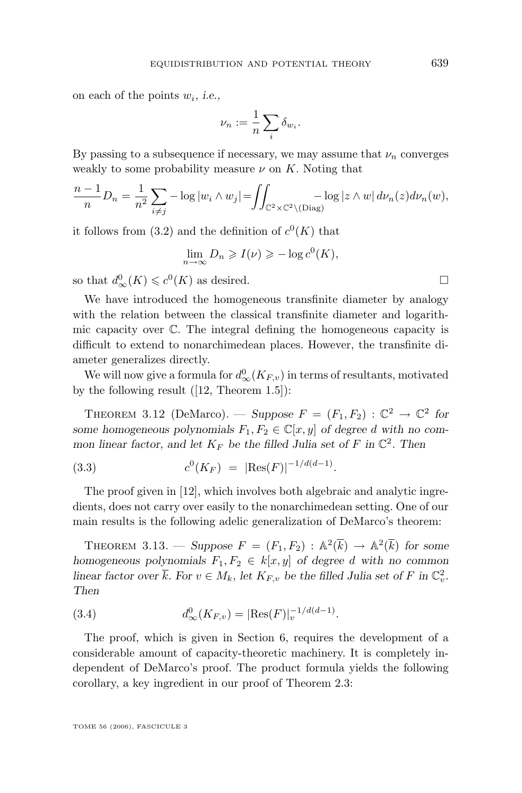<span id="page-15-0"></span>on each of the points w<sup>i</sup> , *i.e.,*

$$
\nu_n:=\frac{1}{n}\sum_i\delta_{w_i}.
$$

By passing to a subsequence if necessary, we may assume that  $\nu_n$  converges weakly to some probability measure  $\nu$  on K. Noting that

$$
\frac{n-1}{n}D_n = \frac{1}{n^2}\sum_{i\neq j} -\log|w_i \wedge w_j| = \iint_{\mathbb{C}^2 \times \mathbb{C}^2 \setminus (\text{Diag})} -\log|z \wedge w| d\nu_n(z) d\nu_n(w),
$$

it follows from [\(3.2\)](#page-14-0) and the definition of  $c^{0}(K)$  that

$$
\lim_{n \to \infty} D_n \geqslant I(\nu) \geqslant -\log c^0(K),
$$

so that  $d_{\infty}^0(K) \leq c^0(K)$  as desired.

We have introduced the homogeneous transfinite diameter by analogy with the relation between the classical transfinite diameter and logarithmic capacity over  $\mathbb{C}$ . The integral defining the homogeneous capacity is difficult to extend to nonarchimedean places. However, the transfinite diameter generalizes directly.

We will now give a formula for  $d_{\infty}^{0}(K_{F,v})$  in terms of resultants, motivated by the following result ([\[12,](#page-63-0) Theorem 1.5]):

THEOREM 3.12 (DeMarco). — *Suppose*  $F = (F_1, F_2) : \mathbb{C}^2 \to \mathbb{C}^2$  for *some homogeneous polynomials*  $F_1, F_2 \in \mathbb{C}[x, y]$  *of degree d with no common linear factor, and let*  $K_F$  *be the filled Julia set of*  $F$  *in*  $\mathbb{C}^2$ *. Then* 

(3.3) 
$$
c^0(K_F) = |\text{Res}(F)|^{-1/d(d-1)}.
$$

The proof given in [\[12\]](#page-63-0), which involves both algebraic and analytic ingredients, does not carry over easily to the nonarchimedean setting. One of our main results is the following adelic generalization of DeMarco's theorem:

THEOREM 3.13. — Suppose  $F = (F_1, F_2) : \mathbb{A}^2(\overline{k}) \to \mathbb{A}^2(\overline{k})$  for some *homogeneous polynomials*  $F_1, F_2 \in k[x, y]$  *of degree d with no common linear factor over*  $\overline{k}$ *. For*  $v \in M_k$ *, let*  $K_{F,v}$  *be the filled Julia set of*  $F$  *in*  $\mathbb{C}_v^2$ *. Then*

(3.4) 
$$
d_{\infty}^{0}(K_{F,v}) = |\text{Res}(F)|_{v}^{-1/d(d-1)}.
$$

The proof, which is given in Section [6,](#page-48-0) requires the development of a considerable amount of capacity-theoretic machinery. It is completely independent of DeMarco's proof. The product formula yields the following corollary, a key ingredient in our proof of Theorem [2.3:](#page-7-0)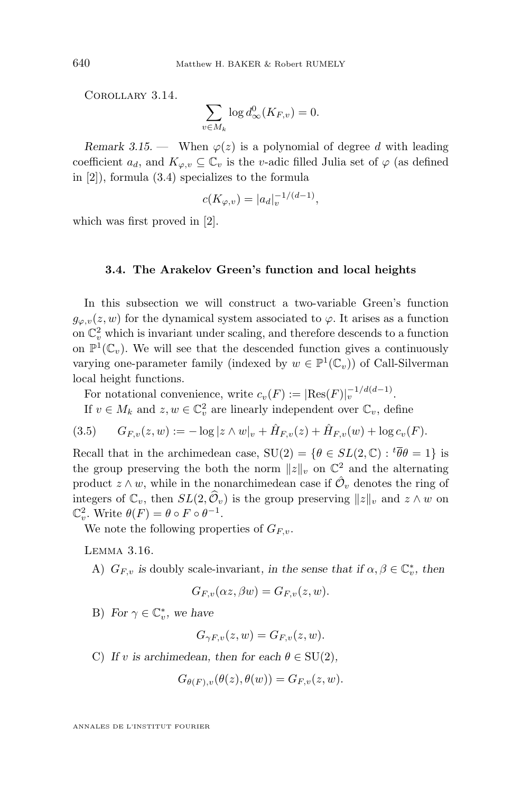Corollary 3.14.

$$
\sum_{v \in M_k} \log d_{\infty}^0(K_{F,v}) = 0.
$$

*Remark 3.15.* — When  $\varphi(z)$  is a polynomial of degree d with leading coefficient  $a_d$ , and  $K_{\varphi,v} \subseteq \mathbb{C}_v$  is the v-adic filled Julia set of  $\varphi$  (as defined in [\[2\]](#page-62-0)), formula [\(3.4\)](#page-15-0) specializes to the formula

$$
c(K_{\varphi,v}) = |a_d|_v^{-1/(d-1)},
$$

which was first proved in [\[2\]](#page-62-0).

#### **3.4. The Arakelov Green's function and local heights**

In this subsection we will construct a two-variable Green's function  $g_{\varphi,v}(z, w)$  for the dynamical system associated to  $\varphi$ . It arises as a function on  $\mathbb{C}^2_v$  which is invariant under scaling, and therefore descends to a function on  $\mathbb{P}^1(\mathbb{C}_v)$ . We will see that the descended function gives a continuously varying one-parameter family (indexed by  $w \in \mathbb{P}^1(\mathbb{C}_v)$ ) of Call-Silverman local height functions.

For notational convenience, write  $c_v(F) := |\text{Res}(F)|_v^{-1/d(d-1)}$ .

If  $v \in M_k$  and  $z, w \in \mathbb{C}_v^2$  are linearly independent over  $\mathbb{C}_v$ , define

$$
(3.5) \tG_{F,v}(z,w) := -\log|z \wedge w|_v + \hat{H}_{F,v}(z) + \hat{H}_{F,v}(w) + \log c_v(F).
$$

Recall that in the archimedean case,  $SU(2) = \{ \theta \in SL(2, \mathbb{C}) : {}^t \overline{\theta} \theta = 1 \}$  is the group preserving the both the norm  $||z||_v$  on  $\mathbb{C}^2$  and the alternating product  $z \wedge w$ , while in the nonarchimedean case if  $\hat{\mathcal{O}}_v$  denotes the ring of integers of  $\mathbb{C}_v$ , then  $SL(2,\widehat{\mathcal{O}}_v)$  is the group preserving  $||z||_v$  and  $z \wedge w$  on  $\mathbb{C}_v^2$ . Write  $\theta(F) = \theta \circ F \circ \theta^{-1}$ .

We note the following properties of  $G_{F,v}$ .

Lemma 3.16.

A)  $G_{F,v}$  *is* doubly scale-invariant, *in the sense that if*  $\alpha, \beta \in \mathbb{C}_v^*$ , *then* 

$$
G_{F,v}(\alpha z,\beta w)=G_{F,v}(z,w).
$$

B) *For*  $\gamma \in \mathbb{C}_v^*$ *, we have* 

$$
G_{\gamma F,v}(z,w) = G_{F,v}(z,w).
$$

C) If v is archimedean, then for each  $\theta \in SU(2)$ ,

$$
G_{\theta(F),v}(\theta(z),\theta(w)) = G_{F,v}(z,w).
$$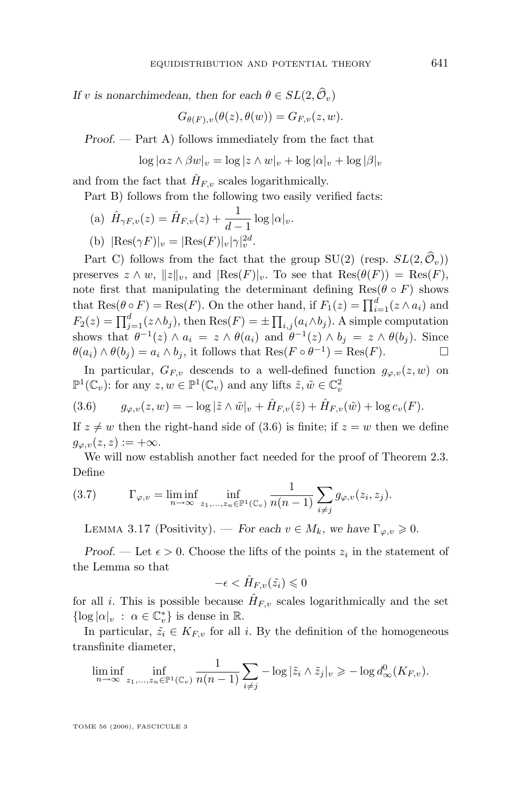<span id="page-17-0"></span>*If* v *is nonarchimedean, then for each*  $\theta \in SL(2, \widehat{O}_v)$ 

$$
G_{\theta(F),v}(\theta(z),\theta(w)) = G_{F,v}(z,w).
$$

*Proof. —* Part A) follows immediately from the fact that

$$
\log |\alpha z \wedge \beta w|_v = \log |z \wedge w|_v + \log |\alpha|_v + \log |\beta|_v
$$

and from the fact that  $\hat{H}_{F,v}$  scales logarithmically.

Part B) follows from the following two easily verified facts:

(a) 
$$
\hat{H}_{\gamma F, v}(z) = \hat{H}_{F, v}(z) + \frac{1}{d-1} \log |\alpha|_v
$$
.

(b) 
$$
|\text{Res}(\gamma F)|_v = |\text{Res}(F)|_v |\gamma|_v^{2d}
$$
.

Part C) follows from the fact that the group SU(2) (resp.  $SL(2,\widehat{\mathcal{O}}_n)$ ) preserves  $z \wedge w$ ,  $||z||_v$ , and  $|\text{Res}(F)|_v$ . To see that  $\text{Res}(\theta(F)) = \text{Res}(F)$ , note first that manipulating the determinant defining  $\text{Res}(\theta \circ F)$  shows that  $\text{Res}(\theta \circ F) = \text{Res}(F)$ . On the other hand, if  $F_1(z) = \prod_{i=1}^d (z \wedge a_i)$  and  $F_2(z) = \prod_{j=1}^d (z \wedge b_j)$ , then  $\text{Res}(F) = \pm \prod_{i,j} (a_i \wedge b_j)$ . A simple computation shows that  $\theta^{-1}(z) \wedge a_i = z \wedge \theta(a_i)$  and  $\theta^{-1}(z) \wedge b_j = z \wedge \theta(b_j)$ . Since  $\theta(a_i) \wedge \theta(b_j) = a_i \wedge b_j$ , it follows that  $\text{Res}(F \circ \theta^{-1}) = \text{Res}(F)$ .

In particular,  $G_{F,v}$  descends to a well-defined function  $g_{\varphi,v}(z,w)$  on  $\mathbb{P}^1(\mathbb{C}_v)$ : for any  $z, w \in \mathbb{P}^1(\mathbb{C}_v)$  and any lifts  $\tilde{z}, \tilde{w} \in \mathbb{C}_v^2$ 

(3.6) 
$$
g_{\varphi,v}(z,w) = -\log|\tilde{z}\wedge \tilde{w}|_v + \hat{H}_{F,v}(\tilde{z}) + \hat{H}_{F,v}(\tilde{w}) + \log c_v(F).
$$

If  $z \neq w$  then the right-hand side of (3.6) is finite; if  $z = w$  then we define  $g_{\varphi,v}(z, z) := +\infty.$ 

We will now establish another fact needed for the proof of Theorem [2.3.](#page-7-0) Define

(3.7) 
$$
\Gamma_{\varphi,v} = \liminf_{n \to \infty} \inf_{z_1, ..., z_n \in \mathbb{P}^1(\mathbb{C}_v)} \frac{1}{n(n-1)} \sum_{i \neq j} g_{\varphi,v}(z_i, z_j).
$$

LEMMA 3.17 (Positivity). — *For each*  $v \in M_k$ , we have  $\Gamma_{\varphi, v} \geq 0$ .

*Proof.* — Let  $\epsilon > 0$ . Choose the lifts of the points  $z_i$  in the statement of the Lemma so that

$$
-\epsilon < \hat{H}_{F,v}(\tilde{z}_i) \leqslant 0
$$

for all *i*. This is possible because  $\hat{H}_{F,v}$  scales logarithmically and the set  $\{\log |\alpha|_v \; : \; \alpha \in \mathbb{C}_v^*\}$  is dense in  $\mathbb{R}$ .

In particular,  $\tilde{z}_i \in K_{F,v}$  for all i. By the definition of the homogeneous transfinite diameter,

$$
\liminf_{n\to\infty}\inf_{z_1,\ldots,z_n\in\mathbb{P}^1(\mathbb{C}_v)}\frac{1}{n(n-1)}\sum_{i\neq j}-\log|\tilde{z}_i\wedge\tilde{z}_j|_v\geq -\log d_\infty^0(K_{F,v}).
$$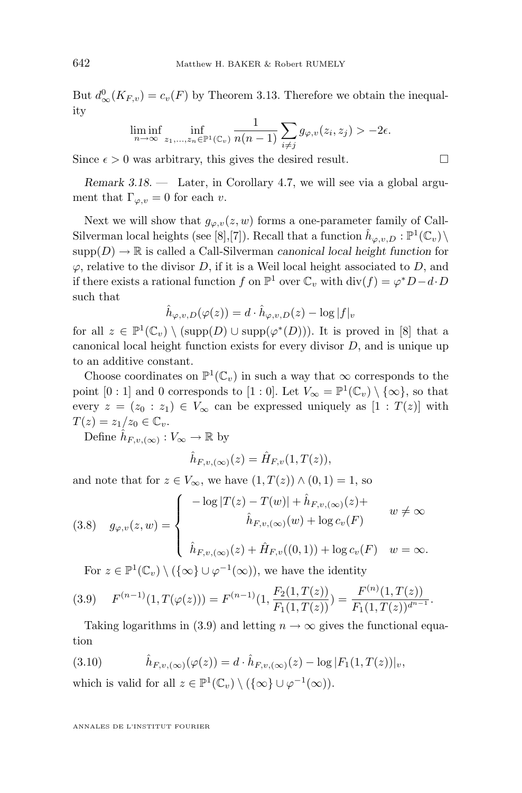<span id="page-18-0"></span>But  $d_{\infty}^{0}(K_{F,v}) = c_{v}(F)$  by Theorem [3.13.](#page-15-0) Therefore we obtain the inequality

$$
\liminf_{n\to\infty}\inf_{z_1,\ldots,z_n\in\mathbb{P}^1(\mathbb{C}_v)}\frac{1}{n(n-1)}\sum_{i\neq j}g_{\varphi,v}(z_i,z_j)>-2\epsilon.
$$

Since  $\epsilon > 0$  was arbitrary, this gives the desired result.

*Remark 3.18.* — Later, in Corollary [4.7,](#page-33-0) we will see via a global argument that  $\Gamma_{\varphi,v} = 0$  for each v.

Next we will show that  $g_{\varphi,v}(z,w)$  forms a one-parameter family of Call-Silverman local heights (see [\[8\]](#page-63-0),[\[7\]](#page-63-0)). Recall that a function  $\hat{h}_{\varphi,v,D} : \mathbb{P}^1(\mathbb{C}_v) \setminus$  $supp(D) \to \mathbb{R}$  is called a Call-Silverman *canonical local height function* for  $\varphi$ , relative to the divisor D, if it is a Weil local height associated to D, and if there exists a rational function f on  $\mathbb{P}^1$  over  $\mathbb{C}_v$  with  $\text{div}(f) = \varphi^* D - d \cdot D$ such that

$$
\hat{h}_{\varphi,v,D}(\varphi(z)) = d \cdot \hat{h}_{\varphi,v,D}(z) - \log|f|_v
$$

for all  $z \in \mathbb{P}^1(\mathbb{C}_v) \setminus (\text{supp}(D) \cup \text{supp}(\varphi^*(D)))$ . It is proved in [\[8\]](#page-63-0) that a canonical local height function exists for every divisor  $D$ , and is unique up to an additive constant.

Choose coordinates on  $\mathbb{P}^1(\mathbb{C}_v)$  in such a way that  $\infty$  corresponds to the point [0 : 1] and 0 corresponds to [1 : 0]. Let  $V_{\infty} = \mathbb{P}^1(\mathbb{C}_v) \setminus {\infty}$ , so that every  $z = (z_0 : z_1) \in V_\infty$  can be expressed uniquely as  $[1 : T(z)]$  with  $T(z) = z_1/z_0 \in \mathbb{C}_v.$ 

Define  $\hat{h}_{F,v,(\infty)} : V_{\infty} \to \mathbb{R}$  by

$$
\hat{h}_{F,v,(\infty)}(z) = \hat{H}_{F,v}(1,T(z)),
$$

and note that for  $z \in V_{\infty}$ , we have  $(1, T(z)) \wedge (0, 1) = 1$ , so

(3.8) 
$$
g_{\varphi,v}(z,w) = \begin{cases} -\log |T(z) - T(w)| + \hat{h}_{F,v,(\infty)}(z) + w \neq \infty \\ \hat{h}_{F,v,(\infty)}(w) + \log c_v(F) & w = \infty. \end{cases}
$$

For  $z \in \mathbb{P}^1(\mathbb{C}_v) \setminus (\{\infty\} \cup \varphi^{-1}(\infty))$ , we have the identity

$$
(3.9) \quad F^{(n-1)}(1,T(\varphi(z))) = F^{(n-1)}(1,\frac{F_2(1,T(z))}{F_1(1,T(z))}) = \frac{F^{(n)}(1,T(z))}{F_1(1,T(z))^{d^{n-1}}}.
$$

Taking logarithms in (3.9) and letting  $n \to \infty$  gives the functional equation

(3.10) 
$$
\hat{h}_{F,v,(\infty)}(\varphi(z)) = d \cdot \hat{h}_{F,v,(\infty)}(z) - \log |F_1(1,T(z))|_v,
$$

which is valid for all  $z \in \mathbb{P}^1(\mathbb{C}_v) \setminus (\{\infty\} \cup \varphi^{-1}(\infty)).$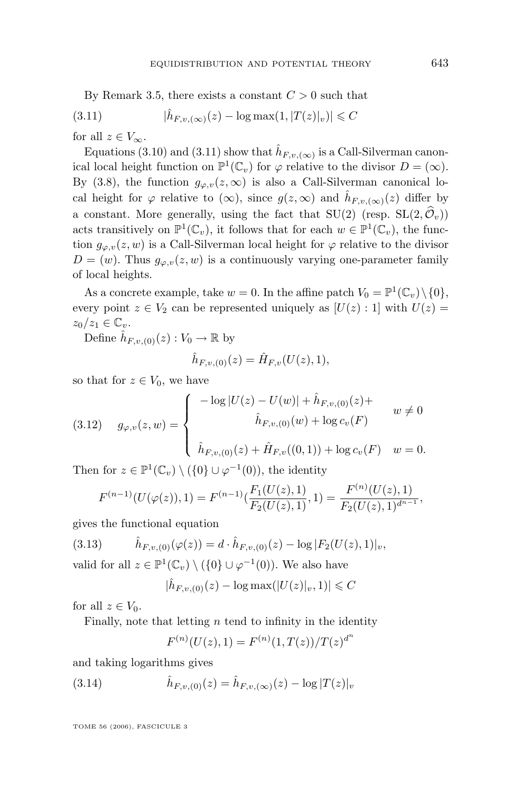<span id="page-19-0"></span>By Remark [3.5,](#page-11-0) there exists a constant  $C > 0$  such that

(3.11) 
$$
|\hat{h}_{F,v,(\infty)}(z) - \log \max(1, |T(z)|_v)| \leq C
$$

for all  $z \in V_{\infty}$ .

Equations [\(3.10\)](#page-18-0) and (3.11) show that  $\hat{h}_{F,v,(\infty)}$  is a Call-Silverman canonical local height function on  $\mathbb{P}^1(\mathbb{C}_v)$  for  $\varphi$  relative to the divisor  $D = (\infty)$ . By [\(3.8\)](#page-18-0), the function  $g_{\varphi,v}(z,\infty)$  is also a Call-Silverman canonical local height for  $\varphi$  relative to  $(\infty)$ , since  $g(z,\infty)$  and  $\hat{h}_{F,v,(\infty)}(z)$  differ by a constant. More generally, using the fact that  $SU(2)$  (resp.  $SL(2,\hat{\mathcal{O}}_n)$ ) acts transitively on  $\mathbb{P}^1(\mathbb{C}_v)$ , it follows that for each  $w \in \mathbb{P}^1(\mathbb{C}_v)$ , the function  $g_{\varphi,v}(z,w)$  is a Call-Silverman local height for  $\varphi$  relative to the divisor  $D = (w)$ . Thus  $g_{\varphi, v}(z, w)$  is a continuously varying one-parameter family of local heights.

As a concrete example, take  $w = 0$ . In the affine patch  $V_0 = \mathbb{P}^1(\mathbb{C}_v) \setminus \{0\}$ , every point  $z \in V_2$  can be represented uniquely as  $[U(z):1]$  with  $U(z)$  $z_0/z_1 \in \mathbb{C}_v$ .

Define  $\hat{h}_{F,v,(0)}(z): V_0 \to \mathbb{R}$  by

$$
\hat{h}_{F,v,(0)}(z) = \hat{H}_{F,v}(U(z), 1),
$$

so that for  $z \in V_0$ , we have

$$
(3.12) \quad g_{\varphi,v}(z,w) = \begin{cases} -\log|U(z) - U(w)| + \hat{h}_{F,v,(0)}(z) + \\ \hat{h}_{F,v,(0)}(w) + \log c_v(F) \end{cases} \quad w \neq 0
$$

$$
\hat{h}_{F,v,(0)}(z) + \hat{H}_{F,v}((0,1)) + \log c_v(F) \quad w = 0.
$$

Then for  $z \in \mathbb{P}^1(\mathbb{C}_v) \setminus (\{0\} \cup \varphi^{-1}(0)),$  the identity

$$
F^{(n-1)}(U(\varphi(z)), 1) = F^{(n-1)}(\frac{F_1(U(z), 1)}{F_2(U(z), 1)}, 1) = \frac{F^{(n)}(U(z), 1)}{F_2(U(z), 1)^{d^{n-1}}},
$$

gives the functional equation

$$
(3.13) \qquad \hat{h}_{F,v,(0)}(\varphi(z)) = d \cdot \hat{h}_{F,v,(0)}(z) - \log |F_2(U(z), 1)|_v,
$$

valid for all  $z \in \mathbb{P}^1(\mathbb{C}_v) \setminus (\{0\} \cup \varphi^{-1}(0))$ . We also have

$$
|\hat{h}_{F,v,(0)}(z) - \log \max(|U(z)|_v, 1)| \leq C
$$

for all  $z \in V_0$ .

Finally, note that letting  $n$  tend to infinity in the identity

$$
F^{(n)}(U(z), 1) = F^{(n)}(1, T(z))/T(z)^{d^n}
$$

and taking logarithms gives

(3.14) 
$$
\hat{h}_{F,v,(0)}(z) = \hat{h}_{F,v,(\infty)}(z) - \log |T(z)|_v
$$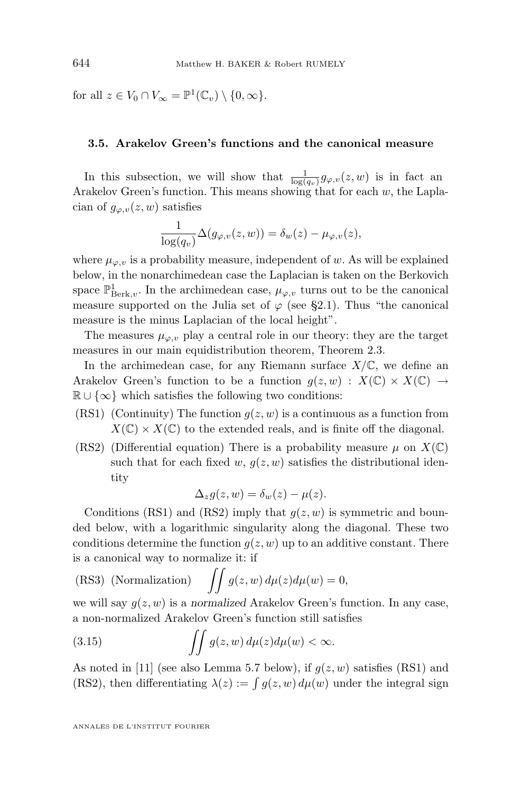<span id="page-20-0"></span>for all  $z \in V_0 \cap V_\infty = \mathbb{P}^1(\mathbb{C}_v) \setminus \{0, \infty\}.$ 

#### **3.5. Arakelov Green's functions and the canonical measure**

In this subsection, we will show that  $\frac{1}{\log(q_v)}g_{\varphi,v}(z,w)$  is in fact an Arakelov Green's function. This means showing that for each  $w$ , the Laplacian of  $g_{\varphi,v}(z,w)$  satisfies

$$
\frac{1}{\log(q_v)}\Delta(g_{\varphi,v}(z,w)) = \delta_w(z) - \mu_{\varphi,v}(z),
$$

where  $\mu_{\varphi,v}$  is a probability measure, independent of w. As will be explained below, in the nonarchimedean case the Laplacian is taken on the Berkovich space  $\mathbb{P}^1_{\operatorname{Berk},v}$ . In the archimedean case,  $\mu_{\varphi,v}$  turns out to be the canonical measure supported on the Julia set of  $\varphi$  (see [§2.1\)](#page-4-0). Thus "the canonical measure is the minus Laplacian of the local height".

The measures  $\mu_{\varphi, v}$  play a central role in our theory: they are the target measures in our main equidistribution theorem, Theorem [2.3.](#page-7-0)

In the archimedean case, for any Riemann surface  $X/\mathbb{C}$ , we define an Arakelov Green's function to be a function  $g(z, w) : X(\mathbb{C}) \times X(\mathbb{C}) \rightarrow$  $\mathbb{R} \cup \{\infty\}$  which satisfies the following two conditions:

- (RS1) (Continuity) The function  $g(z, w)$  is a continuous as a function from  $X(\mathbb{C}) \times X(\mathbb{C})$  to the extended reals, and is finite off the diagonal.
- (RS2) (Differential equation) There is a probability measure  $\mu$  on  $X(\mathbb{C})$ such that for each fixed w,  $q(z, w)$  satisfies the distributional identity

$$
\Delta_z g(z, w) = \delta_w(z) - \mu(z).
$$

Conditions (RS1) and (RS2) imply that  $g(z, w)$  is symmetric and bounded below, with a logarithmic singularity along the diagonal. These two conditions determine the function  $g(z, w)$  up to an additive constant. There is a canonical way to normalize it: if

(RS3) (Normalization) 
$$
\iint g(z, w) d\mu(z) d\mu(w) = 0,
$$

we will say  $q(z, w)$  is a *normalized* Arakelov Green's function. In any case, a non-normalized Arakelov Green's function still satisfies

(3.15) 
$$
\int \int g(z,w) d\mu(z) d\mu(w) < \infty.
$$

As noted in [\[11\]](#page-63-0) (see also Lemma [5.7](#page-41-0) below), if  $g(z, w)$  satisfies (RS1) and (RS2), then differentiating  $\lambda(z) := \int g(z, w) d\mu(w)$  under the integral sign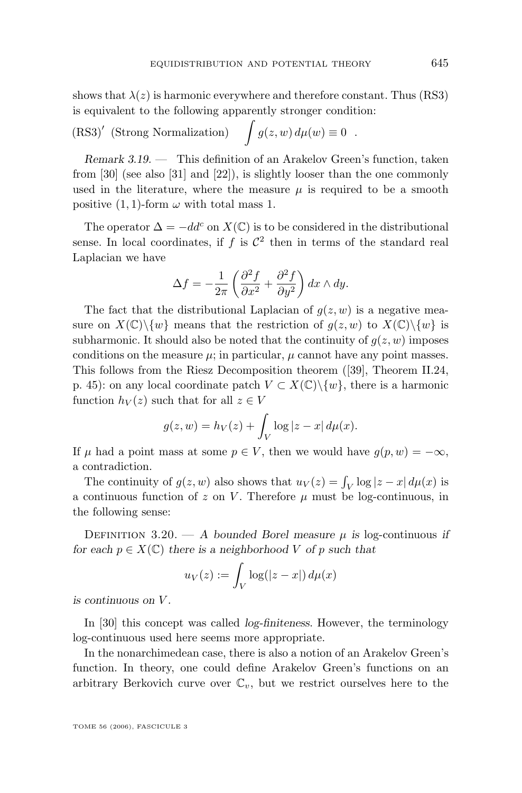<span id="page-21-0"></span>shows that  $\lambda(z)$  is harmonic everywhere and therefore constant. Thus (RS3) is equivalent to the following apparently stronger condition:

(RS3)' (Strong Normalization) 
$$
\int g(z, w) d\mu(w) \equiv 0
$$
.

*Remark 3.19. —* This definition of an Arakelov Green's function, taken from [\[30\]](#page-64-0) (see also [\[31\]](#page-64-0) and [\[22\]](#page-63-0)), is slightly looser than the one commonly used in the literature, where the measure  $\mu$  is required to be a smooth positive (1, 1)-form  $\omega$  with total mass 1.

The operator  $\Delta = -dd^c$  on  $X(\mathbb{C})$  is to be considered in the distributional sense. In local coordinates, if  $f$  is  $\mathcal{C}^2$  then in terms of the standard real Laplacian we have

$$
\Delta f = -\frac{1}{2\pi} \left( \frac{\partial^2 f}{\partial x^2} + \frac{\partial^2 f}{\partial y^2} \right) dx \wedge dy.
$$

The fact that the distributional Laplacian of  $q(z, w)$  is a negative measure on  $X(\mathbb{C})\backslash\{w\}$  means that the restriction of  $g(z, w)$  to  $X(\mathbb{C})\backslash\{w\}$  is subharmonic. It should also be noted that the continuity of  $q(z, w)$  imposes conditions on the measure  $\mu$ ; in particular,  $\mu$  cannot have any point masses. This follows from the Riesz Decomposition theorem ([\[39\]](#page-64-0), Theorem II.24, p. 45): on any local coordinate patch  $V \subset X(\mathbb{C})\backslash \{w\}$ , there is a harmonic function  $h_V(z)$  such that for all  $z \in V$ 

$$
g(z, w) = h_V(z) + \int_V \log|z - x| d\mu(x).
$$

If  $\mu$  had a point mass at some  $p \in V$ , then we would have  $g(p, w) = -\infty$ , a contradiction.

The continuity of  $g(z, w)$  also shows that  $u_V(z) = \int_V \log|z - x| d\mu(x)$  is a continuous function of z on V. Therefore  $\mu$  must be log-continuous, in the following sense:

DEFINITION 3.20. — *A* bounded Borel measure  $\mu$  is log-continuous *if for each*  $p \in X(\mathbb{C})$  *there is a neighborhood* V *of* p *such that* 

$$
u_V(z) := \int_V \log(|z - x|) d\mu(x)
$$

*is continuous on* V *.*

In [\[30\]](#page-64-0) this concept was called *log-finiteness*. However, the terminology log-continuous used here seems more appropriate.

In the nonarchimedean case, there is also a notion of an Arakelov Green's function. In theory, one could define Arakelov Green's functions on an arbitrary Berkovich curve over  $\mathbb{C}_v$ , but we restrict ourselves here to the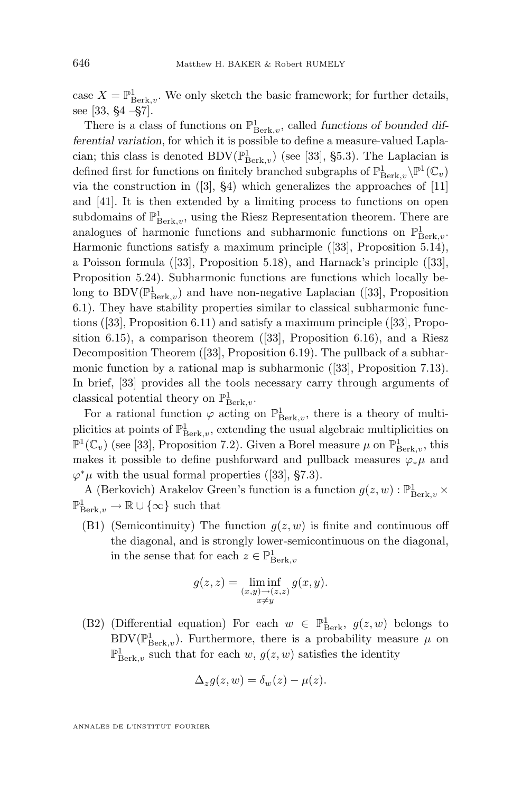case  $X = \mathbb{P}^1_{\operatorname{Berk},v}$ . We only sketch the basic framework; for further details, see [\[33,](#page-64-0) §4 –§7].

There is a class of functions on  $\mathbb{P}^1_{\operatorname{Berk},v}$ , called *functions of bounded differential variation*, for which it is possible to define a measure-valued Laplacian; this class is denoted BDV $(\mathbb{P}^1_{\operatorname{Berk},v})$  (see [\[33\]](#page-64-0), §5.3). The Laplacian is defined first for functions on finitely branched subgraphs of  $\mathbb{P}^1_{\operatorname{Berk},v}\backslash\mathbb{P}^1(\mathbb{C}_v)$ via the construction in  $(3, 84)$  which generalizes the approaches of  $[11]$ and [\[41\]](#page-64-0). It is then extended by a limiting process to functions on open subdomains of  $\mathbb{P}^1_{\operatorname{Berk},v}$ , using the Riesz Representation theorem. There are analogues of harmonic functions and subharmonic functions on  $\mathbb{P}^1_{\operatorname{Berk},v}$ . Harmonic functions satisfy a maximum principle ([\[33\]](#page-64-0), Proposition 5.14), a Poisson formula ([\[33\]](#page-64-0), Proposition 5.18), and Harnack's principle ([\[33\]](#page-64-0), Proposition 5.24). Subharmonic functions are functions which locally belong to BDV $(\mathbb{P}^1_{\operatorname{Berk},v})$  and have non-negative Laplacian ([\[33\]](#page-64-0), Proposition 6.1). They have stability properties similar to classical subharmonic functions ([\[33\]](#page-64-0), Proposition 6.11) and satisfy a maximum principle ([\[33\]](#page-64-0), Proposition 6.15), a comparison theorem  $(33]$ , Proposition 6.16), and a Riesz Decomposition Theorem ([\[33\]](#page-64-0), Proposition 6.19). The pullback of a subharmonic function by a rational map is subharmonic ([\[33\]](#page-64-0), Proposition 7.13). In brief, [\[33\]](#page-64-0) provides all the tools necessary carry through arguments of classical potential theory on  $\mathbb{P}^1_{\operatorname{Berk},v}$ .

For a rational function  $\varphi$  acting on  $\mathbb{P}^1_{\operatorname{Berk},v}$ , there is a theory of multiplicities at points of  $\mathbb{P}^1_{\operatorname{Berk},v}$ , extending the usual algebraic multiplicities on  $\mathbb{P}^1(\mathbb{C}_v)$  (see [\[33\]](#page-64-0), Proposition 7.2). Given a Borel measure  $\mu$  on  $\mathbb{P}^1_{\operatorname{Berk},v}$ , this makes it possible to define pushforward and pullback measures  $\varphi_*\mu$  and  $\varphi^*\mu$  with the usual formal properties ([\[33\]](#page-64-0), §7.3).

A (Berkovich) Arakelov Green's function is a function  $g(z, w) : \mathbb{P}^1_{\operatorname{Berk},v}$  ×  $\mathbb{P}^1_{\text{Berk},v} \to \mathbb{R} \cup \{\infty\}$  such that

(B1) (Semicontinuity) The function  $q(z, w)$  is finite and continuous off the diagonal, and is strongly lower-semicontinuous on the diagonal, in the sense that for each  $z \in \mathbb{P}^1_{\operatorname{Berk},v}$ 

$$
g(z, z) = \liminf_{\substack{(x, y) \to (z, z) \\ x \neq y}} g(x, y).
$$

(B2) (Differential equation) For each  $w \in \mathbb{P}^1_{\text{Berk}}$ ,  $g(z, w)$  belongs to BDV( $\mathbb{P}^1_{\text{Berk},v}$ ). Furthermore, there is a probability measure  $\mu$  on  $\mathbb{P}^1_{\operatorname{Berk},v}$  such that for each  $w, g(z, w)$  satisfies the identity

$$
\Delta_z g(z, w) = \delta_w(z) - \mu(z).
$$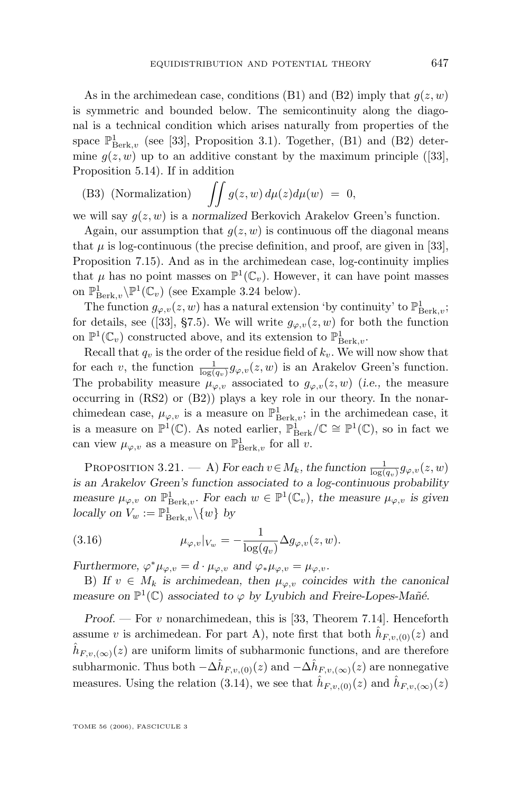<span id="page-23-0"></span>As in the archimedean case, conditions (B1) and (B2) imply that  $q(z, w)$ is symmetric and bounded below. The semicontinuity along the diagonal is a technical condition which arises naturally from properties of the space  $\mathbb{P}^1_{\operatorname{Berk},v}$  (see [\[33\]](#page-64-0), Proposition 3.1). Together, (B1) and (B2) determine  $g(z, w)$  up to an additive constant by the maximum principle ([\[33\]](#page-64-0), Proposition 5.14). If in addition

(B3) (Normalization) 
$$
\iint g(z, w) d\mu(z) d\mu(w) = 0,
$$

we will say  $q(z, w)$  is a *normalized* Berkovich Arakelov Green's function.

Again, our assumption that  $q(z, w)$  is continuous off the diagonal means that  $\mu$  is log-continuous (the precise definition, and proof, are given in [\[33\]](#page-64-0), Proposition 7.15). And as in the archimedean case, log-continuity implies that  $\mu$  has no point masses on  $\mathbb{P}^1(\mathbb{C}_v)$ . However, it can have point masses on  $\mathbb{P}^1_{\operatorname{Berk},v}\backslash\mathbb{P}^1(\mathbb{C}_v)$  (see Example [3.24](#page-25-0) below).

The function  $g_{\varphi,v}(z,w)$  has a natural extension 'by continuity' to  $\mathbb{P}^1_{\operatorname{Berk},v}$ ; for details, see ([\[33\]](#page-64-0), §7.5). We will write  $g_{\varphi,\nu}(z,w)$  for both the function on  $\mathbb{P}^1(\mathbb{C}_v)$  constructed above, and its extension to  $\mathbb{P}^1_{\operatorname{Berk},v}$ .

Recall that  $q_v$  is the order of the residue field of  $k_v$ . We will now show that for each v, the function  $\frac{1}{\log(q_v)} g_{\varphi,v}(z,w)$  is an Arakelov Green's function. The probability measure  $\mu_{\varphi, v}$  associated to  $g_{\varphi, v}(z, w)$  (*i.e.*, the measure occurring in (RS2) or (B2)) plays a key role in our theory. In the nonarchimedean case,  $\mu_{\varphi, v}$  is a measure on  $\mathbb{P}^1_{\operatorname{Berk}, v}$ ; in the archimedean case, it is a measure on  $\mathbb{P}^1(\mathbb{C})$ . As noted earlier,  $\mathbb{P}^1_{\text{Berk}}/\mathbb{C} \cong \mathbb{P}^1(\mathbb{C})$ , so in fact we can view  $\mu_{\varphi, v}$  as a measure on  $\mathbb{P}^1_{\operatorname{Berk},v}$  for all v.

PROPOSITION 3.21. — A) *For each*  $v \in M_k$ , the function  $\frac{1}{\log(q_v)} g_{\varphi, v}(z, w)$ *is an Arakelov Green's function associated to a log-continuous probability measure*  $\mu_{\varphi,v}$  *on*  $\mathbb{P}^1_{\text{Berk},v}$ *. For each*  $w \in \mathbb{P}^1(\mathbb{C}_v)$ *, the measure*  $\mu_{\varphi,v}$  *is given locally on*  $V_w := \mathbb{P}^1_{\text{Berk},v}\setminus\{w\}$  *by* 

(3.16) 
$$
\mu_{\varphi,v}|_{V_w} = -\frac{1}{\log(q_v)} \Delta g_{\varphi,v}(z,w).
$$

*Furthermore,*  $\varphi^* \mu_{\varphi, v} = d \cdot \mu_{\varphi, v}$  *and*  $\varphi_* \mu_{\varphi, v} = \mu_{\varphi, v}$ *.* 

B) If  $v \in M_k$  is archimedean, then  $\mu_{\varphi,v}$  coincides with the canonical *measure on*  $\mathbb{P}^1(\mathbb{C})$  *associated to*  $\varphi$  *by Lyubich and Freire-Lopes-Mañé.* 

*Proof.* — For v nonarchimedean, this is [\[33,](#page-64-0) Theorem 7.14]. Henceforth assume v is archimedean. For part A), note first that both  $\hat{h}_{F,v,(0)}(z)$  and  $\hat{h}_{F,v,(\infty)}(z)$  are uniform limits of subharmonic functions, and are therefore subharmonic. Thus both  $-\Delta \hat{h}_{F,v,(0)}(z)$  and  $-\Delta \hat{h}_{F,v,(\infty)}(z)$  are nonnegative measures. Using the relation [\(3.14\)](#page-19-0), we see that  $\hat{h}_{F,v,(0)}(z)$  and  $\hat{h}_{F,v,(\infty)}(z)$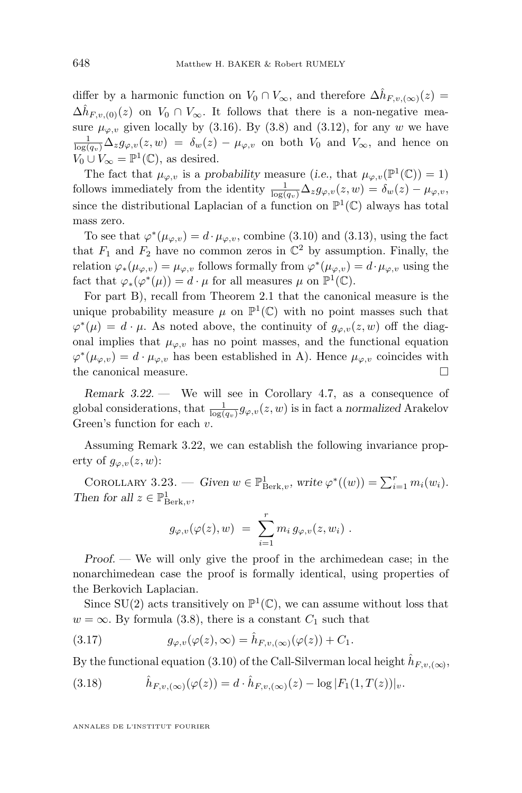<span id="page-24-0"></span>differ by a harmonic function on  $V_0 \cap V_\infty$ , and therefore  $\Delta \hat{h}_{F,v,(\infty)}(z) =$  $\Delta \hat{h}_{F,v,(0)}(z)$  on  $V_0 \cap V_\infty$ . It follows that there is a non-negative measure  $\mu_{\varphi, v}$  given locally by [\(3.16\)](#page-23-0). By [\(3.8\)](#page-18-0) and [\(3.12\)](#page-19-0), for any w we have  $\frac{1}{\log(q_v)}\Delta_z g_{\varphi,v}(z,w) = \delta_w(z) - \mu_{\varphi,v}$  on both  $V_0$  and  $V_{\infty}$ , and hence on  $V_0 \cup V_\infty = \mathbb{P}^1(\mathbb{C}),$  as desired.

The fact that  $\mu_{\varphi, v}$  is a *probability* measure (*i.e.*, that  $\mu_{\varphi, v}(\mathbb{P}^1(\mathbb{C})) = 1$ ) follows immediately from the identity  $\frac{1}{\log(q_v)}\Delta_z g_{\varphi,v}(z,w) = \delta_w(z) - \mu_{\varphi,v}$ , since the distributional Laplacian of a function on  $\mathbb{P}^1(\mathbb{C})$  always has total mass zero.

To see that  $\varphi^*(\mu_{\varphi,v}) = d \cdot \mu_{\varphi,v}$ , combine [\(3.10\)](#page-18-0) and [\(3.13\)](#page-19-0), using the fact that  $F_1$  and  $F_2$  have no common zeros in  $\mathbb{C}^2$  by assumption. Finally, the relation  $\varphi_*(\mu_{\varphi,v}) = \mu_{\varphi,v}$  follows formally from  $\varphi^*(\mu_{\varphi,v}) = d \cdot \mu_{\varphi,v}$  using the fact that  $\varphi_*(\varphi^*(\mu)) = d \cdot \mu$  for all measures  $\mu$  on  $\mathbb{P}^1(\mathbb{C})$ .

For part B), recall from Theorem [2.1](#page-5-0) that the canonical measure is the unique probability measure  $\mu$  on  $\mathbb{P}^1(\mathbb{C})$  with no point masses such that  $\varphi^*(\mu) = d \cdot \mu$ . As noted above, the continuity of  $g_{\varphi,v}(z,w)$  off the diagonal implies that  $\mu_{\varphi, v}$  has no point masses, and the functional equation  $\varphi^*(\mu_{\varphi,v}) = d \cdot \mu_{\varphi,v}$  has been established in A). Hence  $\mu_{\varphi,v}$  coincides with the canonical measure.

*Remark 3.22. —* We will see in Corollary [4.7,](#page-33-0) as a consequence of global considerations, that  $\frac{1}{\log(q_v)} g_{\varphi,v}(z,w)$  is in fact a *normalized* Arakelov Green's function for each v.

Assuming Remark 3.22, we can establish the following invariance property of  $g_{\varphi,v}(z,w)$ :

COROLLARY 3.23. — *Given*  $w \in \mathbb{P}^1_{\operatorname{Berk},v}$ , write  $\varphi^*((w)) = \sum_{i=1}^r m_i(w_i)$ . *Then for all*  $z \in \mathbb{P}^1_{\text{Berk},v}$ ,

$$
g_{\varphi,v}(\varphi(z),w) = \sum_{i=1}^r m_i g_{\varphi,v}(z,w_i) .
$$

*Proof. —* We will only give the proof in the archimedean case; in the nonarchimedean case the proof is formally identical, using properties of the Berkovich Laplacian.

Since  $SU(2)$  acts transitively on  $\mathbb{P}^1(\mathbb{C})$ , we can assume without loss that  $w = \infty$ . By formula [\(3.8\)](#page-18-0), there is a constant  $C_1$  such that

(3.17) 
$$
g_{\varphi,v}(\varphi(z),\infty) = \hat{h}_{F,v,(\infty)}(\varphi(z)) + C_1.
$$

By the functional equation [\(3.10\)](#page-18-0) of the Call-Silverman local height  $\hat{h}_{F,v,(\infty)}$ ,

(3.18) 
$$
\hat{h}_{F,v,(\infty)}(\varphi(z)) = d \cdot \hat{h}_{F,v,(\infty)}(z) - \log |F_1(1,T(z))|_v.
$$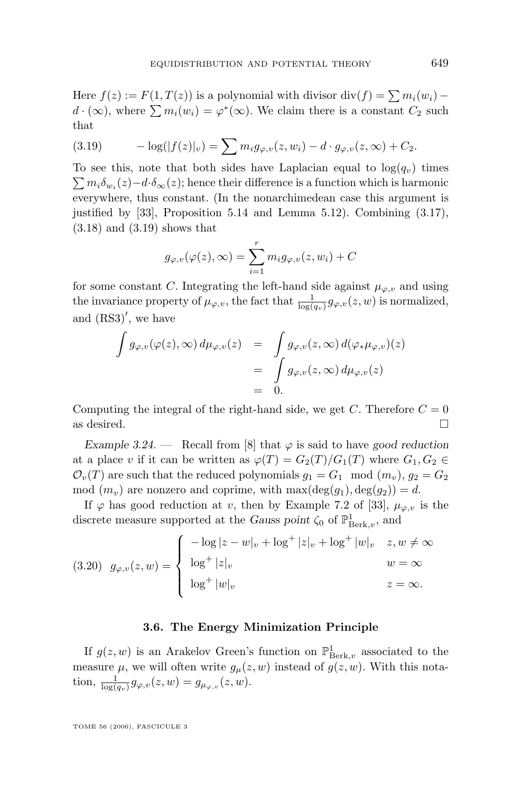<span id="page-25-0"></span>Here  $f(z) := F(1, T(z))$  is a polynomial with divisor div $(f) = \sum m_i(w_i)$  $d \cdot (\infty)$ , where  $\sum m_i(w_i) = \varphi^*(\infty)$ . We claim there is a constant  $C_2$  such that

(3.19) 
$$
-\log(|f(z)|_v) = \sum m_i g_{\varphi,v}(z,w_i) - d \cdot g_{\varphi,v}(z,\infty) + C_2.
$$

To see this, note that both sides have Laplacian equal to  $log(q_v)$  times  $\sum m_i \delta_{w_i}(z) - d \cdot \delta_{\infty}(z)$ ; hence their difference is a function which is harmonic everywhere, thus constant. (In the nonarchimedean case this argument is justified by [\[33\]](#page-64-0), Proposition 5.14 and Lemma 5.12). Combining [\(3.17\)](#page-24-0), [\(3.18\)](#page-24-0) and (3.19) shows that

$$
g_{\varphi,v}(\varphi(z),\infty) = \sum_{i=1}^r m_i g_{\varphi,v}(z,w_i) + C
$$

for some constant C. Integrating the left-hand side against  $\mu_{\varphi, v}$  and using the invariance property of  $\mu_{\varphi,v}$ , the fact that  $\frac{1}{\log(q_v)} g_{\varphi,v}(z,w)$  is normalized, and  $(RS3)'$ , we have

$$
\int g_{\varphi,v}(\varphi(z),\infty) d\mu_{\varphi,v}(z) = \int g_{\varphi,v}(z,\infty) d(\varphi_*\mu_{\varphi,v})(z)
$$
  
= 
$$
\int g_{\varphi,v}(z,\infty) d\mu_{\varphi,v}(z)
$$
  
= 0.

Computing the integral of the right-hand side, we get C. Therefore  $C = 0$ as desired.  $\Box$ 

*Example 3.24.* — Recall from [\[8\]](#page-63-0) that  $\varphi$  is said to have good reduction at a place v if it can be written as  $\varphi(T) = G_2(T)/G_1(T)$  where  $G_1, G_2 \in$  $\mathcal{O}_v(T)$  are such that the reduced polynomials  $g_1 = G_1 \mod (m_v)$ ,  $g_2 = G_2$ mod  $(m_v)$  are nonzero and coprime, with  $\max(\deg(q_1), \deg(q_2)) = d$ .

If  $\varphi$  has good reduction at v, then by Example 7.2 of [\[33\]](#page-64-0),  $\mu_{\varphi, v}$  is the discrete measure supported at the *Gauss point*  $\zeta_0$  of  $\mathbb{P}^1_{\operatorname{Berk},v}$ , and

$$
(3.20) \quad g_{\varphi,v}(z,w) = \begin{cases} \n-\log|z-w|_v + \log^+|z|_v + \log^+|w|_v & z, w \neq \infty \\
\log^+|z|_v & w = \infty \\
\log^+|w|_v & z = \infty.\n\end{cases}
$$

#### **3.6. The Energy Minimization Principle**

If  $g(z, w)$  is an Arakelov Green's function on  $\mathbb{P}^1_{\text{Berk},v}$  associated to the measure  $\mu$ , we will often write  $g_{\mu}(z, w)$  instead of  $g(z, w)$ . With this notation,  $\frac{1}{\log(q_v)} g_{\varphi,v}(z,w) = g_{\mu_{\varphi,v}}(z,w)$ .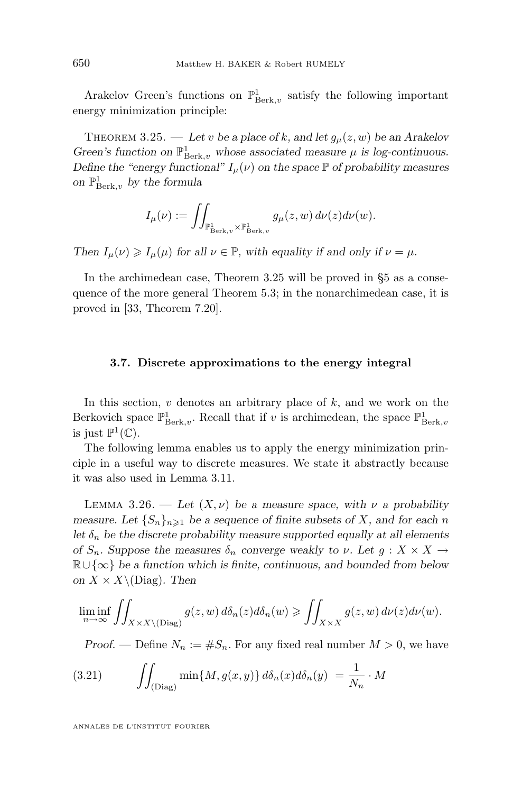<span id="page-26-0"></span>Arakelov Green's functions on  $\mathbb{P}^1_{\operatorname{Berk},v}$  satisfy the following important energy minimization principle:

THEOREM 3.25. — Let v be a place of k, and let  $g_\mu(z, w)$  be an Arakelov Green's function on  $\mathbb{P}^1_{\operatorname{Berk},v}$  whose associated measure  $\mu$  is log-continuous. *Define the "energy functional"*  $I_{\mu}(\nu)$  *on the space*  $\mathbb{P}$  *of probability measures on* P 1 Berk,v *by the formula*

$$
I_{\mu}(\nu):=\iint_{\mathbb{P}^1_{\operatorname{Berk},v}\times\mathbb{P}^1_{\operatorname{Berk},v}}g_{\mu}(z,w)\,d\nu(z)d\nu(w).
$$

*Then*  $I_u(\nu) \ge I_u(\mu)$  *for all*  $\nu \in \mathbb{P}$ *, with equality if and only if*  $\nu = \mu$ *.* 

In the archimedean case, Theorem 3.25 will be proved in [§5](#page-35-0) as a consequence of the more general Theorem [5.3;](#page-37-0) in the nonarchimedean case, it is proved in [\[33,](#page-64-0) Theorem 7.20].

#### **3.7. Discrete approximations to the energy integral**

In this section,  $v$  denotes an arbitrary place of  $k$ , and we work on the Berkovich space  $\mathbb{P}^1_{\operatorname{Berk},v}$ . Recall that if v is archimedean, the space  $\mathbb{P}^1_{\operatorname{Berk},v}$ is just  $\mathbb{P}^1(\mathbb{C})$ .

The following lemma enables us to apply the energy minimization principle in a useful way to discrete measures. We state it abstractly because it was also used in Lemma [3.11.](#page-14-0)

LEMMA 3.26. — Let  $(X, \nu)$  be a measure space, with  $\nu$  a probability *measure.* Let  ${S_n}_{n \geq 1}$  be a sequence of finite subsets of X, and for each n *let*  $\delta_n$  *be the discrete probability measure supported equally at all elements of*  $S_n$ *. Suppose the measures*  $\delta_n$  *converge weakly to*  $\nu$ *. Let*  $g: X \times X \rightarrow$ R∪ {∞} *be a function which is finite, continuous, and bounded from below on*  $X \times X \setminus (Diag)$ *. Then* 

$$
\liminf_{n \to \infty} \iint_{X \times X \setminus (\text{Diag})} g(z, w) d\delta_n(z) d\delta_n(w) \ge \iint_{X \times X} g(z, w) d\nu(z) d\nu(w).
$$

*Proof.* — Define  $N_n := \#S_n$ . For any fixed real number  $M > 0$ , we have

(3.21) 
$$
\iint_{(\text{Diag})} \min\{M, g(x, y)\} d\delta_n(x) d\delta_n(y) = \frac{1}{N_n} \cdot M
$$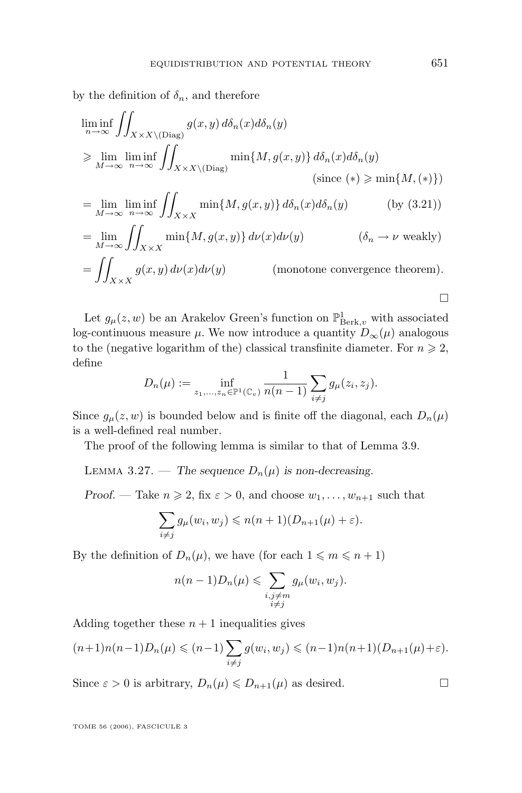<span id="page-27-0"></span>by the definition of  $\delta_n$ , and therefore

$$
\liminf_{n \to \infty} \iint_{X \times X \setminus (\text{Diag})} g(x, y) d\delta_n(x) d\delta_n(y)
$$
\n
$$
\geq \lim_{M \to \infty} \liminf_{n \to \infty} \iint_{X \times X \setminus (\text{Diag})} \min\{M, g(x, y)\} d\delta_n(x) d\delta_n(y)
$$
\n(since (\*)  $\geq \min\{M, (*)\}$ )\n  
\n
$$
= \lim_{M \to \infty} \liminf_{n \to \infty} \iint_{X \times X} \min\{M, g(x, y)\} d\delta_n(x) d\delta_n(y)
$$
 (by (3.21))\n  
\n
$$
= \lim_{M \to \infty} \iint_{X \times X} \min\{M, g(x, y)\} d\nu(x) d\nu(y)
$$
 ( $\delta_n \to \nu$  weakly)\n  
\n
$$
= \iint_{X \times X} g(x, y) d\nu(x) d\nu(y)
$$
 (monotone convergence theorem).

Let  $g_{\mu}(z, w)$  be an Arakelov Green's function on  $\mathbb{P}^1_{\operatorname{Berk},v}$  with associated log-continuous measure  $\mu$ . We now introduce a quantity  $D_{\infty}(\mu)$  analogous to the (negative logarithm of the) classical transfinite diameter. For  $n \geq 2$ , define

$$
D_n(\mu) := \inf_{z_1, ..., z_n \in \mathbb{P}^1(\mathbb{C}_v)} \frac{1}{n(n-1)} \sum_{i \neq j} g_{\mu}(z_i, z_j).
$$

Since  $g_{\mu}(z, w)$  is bounded below and is finite off the diagonal, each  $D_n(\mu)$ is a well-defined real number.

The proof of the following lemma is similar to that of Lemma [3.9.](#page-13-0)

LEMMA 3.27. — The sequence  $D_n(\mu)$  is non-decreasing.

*Proof.* — Take  $n \ge 2$ , fix  $\varepsilon > 0$ , and choose  $w_1, \ldots, w_{n+1}$  such that

$$
\sum_{i \neq j} g_{\mu}(w_i, w_j) \leq n(n+1)(D_{n+1}(\mu) + \varepsilon).
$$

By the definition of  $D_n(\mu)$ , we have (for each  $1 \leq m \leq n+1$ )

$$
n(n-1)D_n(\mu) \leqslant \sum_{\substack{i,j\neq m\\i\neq j}} g_\mu(w_i, w_j).
$$

Adding together these  $n + 1$  inequalities gives

$$
(n+1)n(n-1)D_n(\mu) \leqslant (n-1)\sum_{i\neq j} g(w_i, w_j) \leqslant (n-1)n(n+1)(D_{n+1}(\mu)+\varepsilon).
$$

Since  $\varepsilon > 0$  is arbitrary,  $D_n(\mu) \leq D_{n+1}(\mu)$  as desired.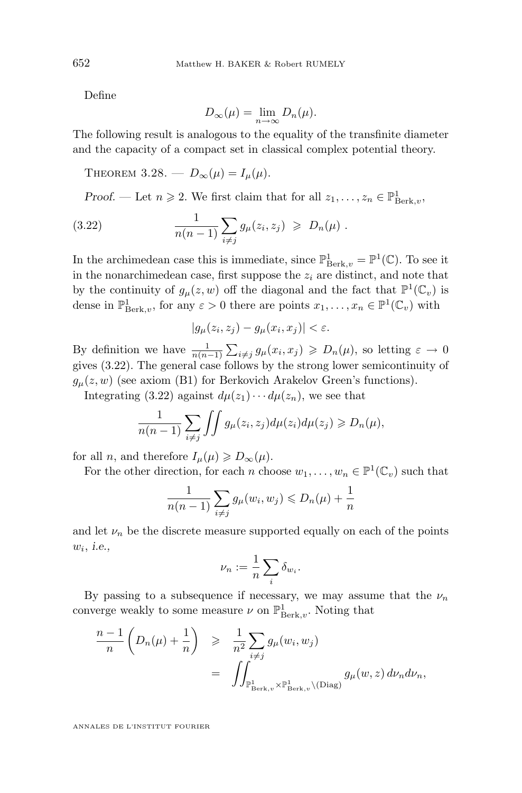Define

$$
D_{\infty}(\mu) = \lim_{n \to \infty} D_n(\mu).
$$

The following result is analogous to the equality of the transfinite diameter and the capacity of a compact set in classical complex potential theory.

THEOREM 3.28. —  $D_{\infty}(\mu) = I_{\mu}(\mu)$ .

*Proof.* — Let  $n \ge 2$ . We first claim that for all  $z_1, \ldots, z_n \in \mathbb{P}^1_{\text{Berk},v}$ ,

(3.22) 
$$
\frac{1}{n(n-1)} \sum_{i \neq j} g_{\mu}(z_i, z_j) \geq D_n(\mu) .
$$

In the archimedean case this is immediate, since  $\mathbb{P}^1_{\operatorname{Berk},v} = \mathbb{P}^1(\mathbb{C})$ . To see it in the nonarchimedean case, first suppose the  $z_i$  are distinct, and note that by the continuity of  $g_{\mu}(z, w)$  off the diagonal and the fact that  $\mathbb{P}^1(\mathbb{C}_v)$  is dense in  $\mathbb{P}^1_{\text{Berk},v}$ , for any  $\varepsilon > 0$  there are points  $x_1, \ldots, x_n \in \mathbb{P}^1(\mathbb{C}_v)$  with

$$
|g_{\mu}(z_i, z_j) - g_{\mu}(x_i, x_j)| < \varepsilon.
$$

By definition we have  $\frac{1}{n(n-1)}\sum_{i\neq j}g_{\mu}(x_i,x_j) \geqslant D_n(\mu)$ , so letting  $\varepsilon \to 0$ gives (3.22). The general case follows by the strong lower semicontinuity of  $g_{\mu}(z, w)$  (see axiom (B1) for Berkovich Arakelov Green's functions).

Integrating (3.22) against  $d\mu(z_1)\cdots d\mu(z_n)$ , we see that

$$
\frac{1}{n(n-1)}\sum_{i\neq j}\iint g_{\mu}(z_i,z_j)d\mu(z_i)d\mu(z_j)\geq D_n(\mu),
$$

for all *n*, and therefore  $I_{\mu}(\mu) \geqslant D_{\infty}(\mu)$ .

For the other direction, for each n choose  $w_1, \ldots, w_n \in \mathbb{P}^1(\mathbb{C}_v)$  such that

$$
\frac{1}{n(n-1)}\sum_{i\neq j}g_{\mu}(w_i,w_j)\leq D_n(\mu)+\frac{1}{n}
$$

and let  $\nu_n$  be the discrete measure supported equally on each of the points wi , *i.e.,*

$$
\nu_n := \frac{1}{n} \sum_i \delta_{w_i}.
$$

By passing to a subsequence if necessary, we may assume that the  $\nu_n$ converge weakly to some measure  $\nu$  on  $\mathbb{P}^1_{\operatorname{Berk},v}$ . Noting that

$$
\frac{n-1}{n} \left( D_n(\mu) + \frac{1}{n} \right) \geq \frac{1}{n^2} \sum_{i \neq j} g_{\mu}(w_i, w_j)
$$
  
= 
$$
\iint_{\mathbb{P}^1_{\operatorname{Berk},v} \times \mathbb{P}^1_{\operatorname{Berk},v} \backslash (\operatorname{Diag})} g_{\mu}(w, z) d\nu_n d\nu_n,
$$

<span id="page-28-0"></span>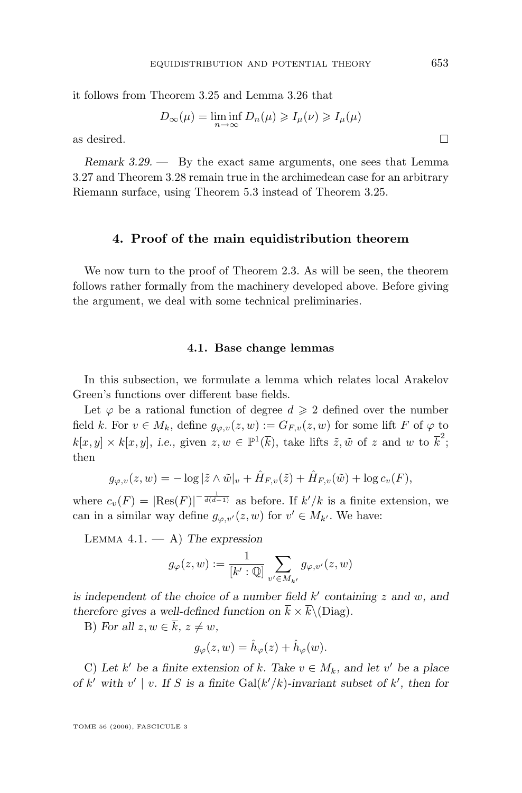it follows from Theorem [3.25](#page-26-0) and Lemma [3.26](#page-26-0) that

$$
D_{\infty}(\mu) = \liminf_{n \to \infty} D_n(\mu) \geqslant I_{\mu}(\nu) \geqslant I_{\mu}(\mu)
$$

as desired.  $\Box$ 

*Remark 3.29. —* By the exact same arguments, one sees that Lemma [3.27](#page-27-0) and Theorem [3.28](#page-28-0) remain true in the archimedean case for an arbitrary Riemann surface, using Theorem [5.3](#page-37-0) instead of Theorem [3.25.](#page-26-0)

#### **4. Proof of the main equidistribution theorem**

We now turn to the proof of Theorem [2.3.](#page-7-0) As will be seen, the theorem follows rather formally from the machinery developed above. Before giving the argument, we deal with some technical preliminaries.

#### **4.1. Base change lemmas**

In this subsection, we formulate a lemma which relates local Arakelov Green's functions over different base fields.

Let  $\varphi$  be a rational function of degree  $d \geq 2$  defined over the number field k. For  $v \in M_k$ , define  $g_{\varphi,v}(z,w) := G_{F,v}(z,w)$  for some lift F of  $\varphi$  to  $k[x, y] \times k[x, y]$ , *i.e.*, given  $z, w \in \mathbb{P}^1(\overline{k})$ , take lifts  $\tilde{z}, \tilde{w}$  of z and w to  $\overline{k}^2$ ; then

$$
g_{\varphi,v}(z,w) = -\log|\tilde{z}\wedge \tilde{w}|_v + \hat{H}_{F,v}(\tilde{z}) + \hat{H}_{F,v}(\tilde{w}) + \log c_v(F),
$$

where  $c_v(F) = |\text{Res}(F)|^{-\frac{1}{d(d-1)}}$  as before. If  $k'/k$  is a finite extension, we can in a similar way define  $g_{\varphi,v'}(z, w)$  for  $v' \in M_{k'}$ . We have:

Lemma 4.1. — A) *The expression*

$$
g_{\varphi}(z,w) := \frac{1}{[k':\mathbb{Q}]} \sum_{v' \in M_{k'}} g_{\varphi,v'}(z,w)
$$

is independent of the choice of a number field  $k'$  containing  $z$  and  $w$ , and *therefore gives a well-defined function on*  $\bar{k} \times \bar{k} \setminus (Diag)$ *.* 

B) For all  $z, w \in \overline{k}$ ,  $z \neq w$ ,

$$
g_{\varphi}(z, w) = \hat{h}_{\varphi}(z) + \hat{h}_{\varphi}(w).
$$

C) Let  $k'$  be a finite extension of k. Take  $v \in M_k$ , and let v' be a place *of*  $k'$  with  $v' \mid v$ . If S is a finite Gal( $k'/k$ )-invariant subset of  $k'$ , then for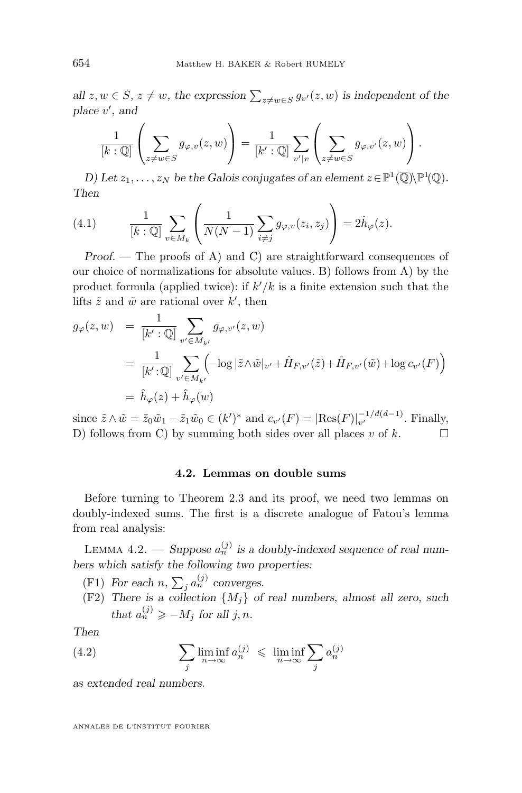*all*  $z, w \in S$ ,  $z \neq w$ , the expression  $\sum_{z \neq w \in S} g_{v'}(z, w)$  is independent of the *place* v 0 *, and*

$$
\frac{1}{[k:\mathbb{Q}]} \left( \sum_{z \neq w \in S} g_{\varphi,v}(z,w) \right) = \frac{1}{[k':\mathbb{Q}]} \sum_{v'|v} \left( \sum_{z \neq w \in S} g_{\varphi,v'}(z,w) \right).
$$

*D)* Let  $z_1, \ldots, z_N$  be the Galois conjugates of an element  $z \in \mathbb{P}^1(\overline{\mathbb{Q}}) \backslash \mathbb{P}^1(\mathbb{Q})$ . *Then*

(4.1) 
$$
\frac{1}{[k:\mathbb{Q}]} \sum_{v \in M_k} \left( \frac{1}{N(N-1)} \sum_{i \neq j} g_{\varphi,v}(z_i, z_j) \right) = 2\hat{h}_{\varphi}(z).
$$

*Proof.* — The proofs of A) and C) are straightforward consequences of our choice of normalizations for absolute values. B) follows from A) by the product formula (applied twice): if  $k'/k$  is a finite extension such that the lifts  $\tilde{z}$  and  $\tilde{w}$  are rational over  $k'$ , then

$$
g_{\varphi}(z, w) = \frac{1}{[k':\mathbb{Q}]} \sum_{v' \in M_{k'}} g_{\varphi, v'}(z, w)
$$
  
= 
$$
\frac{1}{[k':\mathbb{Q}]} \sum_{v' \in M_{k'}} \left( -\log|\tilde{z} \wedge \tilde{w}|_{v'} + \hat{H}_{F, v'}(\tilde{z}) + \hat{H}_{F, v'}(\tilde{w}) + \log c_{v'}(F) \right)
$$
  
= 
$$
\hat{h}_{\varphi}(z) + \hat{h}_{\varphi}(w)
$$

since  $\tilde{z} \wedge \tilde{w} = \tilde{z}_0 \tilde{w}_1 - \tilde{z}_1 \tilde{w}_0 \in (k')^*$  and  $c_{v'}(F) = |\text{Res}(F)|_{v'}^{-1/d(d-1)}$  $v'$  Finally, D) follows from C) by summing both sides over all places v of  $k$ .

#### **4.2. Lemmas on double sums**

Before turning to Theorem [2.3](#page-7-0) and its proof, we need two lemmas on doubly-indexed sums. The first is a discrete analogue of Fatou's lemma from real analysis:

LEMMA  $4.2.$  — *Suppose*  $a_n^{(j)}$  is a doubly-indexed sequence of real num*bers which satisfy the following two properties:*

- (F1) For each  $n, \sum_j a_n^{(j)}$  converges.
- (F2) *There is a collection* {Mj} *of real numbers, almost all zero, such that*  $a_n^{(j)} \ge -M_j$  *for all j*, *n*.

*Then*

(4.2) 
$$
\sum_{j} \liminf_{n \to \infty} a_n^{(j)} \leq \liminf_{n \to \infty} \sum_{j} a_n^{(j)}
$$

*as extended real numbers.*

<span id="page-30-0"></span>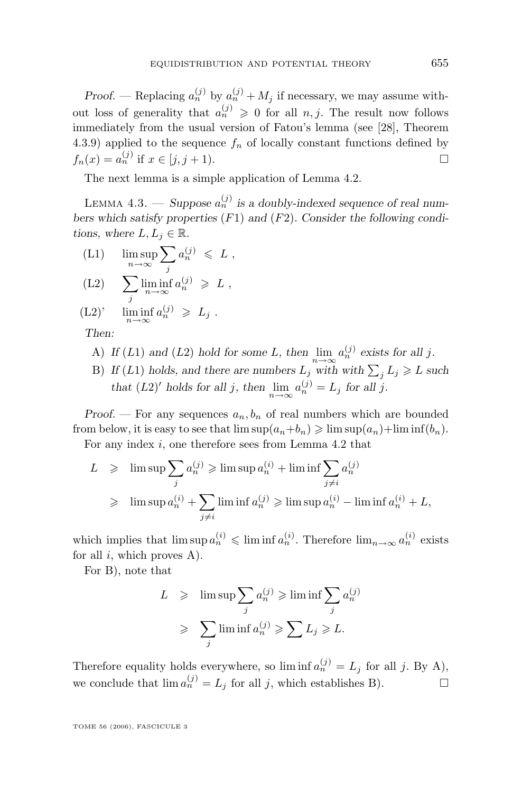<span id="page-31-0"></span>*Proof.* — Replacing  $a_n^{(j)}$  by  $a_n^{(j)} + M_j$  if necessary, we may assume without loss of generality that  $a_n^{(j)} \geq 0$  for all  $n, j$ . The result now follows immediately from the usual version of Fatou's lemma (see [\[28\]](#page-63-0), Theorem 4.3.9) applied to the sequence  $f_n$  of locally constant functions defined by  $f_n(x) = a_n^{(j)}$  if  $x \in [j, j + 1)$ .

The next lemma is a simple application of Lemma [4.2.](#page-30-0)

LEMMA  $4.3.$  — *Suppose*  $a_n^{(j)}$  is a doubly-indexed sequence of real num*bers which satisfy properties* (F1) *and* (F2)*. Consider the following conditions, where*  $L, L_i \in \mathbb{R}$ .

 $\limsup_{n\to\infty}$  $\sum$ j  $a_n^{(j)} \leqslant L$ ,

$$
(L2) \qquad \sum_j \liminf_{n \to \infty} a_n^{(j)} \geqslant L \;,
$$

(L2)'  $\liminf_{n \to \infty} a_n^{(j)} \geq L_j$ .

*Then:*

- A) *If* (*L*1) and (*L*2) *hold for some L*, then  $\lim_{n\to\infty} a_n^{(j)}$  exists for all *j*.
- B) If (L1) holds, and there are numbers  $L_j$  with with  $\sum_j L_j \geq L$  such *that*  $(L2)'$  *holds for all j, then*  $\lim_{n \to \infty} a_n^{(j)} = L_j$  *for all j.*

*Proof.* — For any sequences  $a_n, b_n$  of real numbers which are bounded from below, it is easy to see that  $\limsup(a_n+b_n) \geqslant \limsup(a_n)+\liminf(b_n)$ .

For any index  $i$ , one therefore sees from Lemma [4.2](#page-30-0) that

$$
L \geq \limsup_{j} \sum_{j} a_n^{(j)} \geq \limsup a_n^{(i)} + \liminf_{j \neq i} \sum_{j \neq i} a_n^{(j)}
$$
  

$$
\geq \limsup a_n^{(i)} + \sum_{j \neq i} \liminf a_n^{(j)} \geq \limsup a_n^{(i)} - \liminf a_n^{(i)} + L,
$$

which implies that  $\limsup a_n^{(i)} \leq \liminf a_n^{(i)}$ . Therefore  $\lim_{n\to\infty} a_n^{(i)}$  exists for all  $i$ , which proves A).

For B), note that

$$
L \geq \limsup_{j} \sum_{i} a_n^{(j)} \geq \liminf \sum_{j} a_n^{(j)}
$$
  

$$
\geq \sum_{j} \liminf a_n^{(j)} \geq \sum L_j \geq L.
$$

Therefore equality holds everywhere, so lim inf  $a_n^{(j)} = L_j$  for all j. By A), we conclude that  $\lim a_n^{(j)} = L_j$  for all j, which establishes B).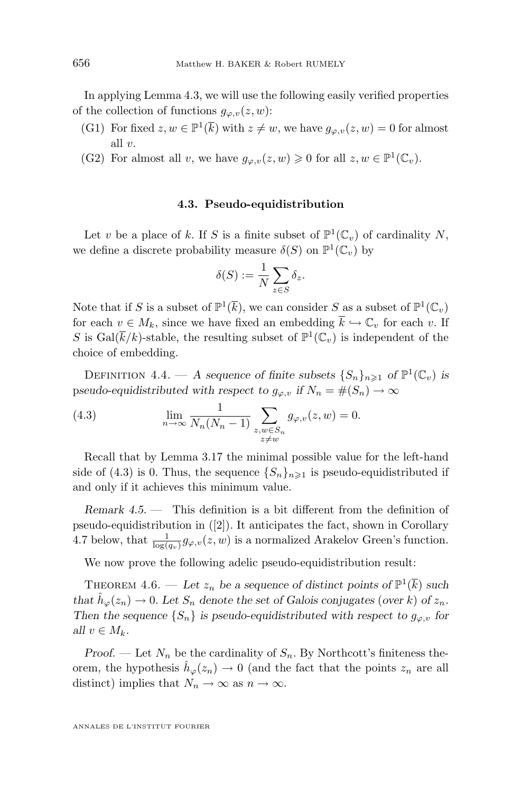<span id="page-32-0"></span>In applying Lemma [4.3,](#page-31-0) we will use the following easily verified properties of the collection of functions  $g_{\varphi,v}(z,w)$ :

- (G1) For fixed  $z, w \in \mathbb{P}^1(\overline{k})$  with  $z \neq w$ , we have  $g_{\varphi, v}(z, w) = 0$  for almost all v.
- (G2) For almost all v, we have  $g_{\varphi,v}(z,w) \geq 0$  for all  $z, w \in \mathbb{P}^1(\mathbb{C}_v)$ .

#### **4.3. Pseudo-equidistribution**

Let v be a place of k. If S is a finite subset of  $\mathbb{P}^1(\mathbb{C}_v)$  of cardinality N, we define a discrete probability measure  $\delta(S)$  on  $\mathbb{P}^1(\mathbb{C}_v)$  by

$$
\delta(S) := \frac{1}{N} \sum_{z \in S} \delta_z.
$$

Note that if S is a subset of  $\mathbb{P}^1(\overline{k})$ , we can consider S as a subset of  $\mathbb{P}^1(\mathbb{C}_v)$ for each  $v \in M_k$ , since we have fixed an embedding  $\overline{k} \hookrightarrow \mathbb{C}_v$  for each v. If S is  $Gal(\overline{k}/k)$ -stable, the resulting subset of  $\mathbb{P}^1(\mathbb{C}_v)$  is independent of the choice of embedding.

DEFINITION 4.4. — A sequence of finite subsets  $\{S_n\}_{n\geq 1}$  of  $\mathbb{P}^1(\mathbb{C}_v)$  is pseudo-equidistributed with respect to  $g_{\varphi,v}$  if  $N_n = \#(S_n) \to \infty$ 

(4.3) 
$$
\lim_{n \to \infty} \frac{1}{N_n (N_n - 1)} \sum_{\substack{z, w \in S_n \\ z \neq w}} g_{\varphi, v}(z, w) = 0.
$$

Recall that by Lemma [3.17](#page-17-0) the minimal possible value for the left-hand side of (4.3) is 0. Thus, the sequence  $\{S_n\}_{n\geq 1}$  is pseudo-equidistributed if and only if it achieves this minimum value.

*Remark 4.5. —* This definition is a bit different from the definition of pseudo-equidistribution in ([\[2\]](#page-62-0)). It anticipates the fact, shown in Corollary [4.7](#page-33-0) below, that  $\frac{1}{\log(q_v)} g_{\varphi,v}(z,w)$  is a normalized Arakelov Green's function.

We now prove the following adelic pseudo-equidistribution result:

THEOREM 4.6. — Let  $z_n$  be a sequence of distinct points of  $\mathbb{P}^1(\overline{k})$  such *that*  $\hat{h}_{\varphi}(z_n) \to 0$ *. Let*  $S_n$  *denote the set of Galois conjugates (over k) of*  $z_n$ *. Then the sequence*  $\{S_n\}$  *is pseudo-equidistributed with respect to*  $g_{\varphi, v}$  *for all*  $v \in M_k$ .

*Proof.* — Let  $N_n$  be the cardinality of  $S_n$ . By Northcott's finiteness theorem, the hypothesis  $\hat{h}_{\varphi}(z_n) \to 0$  (and the fact that the points  $z_n$  are all distinct) implies that  $N_n \to \infty$  as  $n \to \infty$ .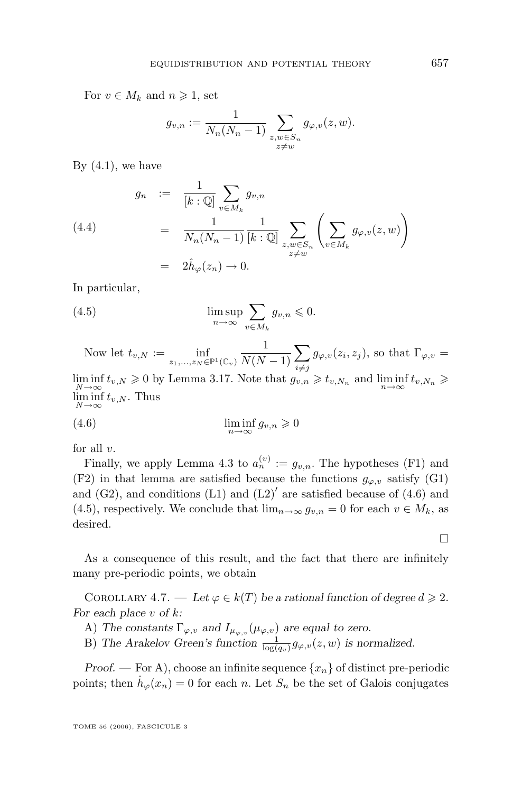<span id="page-33-0"></span>For  $v \in M_k$  and  $n \geqslant 1$ , set

$$
g_{v,n} := \frac{1}{N_n(N_n-1)} \sum_{\substack{z,w \in S_n \\ z \neq w}} g_{\varphi,v}(z,w).
$$

By  $(4.1)$ , we have

(4.4)  
\n
$$
g_n := \frac{1}{[k:\mathbb{Q}]} \sum_{v \in M_k} g_{v,n}
$$
\n
$$
= \frac{1}{N_n(N_n - 1)} \frac{1}{[k:\mathbb{Q}]} \sum_{\substack{z,w \in S_n \\ z \neq w}} \left( \sum_{v \in M_k} g_{\varphi,v}(z,w) \right)
$$
\n
$$
= 2\hat{h}_{\varphi}(z_n) \to 0.
$$

In particular,

(4.5) 
$$
\limsup_{n \to \infty} \sum_{v \in M_k} g_{v,n} \leqslant 0.
$$

Now let  $t_{v,N} := \inf_{z_1,\ldots,z_N \in \mathbb{P}^1(\mathbb{C}_v)}$ 1  $N(N-1)$  $\sum$  $i \neq j$  $g_{\varphi,v}(z_i, z_j)$ , so that  $\Gamma_{\varphi,v} =$ 

 $\liminf_{N \to \infty} t_{v,N} \geqslant 0$  by Lemma [3.17.](#page-17-0) Note that  $g_{v,n} \geqslant t_{v,N_n}$  and  $\liminf_{n \to \infty} t_{v,N_n} \geqslant$  $\liminf_{v \to N} t_{v,N}$ . Thus  $N\rightarrow\infty$ 

(4.6) 
$$
\liminf_{n \to \infty} g_{v,n} \geqslant 0
$$

for all  $v$ .

Finally, we apply Lemma [4.3](#page-31-0) to  $a_n^{(v)} := g_{v,n}$ . The hypotheses (F1) and (F2) in that lemma are satisfied because the functions  $g_{\varphi,v}$  satisfy (G1) and  $(G2)$ , and conditions  $(L1)$  and  $(L2)'$  are satisfied because of  $(4.6)$  and (4.5), respectively. We conclude that  $\lim_{n\to\infty} g_{v,n} = 0$  for each  $v \in M_k$ , as desired.

As a consequence of this result, and the fact that there are infinitely many pre-periodic points, we obtain

COROLLARY 4.7. — Let  $\varphi \in k(T)$  be a rational function of degree  $d \geq 2$ . *For each place* v *of* k*:*

- A) The constants  $\Gamma_{\varphi, v}$  and  $I_{\mu_{\varphi, v}}(\mu_{\varphi, v})$  are equal to zero.
- B) The Arakelov Green's function  $\frac{1}{\log(q_v)} g_{\varphi, v}(z, w)$  is normalized.

*Proof.* — For A), choose an infinite sequence  $\{x_n\}$  of distinct pre-periodic points; then  $\hat{h}_{\varphi}(x_n) = 0$  for each n. Let  $S_n$  be the set of Galois conjugates

 $\Box$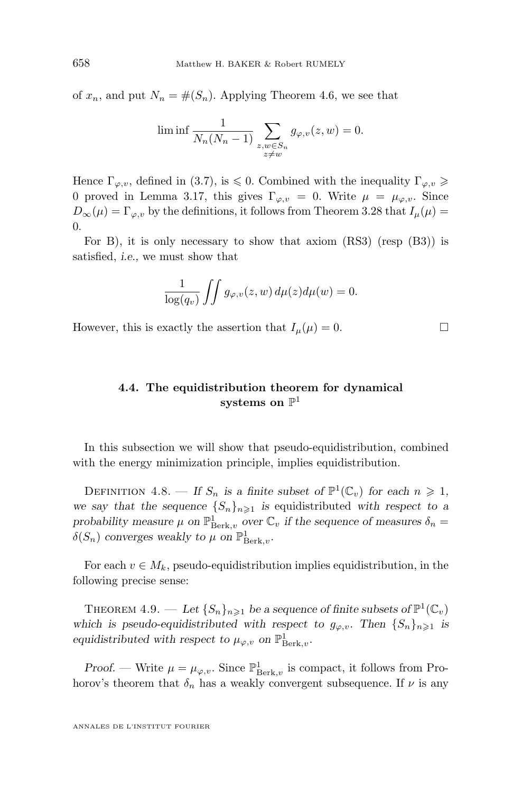<span id="page-34-0"></span>of  $x_n$ , and put  $N_n = \#(S_n)$ . Applying Theorem [4.6,](#page-32-0) we see that

$$
\liminf \frac{1}{N_n(N_n-1)} \sum_{\substack{z,w \in S_n \\ z \neq w}} g_{\varphi,v}(z,w) = 0.
$$

Hence  $\Gamma_{\varphi,v}$ , defined in [\(3.7\)](#page-17-0), is  $\leqslant$  0. Combined with the inequality  $\Gamma_{\varphi,v} \geqslant$ 0 proved in Lemma [3.17,](#page-17-0) this gives  $\Gamma_{\varphi,v} = 0$ . Write  $\mu = \mu_{\varphi,v}$ . Since  $D_{\infty}(\mu) = \Gamma_{\varphi, v}$  by the definitions, it follows from Theorem [3.28](#page-28-0) that  $I_{\mu}(\mu) =$  $\Omega$ .

For B), it is only necessary to show that axiom  $(RS3)$  (resp  $(B3)$ ) is satisfied, *i.e.,* we must show that

$$
\frac{1}{\log(q_v)}\int\int g_{\varphi,v}(z,w)\,d\mu(z)d\mu(w)=0.
$$

However, this is exactly the assertion that  $I_{\mu}(\mu) = 0$ .

### **4.4. The equidistribution theorem for dynamical**  $\mathbf{s}$ ystems on  $\mathbb{P}^1$

In this subsection we will show that pseudo-equidistribution, combined with the energy minimization principle, implies equidistribution.

DEFINITION 4.8. — If  $S_n$  is a finite subset of  $\mathbb{P}^1(\mathbb{C}_v)$  for each  $n \geq 1$ , *we say that the sequence*  ${S_n}_{n\geq 1}$  *is* equidistributed *with respect to a probability measure*  $\mu$  *on*  $\mathbb{P}^1_{\operatorname{Berk},v}$  *over*  $\mathbb{C}_v$  *if the sequence of measures*  $\delta_n =$  $\delta(S_n)$  converges weakly to  $\mu$  on  $\mathbb{P}^1_{\operatorname{Berk},v}$ .

For each  $v \in M_k$ , pseudo-equidistribution implies equidistribution, in the following precise sense:

THEOREM 4.9. — Let  $\{S_n\}_{n\geqslant 1}$  be a sequence of finite subsets of  $\mathbb{P}^1(\mathbb{C}_v)$ *which is pseudo-equidistributed with respect to*  $g_{\varphi,v}$ *. Then*  $\{S_n\}_{n\geq 1}$  *is equidistributed with respect to*  $\mu_{\varphi, v}$  *on*  $\mathbb{P}^1_{\text{Berk}, v}$ *.* 

*Proof.* — Write  $\mu = \mu_{\varphi,v}$ . Since  $\mathbb{P}^1_{\text{Berk},v}$  is compact, it follows from Prohorov's theorem that  $\delta_n$  has a weakly convergent subsequence. If  $\nu$  is any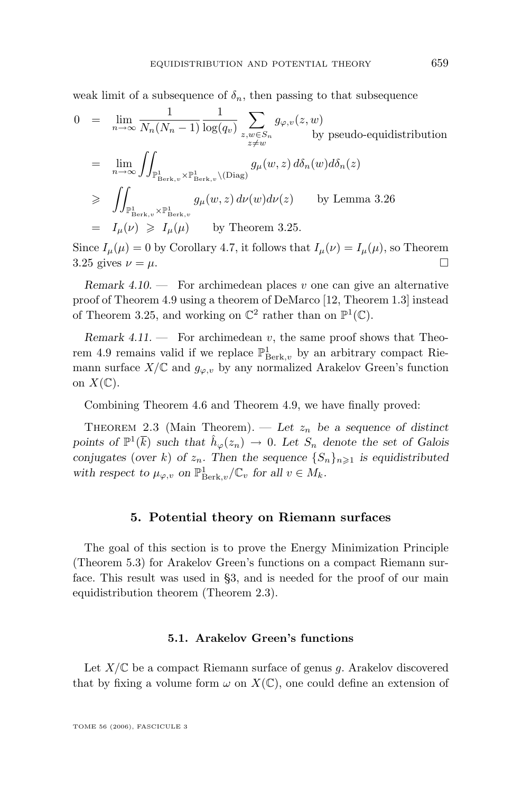<span id="page-35-0"></span>weak limit of a subsequence of  $\delta_n$ , then passing to that subsequence

$$
0 = \lim_{n \to \infty} \frac{1}{N_n(N_n - 1)} \frac{1}{\log(q_v)} \sum_{z, w \in S_n} g_{\varphi, v}(z, w)
$$
  
\n
$$
= \lim_{n \to \infty} \iint_{\mathbb{P}^1_{\operatorname{Berk}, v} \times \mathbb{P}^1_{\operatorname{Berk}, v} \backslash (\operatorname{Diag})} g_{\mu}(w, z) d\delta_n(w) d\delta_n(z)
$$
  
\n
$$
\geq \iint_{\mathbb{P}^1_{\operatorname{Berk}, v} \times \mathbb{P}^1_{\operatorname{Berk}, v}} g_{\mu}(w, z) d\nu(w) d\nu(z) \qquad \text{by Lemma 3.26}
$$
  
\n
$$
= I_{\mu}(\nu) \geq I_{\mu}(\mu) \qquad \text{by Theorem 3.25.}
$$

Since  $I_{\mu}(\mu) = 0$  by Corollary [4.7,](#page-33-0) it follows that  $I_{\mu}(\nu) = I_{\mu}(\mu)$ , so Theorem [3.25](#page-26-0) gives  $\nu = \mu$ .

*Remark 4.10. —* For archimedean places v one can give an alternative proof of Theorem [4.9](#page-34-0) using a theorem of DeMarco [\[12,](#page-63-0) Theorem 1.3] instead of Theorem [3.25,](#page-26-0) and working on  $\mathbb{C}^2$  rather than on  $\mathbb{P}^1(\mathbb{C})$ .

*Remark 4.11.* — For archimedean v, the same proof shows that Theo-rem [4.9](#page-34-0) remains valid if we replace  $\mathbb{P}^1_{\operatorname{Berk},v}$  by an arbitrary compact Riemann surface  $X/\mathbb{C}$  and  $g_{\varphi,v}$  by any normalized Arakelov Green's function on  $X(\mathbb{C})$ .

Combining Theorem [4.6](#page-32-0) and Theorem [4.9,](#page-34-0) we have finally proved:

THEOREM [2.3](#page-7-0) (Main Theorem). — Let  $z_n$  be a sequence of distinct points of  $\mathbb{P}^1(\overline{k})$  *such that*  $\hat{h}_{\varphi}(z_n) \to 0$ *. Let*  $S_n$  *denote the set of Galois conjugates* (*over* k) of  $z_n$ . Then the sequence  $\{S_n\}_{n\geq 1}$  is equidistributed with respect to  $\mu_{\varphi, v}$  on  $\mathbb{P}^1_{\operatorname{Berk}, v} / \mathbb{C}_v$  for all  $v \in M_k$ .

#### **5. Potential theory on Riemann surfaces**

The goal of this section is to prove the Energy Minimization Principle (Theorem [5.3\)](#page-37-0) for Arakelov Green's functions on a compact Riemann surface. This result was used in [§3,](#page-8-0) and is needed for the proof of our main equidistribution theorem (Theorem [2.3\)](#page-7-0).

#### **5.1. Arakelov Green's functions**

Let  $X/\mathbb{C}$  be a compact Riemann surface of genus g. Arakelov discovered that by fixing a volume form  $\omega$  on  $X(\mathbb{C})$ , one could define an extension of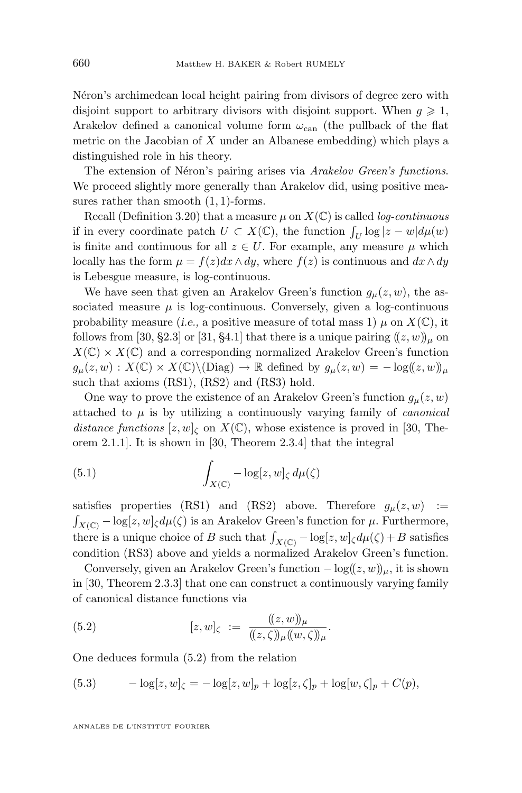<span id="page-36-0"></span>Néron's archimedean local height pairing from divisors of degree zero with disjoint support to arbitrary divisors with disjoint support. When  $q \geq 1$ , Arakelov defined a canonical volume form  $\omega_{\rm can}$  (the pullback of the flat metric on the Jacobian of  $X$  under an Albanese embedding) which plays a distinguished role in his theory.

The extension of Néron's pairing arises via *Arakelov Green's functions*. We proceed slightly more generally than Arakelov did, using positive measures rather than smooth  $(1, 1)$ -forms.

Recall (Definition [3.20\)](#page-21-0) that a measure  $\mu$  on  $X(\mathbb{C})$  is called *log-continuous* if in every coordinate patch  $U \subset X(\mathbb{C})$ , the function  $\int_U \log |z - w| d\mu(w)$ is finite and continuous for all  $z \in U$ . For example, any measure  $\mu$  which locally has the form  $\mu = f(z)dx \wedge dy$ , where  $f(z)$  is continuous and  $dx \wedge dy$ is Lebesgue measure, is log-continuous.

We have seen that given an Arakelov Green's function  $g_{\mu}(z, w)$ , the associated measure  $\mu$  is log-continuous. Conversely, given a log-continuous probability measure (*i.e.*, a positive measure of total mass 1)  $\mu$  on  $X(\mathbb{C})$ , it follows from [\[30,](#page-64-0) §2.3] or [\[31,](#page-64-0) §4.1] that there is a unique pairing  $((z, w)_{\mu}$  on  $X(\mathbb{C}) \times X(\mathbb{C})$  and a corresponding normalized Arakelov Green's function  $g_{\mu}(z,w): X(\mathbb{C}) \times X(\mathbb{C}) \backslash (\text{Diag}) \to \mathbb{R}$  defined by  $g_{\mu}(z,w) = -\log((z,w))_{\mu}$ such that axioms (RS1), (RS2) and (RS3) hold.

One way to prove the existence of an Arakelov Green's function  $g_{\mu}(z, w)$ attached to  $\mu$  is by utilizing a continuously varying family of *canonical distance functions*  $[z, w]_{\zeta}$  on  $X(\mathbb{C})$ , whose existence is proved in [\[30,](#page-64-0) Theorem 2.1.1]. It is shown in [\[30,](#page-64-0) Theorem 2.3.4] that the integral

(5.1) 
$$
\int_{X(\mathbb{C})} -\log[z, w]_{\zeta} d\mu(\zeta)
$$

satisfies properties (RS1) and (RS2) above. Therefore  $g_{\mu}(z, w)$  :=  $\int_{X(\mathbb{C})} -\log[z, w]_{\zeta} d\mu(\zeta)$  is an Arakelov Green's function for  $\mu$ . Furthermore, there is a unique choice of B such that  $\int_{X(\mathbb{C})} -\log[z, w]_{\zeta} d\mu(\zeta) + B$  satisfies condition (RS3) above and yields a normalized Arakelov Green's function.

Conversely, given an Arakelov Green's function  $-\log((z, w))_{\mu}$ , it is shown in [\[30,](#page-64-0) Theorem 2.3.3] that one can construct a continuously varying family of canonical distance functions via

(5.2) 
$$
[z, w]_{\zeta} := \frac{(\!(z, w)\!)_{\mu}}{(\!(z, \zeta)\!)_{\mu}(\!(w, \zeta)\!)_{\mu}}.
$$

One deduces formula (5.2) from the relation

(5.3) 
$$
-\log[z, w]_{\zeta} = -\log[z, w]_p + \log[z, \zeta]_p + \log[w, \zeta]_p + C(p),
$$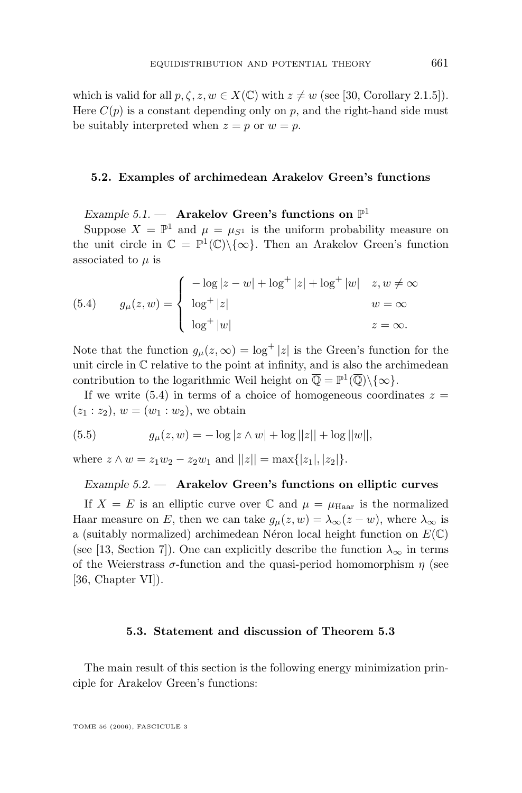<span id="page-37-0"></span>which is valid for all  $p, \zeta, z, w \in X(\mathbb{C})$  with  $z \neq w$  (see [\[30,](#page-64-0) Corollary 2.1.5]). Here  $C(p)$  is a constant depending only on p, and the right-hand side must be suitably interpreted when  $z = p$  or  $w = p$ .

#### **5.2. Examples of archimedean Arakelov Green's functions**

*Example 5.1. —* **Arakelov Green's functions on** P 1

Suppose  $X = \mathbb{P}^1$  and  $\mu = \mu_{S^1}$  is the uniform probability measure on the unit circle in  $\mathbb{C} = \mathbb{P}^1(\mathbb{C}) \setminus \{ \infty \}.$  Then an Arakelov Green's function associated to  $\mu$  is

(5.4) 
$$
g_{\mu}(z, w) = \begin{cases} -\log|z - w| + \log^{+}|z| + \log^{+}|w| & z, w \neq \infty \\ \log^{+}|z| & w = \infty \\ \log^{+}|w| & z = \infty. \end{cases}
$$

Note that the function  $g_{\mu}(z,\infty) = \log^{+} |z|$  is the Green's function for the unit circle in  $\mathbb C$  relative to the point at infinity, and is also the archimedean contribution to the logarithmic Weil height on  $\overline{\mathbb{Q}} = \mathbb{P}^1(\overline{\mathbb{Q}})\setminus\{\infty\}.$ 

If we write  $(5.4)$  in terms of a choice of homogeneous coordinates  $z =$  $(z_1 : z_2), w = (w_1 : w_2)$ , we obtain

(5.5) 
$$
g_{\mu}(z, w) = -\log|z \wedge w| + \log||z|| + \log||w||,
$$

where  $z \wedge w = z_1w_2 - z_2w_1$  and  $||z|| = \max\{|z_1|, |z_2|\}.$ 

#### *Example 5.2. —* **Arakelov Green's functions on elliptic curves**

If  $X = E$  is an elliptic curve over  $\mathbb C$  and  $\mu = \mu_{\text{Haar}}$  is the normalized Haar measure on E, then we can take  $g_{\mu}(z, w) = \lambda_{\infty}(z - w)$ , where  $\lambda_{\infty}$  is a (suitably normalized) archimedean Néron local height function on  $E(\mathbb{C})$ (see [\[13,](#page-63-0) Section 7]). One can explicitly describe the function  $\lambda_{\infty}$  in terms of the Weierstrass  $\sigma$ -function and the quasi-period homomorphism  $\eta$  (see [\[36,](#page-64-0) Chapter VI]).

#### **5.3. Statement and discussion of Theorem 5.3**

The main result of this section is the following energy minimization principle for Arakelov Green's functions: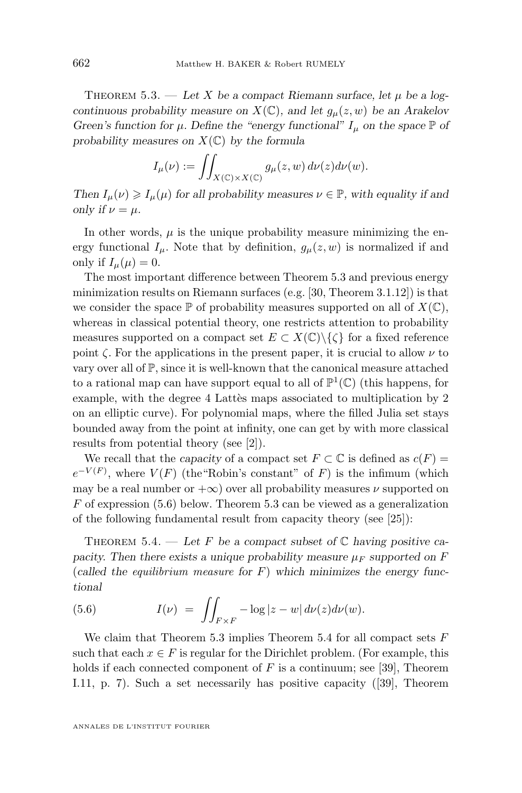<span id="page-38-0"></span>THEOREM  $5.3.$  — Let X be a compact Riemann surface, let  $\mu$  be a log*continuous probability measure on*  $X(\mathbb{C})$ *, and let*  $g_\mu(z, w)$  *be an Arakelov Green's function for*  $\mu$ *. Define the "energy functional"*  $I_{\mu}$  *on the space*  $\mathbb{P}$  *of probability measures on* X(C) *by the formula*

$$
I_{\mu}(\nu) := \iint_{X(\mathbb{C}) \times X(\mathbb{C})} g_{\mu}(z, w) d\nu(z) d\nu(w).
$$

*Then*  $I_{\mu}(\nu) \geq I_{\mu}(\mu)$  *for all probability measures*  $\nu \in \mathbb{P}$ *, with equality if and only if*  $\nu = \mu$ *.* 

In other words,  $\mu$  is the unique probability measure minimizing the energy functional  $I_{\mu}$ . Note that by definition,  $g_{\mu}(z, w)$  is normalized if and only if  $I_{\mu}(\mu) = 0$ .

The most important difference between Theorem [5.3](#page-37-0) and previous energy minimization results on Riemann surfaces (e.g. [\[30,](#page-64-0) Theorem 3.1.12]) is that we consider the space  $\mathbb P$  of probability measures supported on all of  $X(\mathbb C)$ , whereas in classical potential theory, one restricts attention to probability measures supported on a compact set  $E \subset X(\mathbb{C})\backslash\{\zeta\}$  for a fixed reference point  $\zeta$ . For the applications in the present paper, it is crucial to allow  $\nu$  to vary over all of  $\mathbb{P}$ , since it is well-known that the canonical measure attached to a rational map can have support equal to all of  $\mathbb{P}^1(\mathbb{C})$  (this happens, for example, with the degree 4 Lattès maps associated to multiplication by 2 on an elliptic curve). For polynomial maps, where the filled Julia set stays bounded away from the point at infinity, one can get by with more classical results from potential theory (see [\[2\]](#page-62-0)).

We recall that the *capacity* of a compact set  $F \subset \mathbb{C}$  is defined as  $c(F) =$  $e^{-V(F)}$ , where  $V(F)$  (the "Robin's constant" of F) is the infimum (which may be a real number or  $+\infty$ ) over all probability measures  $\nu$  supported on  $F$  of expression (5.6) below. Theorem [5.3](#page-37-0) can be viewed as a generalization of the following fundamental result from capacity theory (see [\[25\]](#page-63-0)):

THEOREM 5.4. — Let F be a compact subset of  $\mathbb C$  having positive ca*pacity. Then there exists a unique probability measure*  $\mu_F$  *supported on* F (*called the equilibrium measure for* F) *which minimizes the energy functional*

(5.6) 
$$
I(\nu) = \iint_{F \times F} -\log|z - w| d\nu(z) d\nu(w).
$$

We claim that Theorem [5.3](#page-37-0) implies Theorem 5.4 for all compact sets  $F$ such that each  $x \in F$  is regular for the Dirichlet problem. (For example, this holds if each connected component of  $F$  is a continuum; see [\[39\]](#page-64-0), Theorem I.11, p. 7). Such a set necessarily has positive capacity ([\[39\]](#page-64-0), Theorem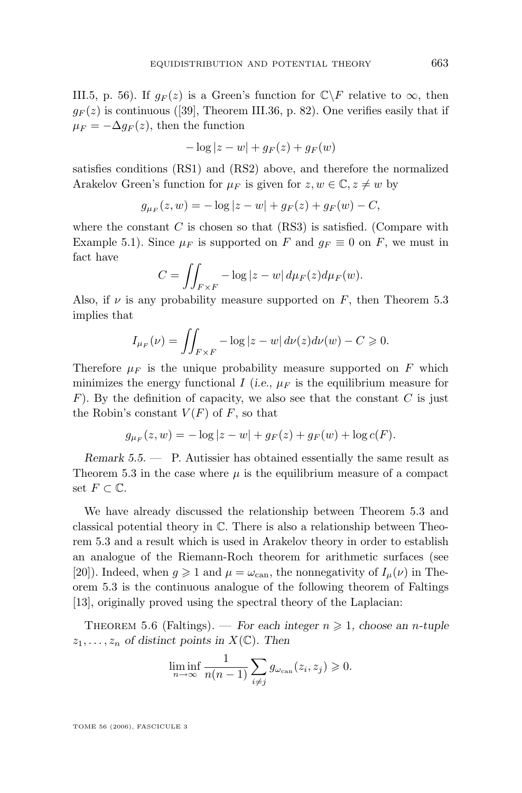<span id="page-39-0"></span>III.5, p. 56). If  $g_F(z)$  is a Green's function for  $\mathbb{C}\backslash F$  relative to  $\infty$ , then  $g_F(z)$  is continuous ([\[39\]](#page-64-0), Theorem III.36, p. 82). One verifies easily that if  $\mu_F = -\Delta g_F(z)$ , then the function

$$
-\log|z-w| + g_F(z) + g_F(w)
$$

satisfies conditions (RS1) and (RS2) above, and therefore the normalized Arakelov Green's function for  $\mu_F$  is given for  $z, w \in \mathbb{C}, z \neq w$  by

$$
g_{\mu_F}(z, w) = -\log|z - w| + g_F(z) + g_F(w) - C,
$$

where the constant  $C$  is chosen so that  $(RS3)$  is satisfied. (Compare with Example [5.1\)](#page-37-0). Since  $\mu_F$  is supported on F and  $g_F \equiv 0$  on F, we must in fact have

$$
C = \iint_{F \times F} -\log|z - w| \, d\mu_F(z) d\mu_F(w).
$$

Also, if  $\nu$  is any probability measure supported on F, then Theorem [5.3](#page-37-0) implies that

$$
I_{\mu_F}(\nu) = \iint_{F \times F} -\log|z - w| \, d\nu(z) d\nu(w) - C \geq 0.
$$

Therefore  $\mu_F$  is the unique probability measure supported on F which minimizes the energy functional I (*i.e.*,  $\mu_F$  is the equilibrium measure for  $F$ ). By the definition of capacity, we also see that the constant  $C$  is just the Robin's constant  $V(F)$  of F, so that

$$
g_{\mu_F}(z, w) = -\log|z - w| + g_F(z) + g_F(w) + \log c(F).
$$

*Remark 5.5. —* P. Autissier has obtained essentially the same result as Theorem [5.3](#page-37-0) in the case where  $\mu$  is the equilibrium measure of a compact set  $F \subset \mathbb{C}$ .

We have already discussed the relationship between Theorem [5.3](#page-37-0) and classical potential theory in C. There is also a relationship between Theorem [5.3](#page-37-0) and a result which is used in Arakelov theory in order to establish an analogue of the Riemann-Roch theorem for arithmetic surfaces (see [\[20\]](#page-63-0)). Indeed, when  $g \ge 1$  and  $\mu = \omega_{\text{can}}$ , the nonnegativity of  $I_{\mu}(\nu)$  in Theorem [5.3](#page-37-0) is the continuous analogue of the following theorem of Faltings [\[13\]](#page-63-0), originally proved using the spectral theory of the Laplacian:

THEOREM 5.6 (Faltings). — *For each integer*  $n \ge 1$ , choose an *n*-tuple  $z_1, \ldots, z_n$  of distinct points in  $X(\mathbb{C})$ . Then

$$
\liminf_{n \to \infty} \frac{1}{n(n-1)} \sum_{i \neq j} g_{\omega_{\text{can}}}(z_i, z_j) \geq 0.
$$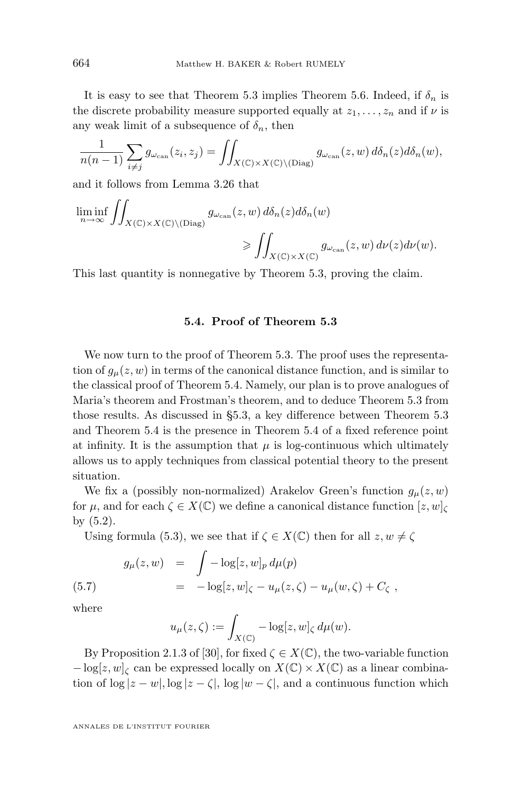It is easy to see that Theorem [5.3](#page-37-0) implies Theorem [5.6.](#page-39-0) Indeed, if  $\delta_n$  is the discrete probability measure supported equally at  $z_1, \ldots, z_n$  and if  $\nu$  is any weak limit of a subsequence of  $\delta_n$ , then

$$
\frac{1}{n(n-1)}\sum_{i\neq j}g_{\omega_{\text{can}}}(z_i,z_j)=\iint_{X(\mathbb{C})\times X(\mathbb{C})\backslash(\text{Diag})}g_{\omega_{\text{can}}}(z,w)\,d\delta_n(z)d\delta_n(w),
$$

and it follows from Lemma [3.26](#page-26-0) that

$$
\liminf_{n \to \infty} \iint_{X(\mathbb{C}) \times X(\mathbb{C}) \backslash (\text{Diag})} g_{\omega_{\text{can}}}(z, w) d\delta_n(z) d\delta_n(w)
$$
  

$$
\geqslant \iint_{X(\mathbb{C}) \times X(\mathbb{C})} g_{\omega_{\text{can}}}(z, w) d\nu(z) d\nu(w).
$$

This last quantity is nonnegative by Theorem [5.3,](#page-37-0) proving the claim.

#### **5.4. Proof of Theorem [5.3](#page-37-0)**

We now turn to the proof of Theorem [5.3.](#page-37-0) The proof uses the representation of  $g_{\mu}(z, w)$  in terms of the canonical distance function, and is similar to the classical proof of Theorem [5.4.](#page-38-0) Namely, our plan is to prove analogues of Maria's theorem and Frostman's theorem, and to deduce Theorem [5.3](#page-37-0) from those results. As discussed in [§5.3,](#page-37-0) a key difference between Theorem [5.3](#page-37-0) and Theorem [5.4](#page-38-0) is the presence in Theorem [5.4](#page-38-0) of a fixed reference point at infinity. It is the assumption that  $\mu$  is log-continuous which ultimately allows us to apply techniques from classical potential theory to the present situation.

We fix a (possibly non-normalized) Arakelov Green's function  $g_{\mu}(z, w)$ for  $\mu$ , and for each  $\zeta \in X(\mathbb{C})$  we define a canonical distance function  $[z, w]_{\zeta}$ by [\(5.2\)](#page-36-0).

Using formula [\(5.3\)](#page-36-0), we see that if  $\zeta \in X(\mathbb{C})$  then for all  $z, w \neq \zeta$ 

(5.7) 
$$
g_{\mu}(z, w) = \int -\log[z, w]_p d\mu(p)
$$

$$
= -\log[z, w]_{\zeta} - u_{\mu}(z, \zeta) - u_{\mu}(w, \zeta) + C_{\zeta},
$$

where

$$
u_{\mu}(z,\zeta) := \int_{X(\mathbb{C})} -\log[z,w]_{\zeta} d\mu(w).
$$

By Proposition 2.1.3 of [\[30\]](#page-64-0), for fixed  $\zeta \in X(\mathbb{C})$ , the two-variable function  $-\log[z, w]_C$  can be expressed locally on  $X(\mathbb{C}) \times X(\mathbb{C})$  as a linear combination of  $\log |z - w|$ ,  $\log |z - \zeta|$ ,  $\log |w - \zeta|$ , and a continuous function which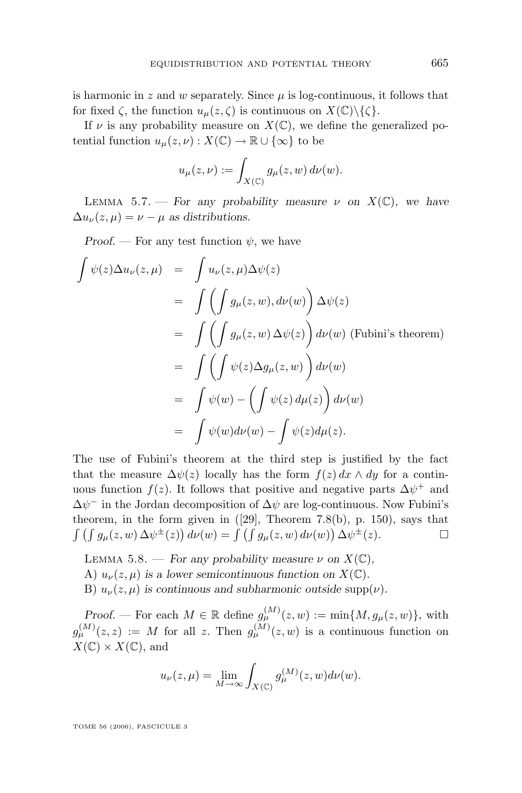<span id="page-41-0"></span>is harmonic in z and w separately. Since  $\mu$  is log-continuous, it follows that for fixed  $\zeta$ , the function  $u_{\mu}(z,\zeta)$  is continuous on  $X(\mathbb{C})\backslash\{\zeta\}.$ 

If  $\nu$  is any probability measure on  $X(\mathbb{C})$ , we define the generalized potential function  $u_{\mu}(z, \nu) : X(\mathbb{C}) \to \mathbb{R} \cup \{\infty\}$  to be

$$
u_{\mu}(z,\nu) := \int_{X(\mathbb{C})} g_{\mu}(z,w) d\nu(w).
$$

LEMMA 5.7. — *For any probability measure*  $\nu$  *on*  $X(\mathbb{C})$ *, we have*  $\Delta u_{\nu}(z,\mu) = \nu - \mu$  as distributions.

*Proof.* — For any test function  $\psi$ , we have

$$
\int \psi(z)\Delta u_{\nu}(z,\mu) = \int u_{\nu}(z,\mu)\Delta\psi(z)
$$
\n
$$
= \int \left(\int g_{\mu}(z,w), d\nu(w)\right) \Delta\psi(z)
$$
\n
$$
= \int \left(\int g_{\mu}(z,w)\Delta\psi(z)\right) d\nu(w) \text{ (Fubini's theorem)}
$$
\n
$$
= \int \left(\int \psi(z)\Delta g_{\mu}(z,w)\right) d\nu(w)
$$
\n
$$
= \int \psi(w) - \left(\int \psi(z)\,d\mu(z)\right) d\nu(w)
$$
\n
$$
= \int \psi(w)d\nu(w) - \int \psi(z)d\mu(z).
$$

The use of Fubini's theorem at the third step is justified by the fact that the measure  $\Delta \psi(z)$  locally has the form  $f(z) dx \wedge dy$  for a continuous function  $f(z)$ . It follows that positive and negative parts  $\Delta \psi^+$  and  $\Delta \psi$ <sup>-</sup> in the Jordan decomposition of  $\Delta \psi$  are log-continuous. Now Fubini's theorem, in the form given in  $([29],$  $([29],$  $([29],$  Theorem 7.8(b), p. 150), says that  $\int \left( \int g_{\mu}(z,w) \, \Delta \psi^{\pm}(z) \right) d\nu(w) = \int \left( \int g_{\mu}(z,w) \, d\nu(w) \right) \Delta \psi^{\pm}(z).$ 

- LEMMA 5.8. *For any probability measure*  $\nu$  *on*  $X(\mathbb{C})$ *,*
- A)  $u_{\nu}(z,\mu)$  *is a lower semicontinuous function on*  $X(\mathbb{C})$ *.*
- B)  $u_{\nu}(z,\mu)$  *is continuous and subharmonic outside* supp $(\nu)$ *.*

*Proof.* — For each  $M \in \mathbb{R}$  define  $g_{\mu}^{(M)}(z, w) := \min\{M, g_{\mu}(z, w)\},\$  with  $g_{\mu}^{(M)}(z, z) := M$  for all z. Then  $g_{\mu}^{(M)}(z, w)$  is a continuous function on  $X(\mathbb{C}) \times X(\mathbb{C})$ , and

$$
u_{\nu}(z,\mu) = \lim_{M \to \infty} \int_{X(\mathbb{C})} g_{\mu}^{(M)}(z,w) d\nu(w).
$$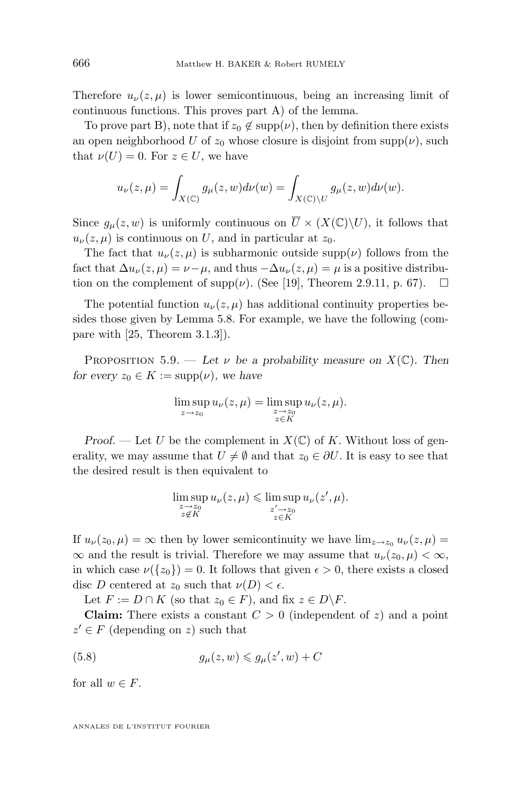<span id="page-42-0"></span>Therefore  $u_{\nu}(z,\mu)$  is lower semicontinuous, being an increasing limit of continuous functions. This proves part A) of the lemma.

To prove part B), note that if  $z_0 \notin \text{supp}(\nu)$ , then by definition there exists an open neighborhood U of  $z_0$  whose closure is disjoint from supp( $\nu$ ), such that  $\nu(U) = 0$ . For  $z \in U$ , we have

$$
u_{\nu}(z,\mu) = \int_{X(\mathbb{C})} g_{\mu}(z,w) d\nu(w) = \int_{X(\mathbb{C}) \backslash U} g_{\mu}(z,w) d\nu(w).
$$

Since  $g_{\mu}(z, w)$  is uniformly continuous on  $\overline{U} \times (X(\mathbb{C}) \setminus U)$ , it follows that  $u_{\nu}(z,\mu)$  is continuous on U, and in particular at  $z_0$ .

The fact that  $u_{\nu}(z,\mu)$  is subharmonic outside supp( $\nu$ ) follows from the fact that  $\Delta u_{\nu}(z,\mu) = \nu - \mu$ , and thus  $-\Delta u_{\nu}(z,\mu) = \mu$  is a positive distribution on the complement of supp $(\nu)$ . (See [\[19\]](#page-63-0), Theorem 2.9.11, p. 67).  $\Box$ 

The potential function  $u_{\nu}(z,\mu)$  has additional continuity properties besides those given by Lemma [5.8.](#page-41-0) For example, we have the following (compare with [\[25,](#page-63-0) Theorem 3.1.3]).

PROPOSITION 5.9. — Let  $\nu$  be a probability measure on  $X(\mathbb{C})$ . Then *for every*  $z_0 \in K := \text{supp}(\nu)$ *, we have* 

$$
\limsup_{z \to z_0} u_{\nu}(z,\mu) = \limsup_{\substack{z \to z_0 \\ z \in K}} u_{\nu}(z,\mu).
$$

*Proof.* — Let U be the complement in  $X(\mathbb{C})$  of K. Without loss of generality, we may assume that  $U \neq \emptyset$  and that  $z_0 \in \partial U$ . It is easy to see that the desired result is then equivalent to

$$
\limsup_{\substack{z \to z_0 \\ z \notin K}} u_{\nu}(z, \mu) \le \limsup_{\substack{z' \to z_0 \\ z \in K}} u_{\nu}(z', \mu).
$$

If  $u_{\nu}(z_0, \mu) = \infty$  then by lower semicontinuity we have  $\lim_{z\to z_0} u_{\nu}(z, \mu) =$  $\infty$  and the result is trivial. Therefore we may assume that  $u_{\nu}(z_0, \mu) < \infty$ , in which case  $\nu({z_0}) = 0$ . It follows that given  $\epsilon > 0$ , there exists a closed disc D centered at  $z_0$  such that  $\nu(D) < \epsilon$ .

Let  $F := D \cap K$  (so that  $z_0 \in F$ ), and fix  $z \in D \backslash F$ .

**Claim:** There exists a constant  $C > 0$  (independent of z) and a point  $z' \in F$  (depending on z) such that

(5.8) 
$$
g_{\mu}(z,w) \leq g_{\mu}(z',w) + C
$$

for all  $w \in F$ .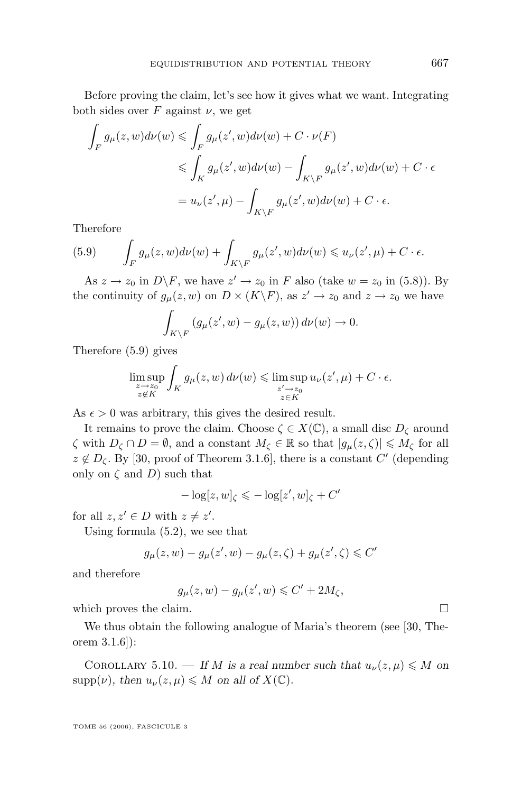<span id="page-43-0"></span>Before proving the claim, let's see how it gives what we want. Integrating both sides over  $F$  against  $\nu$ , we get

$$
\int_{F} g_{\mu}(z, w) d\nu(w) \leq \int_{F} g_{\mu}(z', w) d\nu(w) + C \cdot \nu(F)
$$
  

$$
\leq \int_{K} g_{\mu}(z', w) d\nu(w) - \int_{K \backslash F} g_{\mu}(z', w) d\nu(w) + C \cdot \epsilon
$$
  

$$
= u_{\nu}(z', \mu) - \int_{K \backslash F} g_{\mu}(z', w) d\nu(w) + C \cdot \epsilon.
$$

Therefore

(5.9) 
$$
\int_{F} g_{\mu}(z, w) d\nu(w) + \int_{K \backslash F} g_{\mu}(z', w) d\nu(w) \leq u_{\nu}(z', \mu) + C \cdot \epsilon.
$$

As  $z \to z_0$  in  $D \backslash F$ , we have  $z' \to z_0$  in F also (take  $w = z_0$  in [\(5.8\)](#page-42-0)). By the continuity of  $g_{\mu}(z, w)$  on  $D \times (K \backslash F)$ , as  $z' \to z_0$  and  $z \to z_0$  we have

$$
\int_{K\setminus F} \left(g_{\mu}(z', w) - g_{\mu}(z, w)\right) d\nu(w) \to 0.
$$

Therefore (5.9) gives

$$
\limsup_{\substack{z \to z_0 \\ z \notin K}} \int_K g_\mu(z, w) \, d\nu(w) \le \limsup_{\substack{z' \to z_0 \\ z \in K}} u_\nu(z', \mu) + C \cdot \epsilon.
$$

As  $\epsilon > 0$  was arbitrary, this gives the desired result.

It remains to prove the claim. Choose  $\zeta \in X(\mathbb{C})$ , a small disc  $D_{\zeta}$  around  $\zeta$  with  $D_{\zeta} \cap D = \emptyset$ , and a constant  $M_{\zeta} \in \mathbb{R}$  so that  $|g_{\mu}(z, \zeta)| \leq M_{\zeta}$  for all  $z \notin D_{\zeta}$ . By [\[30,](#page-64-0) proof of Theorem 3.1.6], there is a constant C' (depending only on  $\zeta$  and  $D$ ) such that

$$
-\log[z, w]_{\zeta} \leqslant -\log[z', w]_{\zeta} + C'
$$

for all  $z, z' \in D$  with  $z \neq z'$ .

Using formula [\(5.2\)](#page-36-0), we see that

$$
g_{\mu}(z,w) - g_{\mu}(z',w) - g_{\mu}(z,\zeta) + g_{\mu}(z',\zeta) \leqslant C'
$$

and therefore

$$
g_{\mu}(z,w) - g_{\mu}(z',w) \leqslant C' + 2M_{\zeta},
$$

which proves the claim.  $\Box$ 

We thus obtain the following analogue of Maria's theorem (see [\[30,](#page-64-0) Theorem 3.1.6]):

COROLLARY 5.10. — If M is a real number such that  $u_{\nu}(z,\mu) \leq M$  on  $\text{supp}(\nu)$ *, then*  $u_{\nu}(z,\mu) \leq M$  *on all of*  $X(\mathbb{C})$ *.*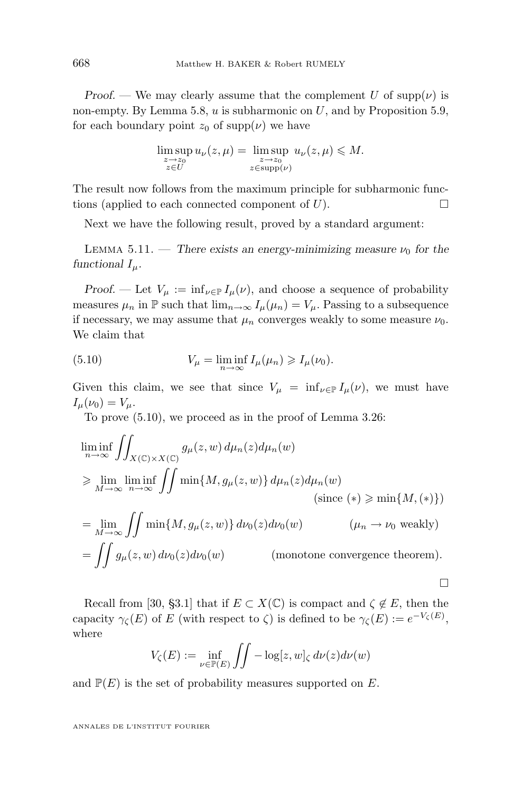*Proof.* — We may clearly assume that the complement U of  $\text{supp}(\nu)$  is non-empty. By Lemma [5.8,](#page-41-0)  $u$  is subharmonic on  $U$ , and by Proposition [5.9,](#page-42-0) for each boundary point  $z_0$  of supp( $\nu$ ) we have

$$
\limsup_{\substack{z \to z_0 \\ z \in U}} u_{\nu}(z, \mu) = \limsup_{\substack{z \to z_0 \\ z \in \text{supp}(\nu)}} u_{\nu}(z, \mu) \leq M.
$$

The result now follows from the maximum principle for subharmonic functions (applied to each connected component of  $U$ ).

Next we have the following result, proved by a standard argument:

LEMMA 5.11. — *There exists an energy-minimizing measure*  $\nu_0$  *for the functional*  $I_\mu$ *.* 

*Proof.* — Let  $V_{\mu} := \inf_{\nu \in \mathbb{P}} I_{\mu}(\nu)$ , and choose a sequence of probability measures  $\mu_n$  in  $\mathbb P$  such that  $\lim_{n\to\infty} I_\mu(\mu_n) = V_\mu$ . Passing to a subsequence if necessary, we may assume that  $\mu_n$  converges weakly to some measure  $\nu_0$ . We claim that

(5.10) 
$$
V_{\mu} = \liminf_{n \to \infty} I_{\mu}(\mu_n) \geqslant I_{\mu}(\nu_0).
$$

Given this claim, we see that since  $V_{\mu} = \inf_{\nu \in \mathbb{P}} I_{\mu}(\nu)$ , we must have  $I_{\mu}(\nu_0) = V_{\mu}.$ 

To prove (5.10), we proceed as in the proof of Lemma [3.26:](#page-26-0)

$$
\liminf_{n \to \infty} \iint_{X(\mathbb{C}) \times X(\mathbb{C})} g_{\mu}(z, w) d\mu_n(z) d\mu_n(w)
$$
\n
$$
\geq \lim_{M \to \infty} \liminf_{n \to \infty} \iint \min\{M, g_{\mu}(z, w)\} d\mu_n(z) d\mu_n(w)
$$
\n(since (\*)  $\geq \min\{M, (*)\}$ )\n
$$
= \lim_{M \to \infty} \iint \min\{M, g_{\mu}(z, w)\} d\nu_0(z) d\nu_0(w)
$$
\n
$$
= \iint g_{\mu}(z, w) d\nu_0(z) d\nu_0(w)
$$
\n(mnotone convergence theorem).

Recall from [\[30,](#page-64-0) §3.1] that if  $E \subset X(\mathbb{C})$  is compact and  $\zeta \notin E$ , then the capacity  $\gamma_{\zeta}(E)$  of E (with respect to  $\zeta$ ) is defined to be  $\gamma_{\zeta}(E) := e^{-V_{\zeta}(E)}$ , where

 $\Box$ 

$$
V_{\zeta}(E) := \inf_{\nu \in \mathbb{P}(E)} \iint -\log[z, w]_{\zeta} d\nu(z) d\nu(w)
$$

and  $\mathbb{P}(E)$  is the set of probability measures supported on E.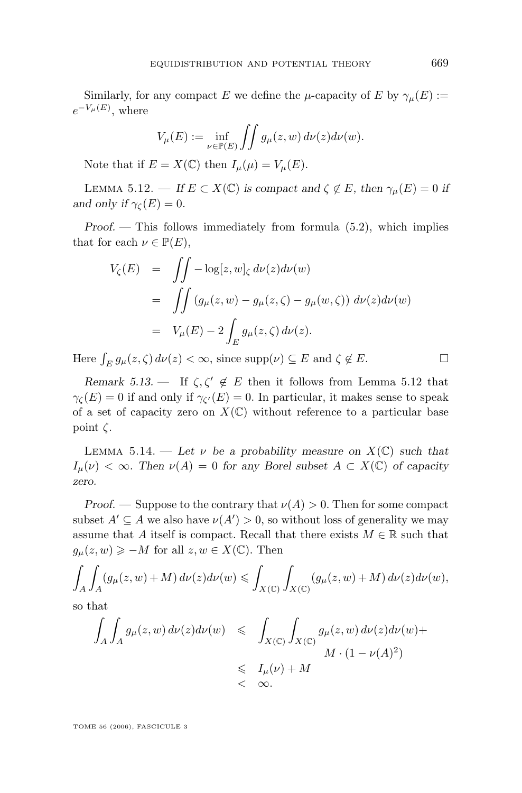<span id="page-45-0"></span>Similarly, for any compact E we define the  $\mu$ -capacity of E by  $\gamma_{\mu}(E) :=$  $e^{-V_\mu(E)},$  where

$$
V_{\mu}(E) := \inf_{\nu \in \mathbb{P}(E)} \iint g_{\mu}(z, w) d\nu(z) d\nu(w).
$$

Note that if  $E = X(\mathbb{C})$  then  $I_{\mu}(\mu) = V_{\mu}(E)$ .

LEMMA 5.12. — *If*  $E \subset X(\mathbb{C})$  *is compact and*  $\zeta \notin E$ *, then*  $\gamma_{\mu}(E) = 0$  *if and only if*  $\gamma_{\mathcal{C}}(E) = 0$ *.* 

*Proof. —* This follows immediately from formula [\(5.2\)](#page-36-0), which implies that for each  $\nu \in \mathbb{P}(E)$ ,

$$
V_{\zeta}(E) = \iint -\log[z, w]_{\zeta} d\nu(z) d\nu(w)
$$
  
= 
$$
\iint (g_{\mu}(z, w) - g_{\mu}(z, \zeta) - g_{\mu}(w, \zeta)) d\nu(z) d\nu(w)
$$
  
= 
$$
V_{\mu}(E) - 2 \int_{E} g_{\mu}(z, \zeta) d\nu(z).
$$

Here  $\int_E g_\mu(z,\zeta) d\nu(z) < \infty$ , since  $\text{supp}(\nu) \subseteq E$  and  $\zeta \notin E$ .

*Remark 5.13.* — If  $\zeta, \zeta' \notin E$  then it follows from Lemma 5.12 that  $\gamma_{\zeta}(E) = 0$  if and only if  $\gamma_{\zeta}(E) = 0$ . In particular, it makes sense to speak of a set of capacity zero on  $X(\mathbb{C})$  without reference to a particular base point  $\zeta$ .

LEMMA 5.14. — Let  $\nu$  be a probability measure on  $X(\mathbb{C})$  such that  $I_{\mu}(\nu) < \infty$ . Then  $\nu(A) = 0$  for any Borel subset  $A \subset X(\mathbb{C})$  of capacity *zero.*

*Proof.* — Suppose to the contrary that  $\nu(A) > 0$ . Then for some compact subset  $A' \subseteq A$  we also have  $\nu(A') > 0$ , so without loss of generality we may assume that A itself is compact. Recall that there exists  $M \in \mathbb{R}$  such that  $g_{\mu}(z, w) \geqslant -M$  for all  $z, w \in X(\mathbb{C})$ . Then

$$
\int_A \int_A (g_\mu(z, w) + M) d\nu(z) d\nu(w) \leq \int_{X(\mathbb{C})} \int_{X(\mathbb{C})} (g_\mu(z, w) + M) d\nu(z) d\nu(w),
$$

so that

$$
\int_{A} \int_{A} g_{\mu}(z, w) d\nu(z) d\nu(w) \leq \int_{X(\mathbb{C})} \int_{X(\mathbb{C})} g_{\mu}(z, w) d\nu(z) d\nu(w) +
$$
  

$$
\leq J_{\mu}(\nu) + M
$$
  

$$
< \infty.
$$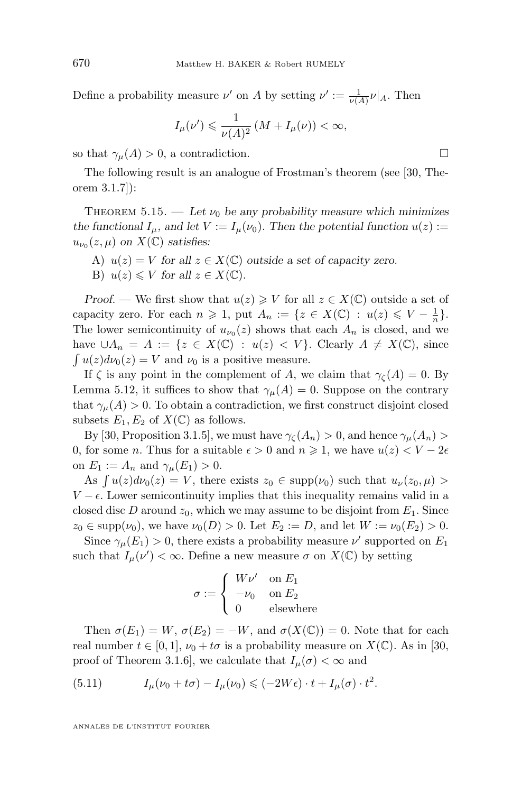<span id="page-46-0"></span>Define a probability measure  $\nu'$  on A by setting  $\nu' := \frac{1}{\nu(A)} \nu|_A$ . Then

$$
I_{\mu}(\nu') \leq \frac{1}{\nu(A)^2} \left(M + I_{\mu}(\nu)\right) < \infty,
$$

so that  $\gamma_{\mu}(A) > 0$ , a contradiction.

The following result is an analogue of Frostman's theorem (see [\[30,](#page-64-0) Theorem 3.1.7]):

THEOREM 5.15. — Let  $\nu_0$  be any probability measure which minimizes *the functional*  $I_{\mu}$ *, and let*  $V := I_{\mu}(\nu_0)$ *. Then the potential function*  $u(z) :=$  $u_{\nu_0}(z,\mu)$  on  $X(\mathbb{C})$  satisfies:

A)  $u(z) = V$  *for all*  $z \in X(\mathbb{C})$  *outside a set of capacity zero.* B)  $u(z) \leqslant V$  for all  $z \in X(\mathbb{C})$ .

*Proof.* — We first show that  $u(z) \geqslant V$  for all  $z \in X(\mathbb{C})$  outside a set of capacity zero. For each  $n \geq 1$ , put  $A_n := \{ z \in X(\mathbb{C}) : u(z) \leq V - \frac{1}{n} \}.$ The lower semicontinuity of  $u_{\nu_0}(z)$  shows that each  $A_n$  is closed, and we have  $\cup A_n = A := \{z \in X(\mathbb{C}) : u(z) < V\}$ . Clearly  $A \neq X(\mathbb{C})$ , since  $\int u(z)dv_0(z) = V$  and  $\nu_0$  is a positive measure.

If  $\zeta$  is any point in the complement of A, we claim that  $\gamma_{\zeta}(A) = 0$ . By Lemma [5.12,](#page-45-0) it suffices to show that  $\gamma_\mu(A) = 0$ . Suppose on the contrary that  $\gamma_{\mu}(A) > 0$ . To obtain a contradiction, we first construct disjoint closed subsets  $E_1, E_2$  of  $X(\mathbb{C})$  as follows.

By [\[30,](#page-64-0) Proposition 3.1.5], we must have  $\gamma_{\zeta}(A_n) > 0$ , and hence  $\gamma_{\mu}(A_n) > 0$ 0, for some *n*. Thus for a suitable  $\epsilon > 0$  and  $n \ge 1$ , we have  $u(z) < V - 2\epsilon$ on  $E_1 := A_n$  and  $\gamma_\mu(E_1) > 0$ .

As  $\int u(z)dv_0(z) = V$ , there exists  $z_0 \in \text{supp}(\nu_0)$  such that  $u_{\nu}(z_0, \mu) >$  $V - \epsilon$ . Lower semicontinuity implies that this inequality remains valid in a closed disc D around  $z_0$ , which we may assume to be disjoint from  $E_1$ . Since  $z_0 \in \text{supp}(\nu_0)$ , we have  $\nu_0(D) > 0$ . Let  $E_2 := D$ , and let  $W := \nu_0(E_2) > 0$ .

Since  $\gamma_{\mu}(E_1) > 0$ , there exists a probability measure  $\nu'$  supported on  $E_1$ such that  $I_{\mu}(\nu') < \infty$ . Define a new measure  $\sigma$  on  $X(\mathbb{C})$  by setting

$$
\sigma := \begin{cases} W\nu' & \text{on } E_1 \\ -\nu_0 & \text{on } E_2 \\ 0 & \text{elsewhere} \end{cases}
$$

Then  $\sigma(E_1) = W$ ,  $\sigma(E_2) = -W$ , and  $\sigma(X(\mathbb{C})) = 0$ . Note that for each real number  $t \in [0,1], \nu_0 + t\sigma$  is a probability measure on  $X(\mathbb{C})$ . As in [\[30,](#page-64-0) proof of Theorem 3.1.6, we calculate that  $I_{\mu}(\sigma) < \infty$  and

(5.11) 
$$
I_{\mu}(\nu_0 + t\sigma) - I_{\mu}(\nu_0) \leqslant (-2W\epsilon) \cdot t + I_{\mu}(\sigma) \cdot t^2.
$$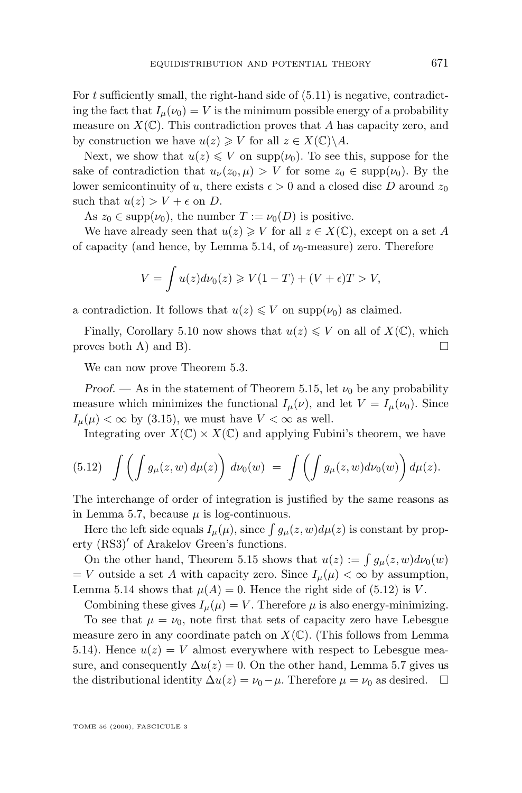For t sufficiently small, the right-hand side of  $(5.11)$  is negative, contradicting the fact that  $I_{\mu}(\nu_0) = V$  is the minimum possible energy of a probability measure on  $X(\mathbb{C})$ . This contradiction proves that A has capacity zero, and by construction we have  $u(z) \geqslant V$  for all  $z \in X(\mathbb{C}) \backslash A$ .

Next, we show that  $u(z) \leqslant V$  on supp $(\nu_0)$ . To see this, suppose for the sake of contradiction that  $u_{\nu}(z_0, \mu) > V$  for some  $z_0 \in \text{supp}(\nu_0)$ . By the lower semicontinuity of u, there exists  $\epsilon > 0$  and a closed disc D around  $z_0$ such that  $u(z) > V + \epsilon$  on D.

As  $z_0 \in \text{supp}(\nu_0)$ , the number  $T := \nu_0(D)$  is positive.

We have already seen that  $u(z) \geq V$  for all  $z \in X(\mathbb{C})$ , except on a set A of capacity (and hence, by Lemma [5.14,](#page-45-0) of  $\nu_0$ -measure) zero. Therefore

$$
V = \int u(z)d\nu_0(z) \ge V(1-T) + (V+\epsilon)T > V,
$$

a contradiction. It follows that  $u(z) \leq V$  on supp $(\nu_0)$  as claimed.

Finally, Corollary [5.10](#page-43-0) now shows that  $u(z) \leq V$  on all of  $X(\mathbb{C})$ , which proves both A) and B).  $\Box$ 

We can now prove Theorem [5.3.](#page-37-0)

*Proof.* — As in the statement of Theorem [5.15,](#page-46-0) let  $\nu_0$  be any probability measure which minimizes the functional  $I_{\mu}(\nu)$ , and let  $V = I_{\mu}(\nu_0)$ . Since  $I_{\mu}(\mu) < \infty$  by [\(3.15\)](#page-20-0), we must have  $V < \infty$  as well.

Integrating over  $X(\mathbb{C}) \times X(\mathbb{C})$  and applying Fubini's theorem, we have

$$
(5.12)\quad \int \left(\int g_{\mu}(z,w)\,d\mu(z)\right)\,d\nu_0(w) \;=\; \int \left(\int g_{\mu}(z,w)d\nu_0(w)\right)d\mu(z).
$$

The interchange of order of integration is justified by the same reasons as in Lemma [5.7,](#page-41-0) because  $\mu$  is log-continuous.

Here the left side equals  $I_{\mu}(\mu)$ , since  $\int g_{\mu}(z, w)d\mu(z)$  is constant by property (RS3)<sup>'</sup> of Arakelov Green's functions.

On the other hand, Theorem [5.15](#page-46-0) shows that  $u(z) := \int g_\mu(z, w) d\nu_0(w)$  $=$  V outside a set A with capacity zero. Since  $I_{\mu}(\mu) < \infty$  by assumption, Lemma [5.14](#page-45-0) shows that  $\mu(A) = 0$ . Hence the right side of (5.12) is V.

Combining these gives  $I_u(\mu) = V$ . Therefore  $\mu$  is also energy-minimizing.

To see that  $\mu = \nu_0$ , note first that sets of capacity zero have Lebesgue measure zero in any coordinate patch on  $X(\mathbb{C})$ . (This follows from Lemma [5.14\)](#page-45-0). Hence  $u(z) = V$  almost everywhere with respect to Lebesgue measure, and consequently  $\Delta u(z) = 0$ . On the other hand, Lemma [5.7](#page-41-0) gives us the distributional identity  $\Delta u(z) = \nu_0 - \mu$ . Therefore  $\mu = \nu_0$  as desired.  $\Box$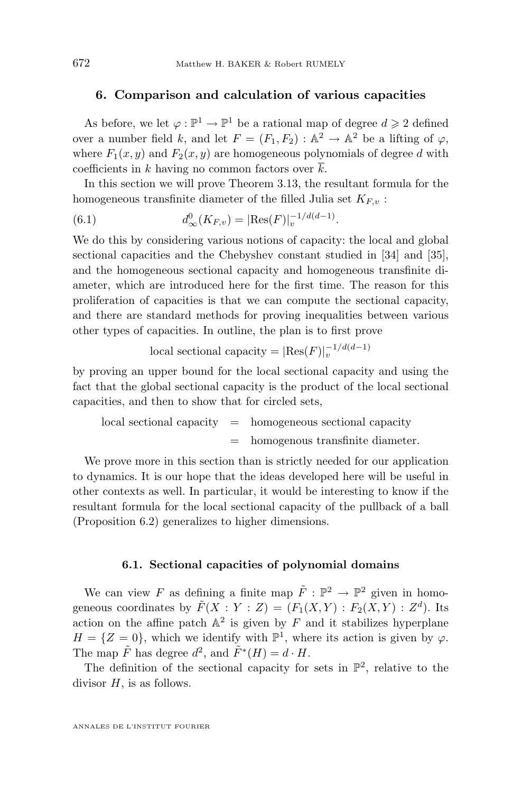#### <span id="page-48-0"></span>**6. Comparison and calculation of various capacities**

As before, we let  $\varphi : \mathbb{P}^1 \to \mathbb{P}^1$  be a rational map of degree  $d \geq 2$  defined over a number field k, and let  $F = (F_1, F_2) : \mathbb{A}^2 \to \mathbb{A}^2$  be a lifting of  $\varphi$ , where  $F_1(x, y)$  and  $F_2(x, y)$  are homogeneous polynomials of degree d with coefficients in k having no common factors over  $\overline{k}$ .

In this section we will prove Theorem [3.13,](#page-15-0) the resultant formula for the homogeneous transfinite diameter of the filled Julia set  $K_{F,v}$ :

(6.1) 
$$
d_{\infty}^{0}(K_{F,v}) = |\text{Res}(F)|_{v}^{-1/d(d-1)}.
$$

We do this by considering various notions of capacity: the local and global sectional capacities and the Chebyshev constant studied in [\[34\]](#page-64-0) and [\[35\]](#page-64-0), and the homogeneous sectional capacity and homogeneous transfinite diameter, which are introduced here for the first time. The reason for this proliferation of capacities is that we can compute the sectional capacity, and there are standard methods for proving inequalities between various other types of capacities. In outline, the plan is to first prove

local sectional capacity =  $|{\rm Res}(F)|_v^{-1/d(d-1)}$ 

by proving an upper bound for the local sectional capacity and using the fact that the global sectional capacity is the product of the local sectional capacities, and then to show that for circled sets,

 $\alpha$ local sectional capacity  $=$  homogeneous sectional capacity = homogenous transfinite diameter.

We prove more in this section than is strictly needed for our application to dynamics. It is our hope that the ideas developed here will be useful in other contexts as well. In particular, it would be interesting to know if the resultant formula for the local sectional capacity of the pullback of a ball (Proposition [6.2\)](#page-50-0) generalizes to higher dimensions.

#### **6.1. Sectional capacities of polynomial domains**

We can view F as defining a finite map  $\tilde{F}: \mathbb{P}^2 \to \mathbb{P}^2$  given in homogeneous coordinates by  $\tilde{F}(X : Y : Z) = (F_1(X,Y) : F_2(X,Y) : Z^d)$ . Its action on the affine patch  $A^2$  is given by F and it stabilizes hyperplane  $H = \{Z = 0\}$ , which we identify with  $\mathbb{P}^1$ , where its action is given by  $\varphi$ . The map  $\tilde{F}$  has degree  $d^2$ , and  $\tilde{F}^*(H) = d \cdot H$ .

The definition of the sectional capacity for sets in  $\mathbb{P}^2$ , relative to the divisor  $H$ , is as follows.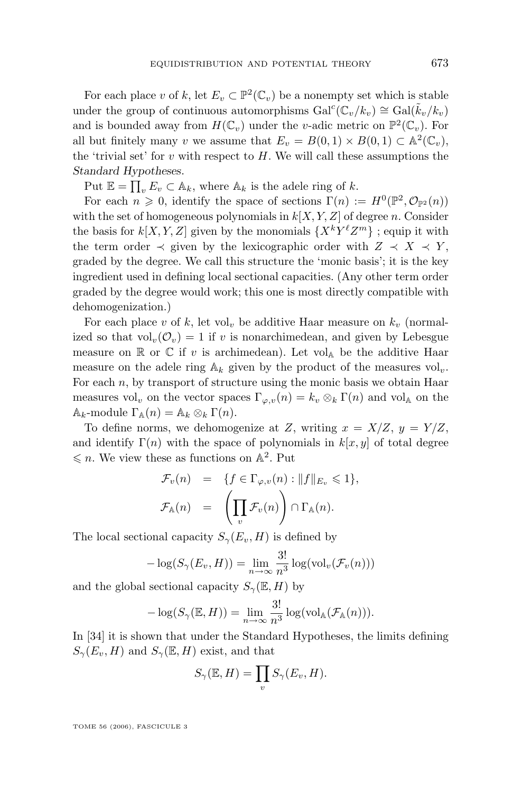For each place v of k, let  $E_v \subset \mathbb{P}^2(\mathbb{C}_v)$  be a nonempty set which is stable under the group of continuous automorphisms  $Gal^c(\mathbb{C}_v/k_v) \cong Gal(\tilde{k}_v/k_v)$ and is bounded away from  $H(\mathbb{C}_v)$  under the *v*-adic metric on  $\mathbb{P}^2(\mathbb{C}_v)$ . For all but finitely many v we assume that  $E_v = B(0,1) \times B(0,1) \subset \mathbb{A}^2(\mathbb{C}_v)$ , the 'trivial set' for  $v$  with respect to  $H$ . We will call these assumptions the *Standard Hypotheses*.

Put  $\mathbb{E} = \prod_v E_v \subset \mathbb{A}_k$ , where  $\mathbb{A}_k$  is the adele ring of k.

For each  $n \geq 0$ , identify the space of sections  $\Gamma(n) := H^0(\mathbb{P}^2, \mathcal{O}_{\mathbb{P}^2}(n))$ with the set of homogeneous polynomials in  $k[X, Y, Z]$  of degree n. Consider the basis for  $k[X, Y, Z]$  given by the monomials  $\{X^kY^{\ell}Z^m\}$ ; equip it with the term order  $\prec$  given by the lexicographic order with  $Z \prec X \prec Y$ , graded by the degree. We call this structure the 'monic basis'; it is the key ingredient used in defining local sectional capacities. (Any other term order graded by the degree would work; this one is most directly compatible with dehomogenization.)

For each place v of k, let vol<sub>v</sub> be additive Haar measure on  $k_v$  (normalized so that  $vol_v(\mathcal{O}_v) = 1$  if v is nonarchimedean, and given by Lebesgue measure on  $\mathbb R$  or  $\mathbb C$  if v is archimedean). Let vol<sub>A</sub> be the additive Haar measure on the adele ring  $A_k$  given by the product of the measures vol<sub>v</sub>. For each  $n$ , by transport of structure using the monic basis we obtain Haar measures vol<sub>v</sub> on the vector spaces  $\Gamma_{\varphi,v}(n) = k_v \otimes_k \Gamma(n)$  and vol<sub>A</sub> on the  $\mathbb{A}_k$ -module  $\Gamma_{\mathbb{A}}(n) = \mathbb{A}_k \otimes_k \Gamma(n)$ .

To define norms, we dehomogenize at Z, writing  $x = X/Z$ ,  $y = Y/Z$ , and identify  $\Gamma(n)$  with the space of polynomials in  $k[x, y]$  of total degree  $\leqslant n$ . We view these as functions on  $\mathbb{A}^2$ . Put

$$
\mathcal{F}_v(n) = \{ f \in \Gamma_{\varphi,v}(n) : ||f||_{E_v} \leq 1 \},\
$$
  

$$
\mathcal{F}_{\mathbb{A}}(n) = \left(\prod_v \mathcal{F}_v(n)\right) \cap \Gamma_{\mathbb{A}}(n).
$$

The local sectional capacity  $S_{\gamma}(E_v, H)$  is defined by

$$
-\log(S_{\gamma}(E_v, H)) = \lim_{n \to \infty} \frac{3!}{n^3} \log(\text{vol}_v(\mathcal{F}_v(n)))
$$

and the global sectional capacity  $S_{\gamma}(\mathbb{E}, H)$  by

$$
-\log(S_{\gamma}(\mathbb{E}, H)) = \lim_{n \to \infty} \frac{3!}{n^3} \log(\text{vol}_{\mathbb{A}}(\mathcal{F}_{\mathbb{A}}(n))).
$$

In [\[34\]](#page-64-0) it is shown that under the Standard Hypotheses, the limits defining  $S_{\gamma}(E_v, H)$  and  $S_{\gamma}(\mathbb{E}, H)$  exist, and that

$$
S_{\gamma}(\mathbb{E}, H) = \prod_{v} S_{\gamma}(E_v, H).
$$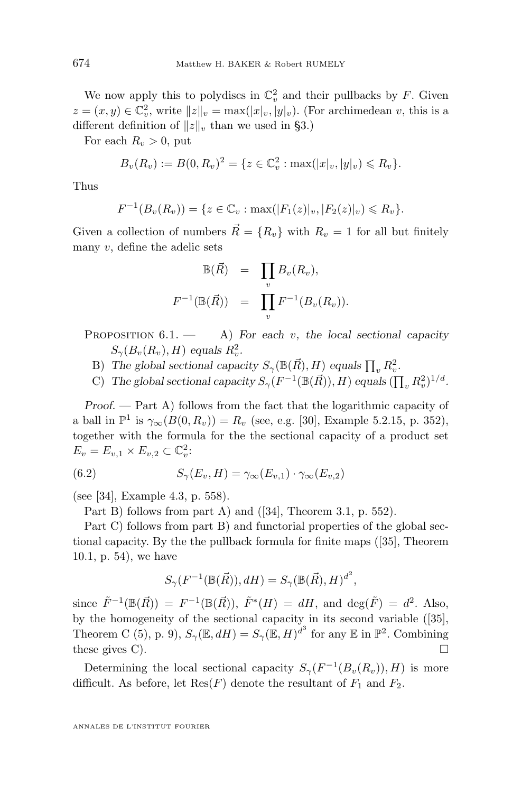<span id="page-50-0"></span>We now apply this to polydiscs in  $\mathbb{C}_v^2$  and their pullbacks by F. Given  $z = (x, y) \in \mathbb{C}_v^2$ , write  $||z||_v = \max(|x|_v, |y|_v)$ . (For archimedean v, this is a different definition of  $||z||_v$  than we used in [§3.](#page-8-0))

For each  $R_v > 0$ , put

$$
B_{v}(R_{v}) := B(0, R_{v})^{2} = \{ z \in \mathbb{C}_{v}^{2} : \max(|x|_{v}, |y|_{v}) \leq R_{v} \}.
$$

Thus

$$
F^{-1}(B_v(R_v)) = \{ z \in \mathbb{C}_v : \max(|F_1(z)|_v, |F_2(z)|_v) \le R_v \}.
$$

Given a collection of numbers  $\vec{R} = \{R_v\}$  with  $R_v = 1$  for all but finitely many  $v$ , define the adelic sets

$$
\mathbb{B}(\vec{R}) = \prod_v B_v(R_v),
$$
  

$$
F^{-1}(\mathbb{B}(\vec{R})) = \prod_v F^{-1}(B_v(R_v)).
$$

PROPOSITION  $6.1$  – A) *For each* v, the local sectional capacity  $S_{\gamma}(B_v(R_v), H)$  equals  $R_v^2$ .

- B) The global sectional capacity  $S_{\gamma}(\mathbb{B}(\vec{R}), H)$  equals  $\prod_{v} R_v^2$ .
- C) The global sectional capacity  $S_{\gamma}(F^{-1}(\mathbb{B}(\vec{R})), H)$  equals  $(\prod_{v} R_{v}^{2})^{1/d}$ .

*Proof. —* Part A) follows from the fact that the logarithmic capacity of a ball in  $\mathbb{P}^1$  is  $\gamma_{\infty}(B(0, R_v)) = R_v$  (see, e.g. [\[30\]](#page-64-0), Example 5.2.15, p. 352), together with the formula for the the sectional capacity of a product set  $E_v = E_{v,1} \times E_{v,2} \subset \mathbb{C}_v^2$ :

(6.2) 
$$
S_{\gamma}(E_v, H) = \gamma_{\infty}(E_{v,1}) \cdot \gamma_{\infty}(E_{v,2})
$$

(see [\[34\]](#page-64-0), Example 4.3, p. 558).

Part B) follows from part A) and ([\[34\]](#page-64-0), Theorem 3.1, p. 552).

Part C) follows from part B) and functorial properties of the global sectional capacity. By the the pullback formula for finite maps ([\[35\]](#page-64-0), Theorem 10.1, p. 54), we have

$$
S_{\gamma}(F^{-1}(\mathbb{B}(\vec{R})), dH) = S_{\gamma}(\mathbb{B}(\vec{R}), H)^{d^2},
$$

since  $\tilde{F}^{-1}(\mathbb{B}(\vec{R})) = F^{-1}(\mathbb{B}(\vec{R}))$ ,  $\tilde{F}^*(H) = dH$ , and  $\deg(\tilde{F}) = d^2$ . Also, by the homogeneity of the sectional capacity in its second variable ([\[35\]](#page-64-0), Theorem C (5), p. 9),  $S_{\gamma}(\mathbb{E}, dH) = S_{\gamma}(\mathbb{E}, H)^{d^3}$  for any  $\mathbb{E}$  in  $\mathbb{P}^2$ . Combining these gives C).  $\Box$ 

Determining the local sectional capacity  $S_{\gamma}(F^{-1}(B_v(R_v)), H)$  is more difficult. As before, let  $Res(F)$  denote the resultant of  $F_1$  and  $F_2$ .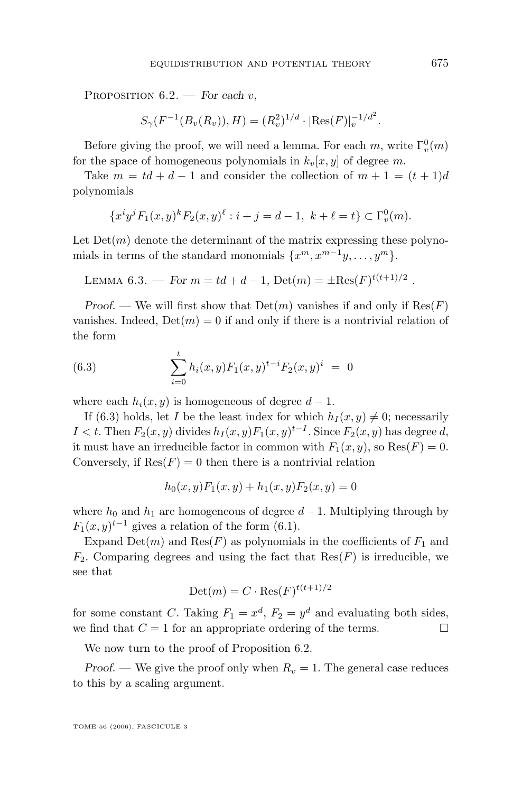<span id="page-51-0"></span>Proposition 6.2. — *For each* v*,*

$$
S_{\gamma}(F^{-1}(B_{v}(R_{v})), H) = (R_{v}^{2})^{1/d} \cdot |\text{Res}(F)|_{v}^{-1/d^{2}}.
$$

Before giving the proof, we will need a lemma. For each  $m$ , write  $\Gamma_v^0(m)$ for the space of homogeneous polynomials in  $k_v[x, y]$  of degree m.

Take  $m = td + d - 1$  and consider the collection of  $m + 1 = (t + 1)d$ polynomials

$$
\{x^i y^j F_1(x,y)^k F_2(x,y)^{\ell} : i+j = d-1, \ k+\ell = t\} \subset \Gamma_v^0(m).
$$

Let  $Det(m)$  denote the determinant of the matrix expressing these polynomials in terms of the standard monomials  $\{x^m, x^{m-1}y, \ldots, y^m\}.$ 

LEMMA 6.3. — For  $m = td + d - 1$ ,  $Det(m) = \pm Res(F)^{t(t+1)/2}$ .

*Proof.* — We will first show that  $Det(m)$  vanishes if and only if  $Res(F)$ vanishes. Indeed,  $Det(m) = 0$  if and only if there is a nontrivial relation of the form

(6.3) 
$$
\sum_{i=0}^{t} h_i(x, y) F_1(x, y)^{t-i} F_2(x, y)^{i} = 0
$$

where each  $h_i(x, y)$  is homogeneous of degree  $d-1$ .

If (6.3) holds, let I be the least index for which  $h_I(x, y) \neq 0$ ; necessarily I < t. Then  $F_2(x, y)$  divides  $h_I(x, y) F_1(x, y)^{t-I}$ . Since  $F_2(x, y)$  has degree d, it must have an irreducible factor in common with  $F_1(x, y)$ , so  $\text{Res}(F) = 0$ . Conversely, if  $\text{Res}(F) = 0$  then there is a nontrivial relation

$$
h_0(x, y)F_1(x, y) + h_1(x, y)F_2(x, y) = 0
$$

where  $h_0$  and  $h_1$  are homogeneous of degree  $d-1$ . Multiplying through by  $F_1(x, y)^{t-1}$  gives a relation of the form (6.1).

Expand  $Det(m)$  and  $Res(F)$  as polynomials in the coefficients of  $F_1$  and  $F_2$ . Comparing degrees and using the fact that  $Res(F)$  is irreducible, we see that

$$
Det(m) = C \cdot Res(F)^{t(t+1)/2}
$$

for some constant C. Taking  $F_1 = x^d$ ,  $F_2 = y^d$  and evaluating both sides, we find that  $C = 1$  for an appropriate ordering of the terms.

We now turn to the proof of Proposition [6.2.](#page-50-0)

*Proof.* — We give the proof only when  $R_v = 1$ . The general case reduces to this by a scaling argument.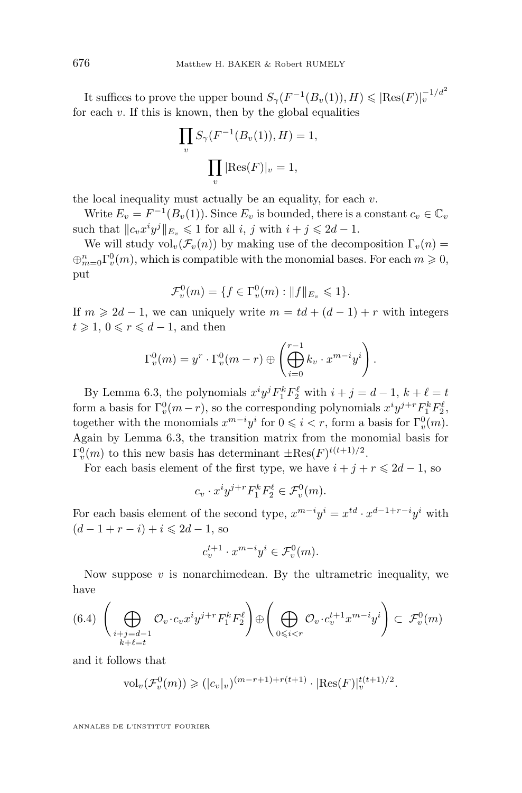It suffices to prove the upper bound  $S_{\gamma}(F^{-1}(B_v(1)), H) \leqslant |\text{Res}(F)|_v^{-1/d^2}$ for each  $v$ . If this is known, then by the global equalities

$$
\prod_{v} S_{\gamma}(F^{-1}(B_v(1)), H) = 1,
$$
  

$$
\prod_{v} |\text{Res}(F)|_v = 1,
$$

the local inequality must actually be an equality, for each  $v$ .

Write  $E_v = F^{-1}(B_v(1))$ . Since  $E_v$  is bounded, there is a constant  $c_v \in \mathbb{C}_v$ such that  $||c_v x^i y^j||_{E_v} \le 1$  for all  $i, j$  with  $i + j \le 2d - 1$ .

We will study  $\mathrm{vol}_v(\mathcal{F}_v(n))$  by making use of the decomposition  $\Gamma_v(n)$  =  $\bigoplus_{m=0}^n \Gamma_v^0(m)$ , which is compatible with the monomial bases. For each  $m \geqslant 0$ , put

$$
\mathcal{F}_{v}^{0}(m) = \{ f \in \Gamma_{v}^{0}(m) : ||f||_{E_{v}} \leq 1 \}.
$$

If  $m \geq 2d - 1$ , we can uniquely write  $m = td + (d - 1) + r$  with integers  $t \geqslant 1, 0 \leqslant r \leqslant d-1$ , and then

$$
\Gamma_v^0(m) = y^r \cdot \Gamma_v^0(m-r) \oplus \left(\bigoplus_{i=0}^{r-1} k_v \cdot x^{m-i} y^i\right).
$$

By Lemma [6.3,](#page-51-0) the polynomials  $x^i y^j F_1^k F_2^{\ell}$  with  $i + j = d - 1$ ,  $k + \ell = t$ form a basis for  $\Gamma_v^0(m-r)$ , so the corresponding polynomials  $x^i y^{j+r} F_1^k F_2^{\ell}$ , together with the monomials  $x^{m-i}y^i$  for  $0 \leq i < r$ , form a basis for  $\Gamma_v^0(m)$ . Again by Lemma [6.3,](#page-51-0) the transition matrix from the monomial basis for  $\Gamma_v^0(m)$  to this new basis has determinant  $\pm \text{Res}(F)^{t(t+1)/2}$ .

For each basis element of the first type, we have  $i + j + r \leq 2d - 1$ , so

$$
c_v \cdot x^i y^{j+r} F_1^k F_2^\ell \in \mathcal{F}_v^0(m).
$$

For each basis element of the second type,  $x^{m-i}y^i = x^{td} \cdot x^{d-1+r-i}y^i$  with  $(d-1+r-i)+i \leq 2d-1$ , so

$$
c_v^{t+1} \cdot x^{m-i}y^i \in \mathcal{F}_v^0(m).
$$

Now suppose  $v$  is nonarchimedean. By the ultrametric inequality, we have

$$
(6.4)\ \left(\bigoplus_{\substack{i+j=d-1\\k+\ell=t}}\mathcal{O}_{v}\cdot c_{v}x^{i}y^{j+r}F_{1}^{k}F_{2}^{\ell}\right)\oplus\left(\bigoplus_{0\leqslant i
$$

and it follows that

$$
\text{vol}_v(\mathcal{F}_v^0(m)) \geq (|c_v|_v)^{(m-r+1)+r(t+1)} \cdot |\text{Res}(F)|_v^{t(t+1)/2}.
$$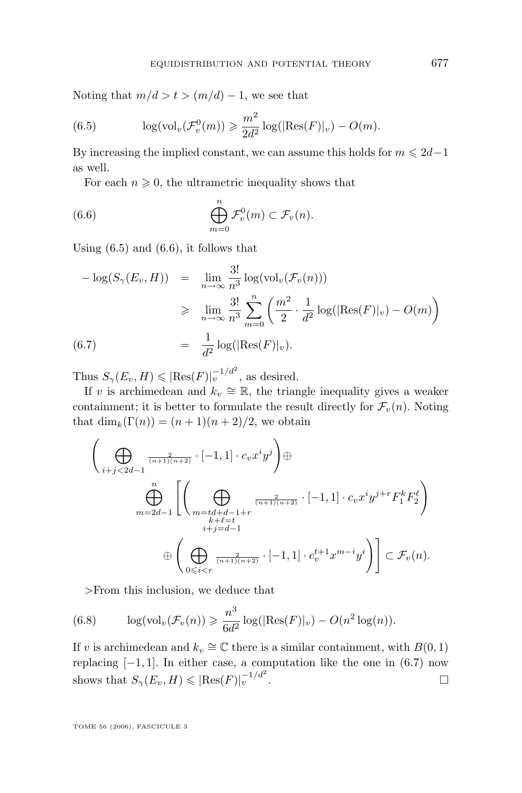Noting that  $m/d > t > (m/d) - 1$ , we see that

(6.5) 
$$
\log(\text{vol}_v(\mathcal{F}_v^0(m)) \geq \frac{m^2}{2d^2} \log(|\text{Res}(F)|_v) - O(m).
$$

By increasing the implied constant, we can assume this holds for  $m \leq 2d-1$ as well.

For each  $n \geqslant 0$ , the ultrametric inequality shows that

(6.6) 
$$
\bigoplus_{m=0}^{n} \mathcal{F}_{v}^{0}(m) \subset \mathcal{F}_{v}(n).
$$

Using  $(6.5)$  and  $(6.6)$ , it follows that

$$
-\log(S_{\gamma}(E_v, H)) = \lim_{n \to \infty} \frac{3!}{n^3} \log(\text{vol}_v(\mathcal{F}_v(n)))
$$
  
\n
$$
\geq \lim_{n \to \infty} \frac{3!}{n^3} \sum_{m=0}^n \left( \frac{m^2}{2} \cdot \frac{1}{d^2} \log(|\text{Res}(F)|_v) - O(m) \right)
$$
  
\n(6.7) 
$$
= \frac{1}{d^2} \log(|\text{Res}(F)|_v).
$$

Thus  $S_{\gamma}(E_v, H) \leqslant |\text{Res}(F)|_v^{-1/d^2}$ , as desired.

If v is archimedean and  $k_v \cong \mathbb{R}$ , the triangle inequality gives a weaker containment; it is better to formulate the result directly for  $\mathcal{F}_v(n)$ . Noting that  $\dim_k(\Gamma(n)) = (n+1)(n+2)/2$ , we obtain

$$
\left(\bigoplus_{i+j<2d-1} \frac{1}{(n+1)(n+2)} \cdot [-1,1] \cdot c_v x^i y^j \right) \oplus
$$
\n
$$
\bigoplus_{m=2d-1}^n \left[ \left(\bigoplus_{\substack{m=td+d-1+r \\ k+1\equiv d-1 \\ i+j=d-1}} \frac{2}{(n+1)(n+2)} \cdot [-1,1] \cdot c_v x^i y^{j+r} F_1^k F_2^{\ell} \right) \right]
$$
\n
$$
\oplus \left( \bigoplus_{0 \leq i < r} \frac{2}{(n+1)(n+2)} \cdot [-1,1] \cdot c_v^{t+1} x^{m-i} y^i \right) \right] \subset \mathcal{F}_v(n).
$$

>From this inclusion, we deduce that

(6.8) 
$$
\log(\text{vol}_{v}(\mathcal{F}_{v}(n)) \geq \frac{n^3}{6d^2} \log(|\text{Res}(F)|_{v}) - O(n^2 \log(n)).
$$

If v is archimedean and  $k_v \cong \mathbb{C}$  there is a similar containment, with  $B(0, 1)$ replacing  $[-1, 1]$ . In either case, a computation like the one in  $(6.7)$  now shows that  $S_{\gamma}(E_v, H) \leqslant |\text{Res}(F)|_v^{-1/d^2}$ .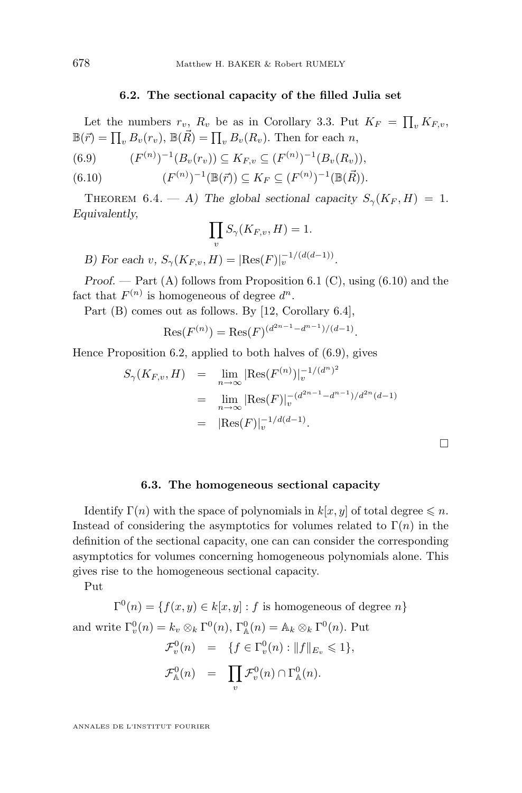#### **6.2. The sectional capacity of the filled Julia set**

<span id="page-54-0"></span>Let the numbers  $r_v$ ,  $R_v$  be as in Corollary [3.3.](#page-9-0) Put  $K_F = \prod_v K_{F,v}$ ,  $\mathbb{B}(\vec{r}) = \prod_{v} B_{v}(r_{v}), \mathbb{B}(\vec{R}) = \prod_{v} B_{v}(R_{v}).$  Then for each n,

$$
(6.9) \qquad (F^{(n)})^{-1}(B_v(r_v)) \subseteq K_{F,v} \subseteq (F^{(n)})^{-1}(B_v(R_v)),
$$

(6.10) 
$$
(F^{(n)})^{-1}(\mathbb{B}(\vec{r})) \subseteq K_F \subseteq (F^{(n)})^{-1}(\mathbb{B}(\vec{R})).
$$

THEOREM 6.4. — *A*) The global sectional capacity  $S_{\gamma}(K_F, H) = 1$ . *Equivalently,*

$$
\prod_{v} S_{\gamma}(K_{F,v}, H) = 1.
$$

*B)* For each v,  $S_{\gamma}(K_{F,v}, H) = |\text{Res}(F)|_v^{-1/(d(d-1))}$ .

*Proof.* — Part (A) follows from Proposition [6.1](#page-50-0) (C), using (6.10) and the fact that  $F^{(n)}$  is homogeneous of degree  $d^n$ .

Part (B) comes out as follows. By [\[12,](#page-63-0) Corollary 6.4],

$$
Res(F^{(n)}) = Res(F)^{(d^{2n-1}-d^{n-1})/(d-1)}.
$$

Hence Proposition [6.2,](#page-50-0) applied to both halves of (6.9), gives

$$
S_{\gamma}(K_{F,v}, H) = \lim_{n \to \infty} |\text{Res}(F^{(n)})|_{v}^{-1/(d^{n})^{2}}
$$
  
= 
$$
\lim_{n \to \infty} |\text{Res}(F)|_{v}^{-(d^{2n-1}-d^{n-1})/d^{2n}(d-1)}
$$
  
= 
$$
|\text{Res}(F)|_{v}^{-1/d(d-1)}.
$$

 $\Box$ 

#### **6.3. The homogeneous sectional capacity**

Identify  $\Gamma(n)$  with the space of polynomials in  $k[x, y]$  of total degree  $\leq n$ . Instead of considering the asymptotics for volumes related to  $\Gamma(n)$  in the definition of the sectional capacity, one can can consider the corresponding asymptotics for volumes concerning homogeneous polynomials alone. This gives rise to the homogeneous sectional capacity.

Put

 $\Gamma^{0}(n) = \{f(x, y) \in k[x, y] : f \text{ is homogeneous of degree } n\}$ and write  $\Gamma_v^0(n) = k_v \otimes_k \Gamma^0(n)$ ,  $\Gamma_{\mathbb{A}}^0(n) = \mathbb{A}_k \otimes_k \Gamma^0(n)$ . Put  $\mathcal{F}_v^0(n) = \{ f \in \Gamma_v^0(n) : ||f||_{E_v} \leq 1 \},\$  $\mathcal{F}_{\mathbb{A}}^0(n) = \prod$ v  $\mathcal{F}_v^0(n) \cap \Gamma_{\mathbb{A}}^0(n)$ .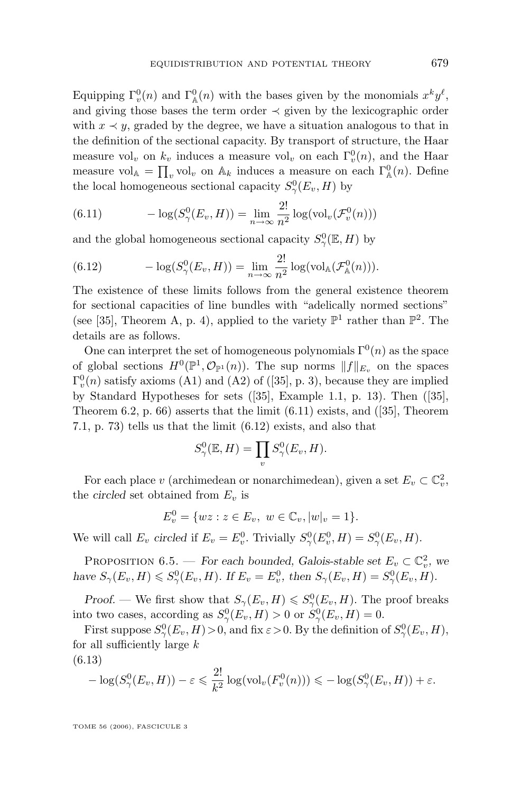<span id="page-55-0"></span>Equipping  $\Gamma_v^0(n)$  and  $\Gamma_{\mathbb{A}}^0(n)$  with the bases given by the monomials  $x^k y^{\ell}$ , and giving those bases the term order  $\prec$  given by the lexicographic order with  $x \prec y$ , graded by the degree, we have a situation analogous to that in the definition of the sectional capacity. By transport of structure, the Haar measure vol<sub>v</sub> on  $k_v$  induces a measure vol<sub>v</sub> on each  $\Gamma_v^0(n)$ , and the Haar measure vol<sub>A</sub> =  $\prod_v$  vol<sub>v</sub> on A<sub>k</sub> induces a measure on each  $\Gamma^0_{\mathbb{A}}(n)$ . Define the local homogeneous sectional capacity  $S^0_\gamma(E_v, H)$  by

(6.11) 
$$
-\log(S_{\gamma}^{0}(E_{v}, H)) = \lim_{n \to \infty} \frac{2!}{n^2} \log(\text{vol}_{v}(\mathcal{F}_{v}^{0}(n)))
$$

and the global homogeneous sectional capacity  $S^0_\gamma(\mathbb{E}, H)$  by

(6.12) 
$$
-\log(S_{\gamma}^0(E_v, H)) = \lim_{n \to \infty} \frac{2!}{n^2} \log(\text{vol}_{\mathbb{A}}(\mathcal{F}_{\mathbb{A}}^0(n))).
$$

The existence of these limits follows from the general existence theorem for sectional capacities of line bundles with "adelically normed sections" (see [\[35\]](#page-64-0), Theorem A, p. 4), applied to the variety  $\mathbb{P}^1$  rather than  $\mathbb{P}^2$ . The details are as follows.

One can interpret the set of homogeneous polynomials  $\Gamma^{0}(n)$  as the space of global sections  $H^0(\mathbb{P}^1, \mathcal{O}_{\mathbb{P}^1}(n))$ . The sup norms  $||f||_{E_v}$  on the spaces  $\Gamma_v^0(n)$  satisfy axioms (A1) and (A2) of ([\[35\]](#page-64-0), p. 3), because they are implied by Standard Hypotheses for sets ([\[35\]](#page-64-0), Example 1.1, p. 13). Then ([\[35\]](#page-64-0), Theorem 6.2, p. 66) asserts that the limit (6.11) exists, and ([\[35\]](#page-64-0), Theorem 7.1, p. 73) tells us that the limit (6.12) exists, and also that

$$
S^0_\gamma(\mathbb{E}, H) = \prod_v S^0_\gamma(E_v, H).
$$

For each place v (archimedean or nonarchimedean), given a set  $E_v \subset \mathbb{C}_v^2$ , the *circled* set obtained from  $E_v$  is

$$
E_v^0 = \{ wz : z \in E_v, \ w \in \mathbb{C}_v, |w|_v = 1 \}.
$$

We will call  $E_v$  *circled* if  $E_v = E_v^0$ . Trivially  $S_\gamma^0(E_v^0, H) = S_\gamma^0(E_v, H)$ .

PROPOSITION 6.5. — *For each bounded, Galois-stable set*  $E_v \subset \mathbb{C}_v^2$ , we *have*  $S_{\gamma}(E_v, H) \leqslant S_{\gamma}(E_v, H)$ *. If*  $E_v = E_v^0$ *, then*  $S_{\gamma}(E_v, H) = S_{\gamma}(E_v, H)$ *.* 

*Proof.* — We first show that  $S_{\gamma}(E_v, H) \leqslant S_{\gamma}(E_v, H)$ . The proof breaks into two cases, according as  $S^0_\gamma(E_v, H) > 0$  or  $S^0_\gamma(E_v, H) = 0$ .

First suppose  $S^0_\gamma(E_v, H) > 0$ , and fix  $\varepsilon > 0$ . By the definition of  $S^0_\gamma(E_v, H)$ , for all sufficiently large  $k$ (6.13)

$$
-\log(S_{\gamma}^{0}(E_{v}, H)) - \varepsilon \leq \frac{2!}{k^{2}} \log(\text{vol}_{v}(F_{v}^{0}(n))) \leq -\log(S_{\gamma}^{0}(E_{v}, H)) + \varepsilon.
$$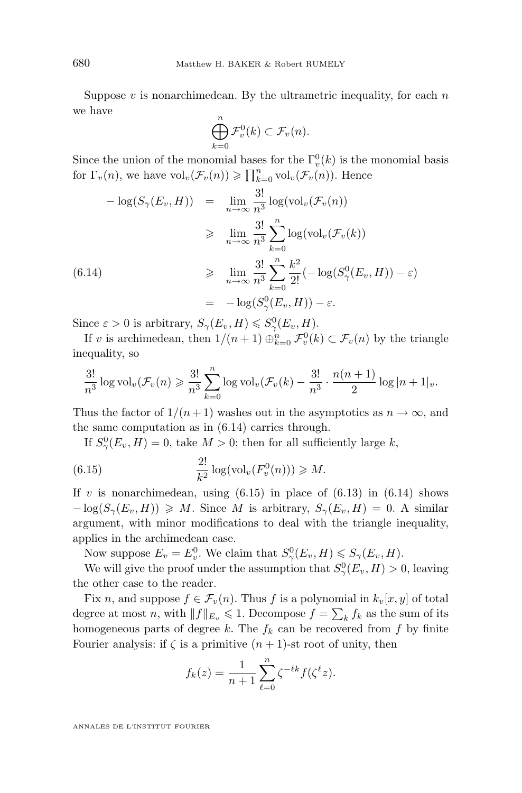Suppose  $v$  is nonarchimedean. By the ultrametric inequality, for each  $n$ we have

$$
\bigoplus_{k=0}^n \mathcal{F}_v^0(k) \subset \mathcal{F}_v(n).
$$

Since the union of the monomial bases for the  $\Gamma_v^0(k)$  is the monomial basis for  $\Gamma_v(n)$ , we have  $\text{vol}_v(\mathcal{F}_v(n)) \geqslant \prod_{k=0}^n \text{vol}_v(\mathcal{F}_v(n))$ . Hence

$$
-\log(S_{\gamma}(E_v, H)) = \lim_{n \to \infty} \frac{3!}{n^3} \log(\text{vol}_v(\mathcal{F}_v(n))
$$
  
\n
$$
\geq \lim_{n \to \infty} \frac{3!}{n^3} \sum_{k=0}^n \log(\text{vol}_v(\mathcal{F}_v(k))
$$
  
\n(6.14)  
\n
$$
\geq \lim_{n \to \infty} \frac{3!}{n^3} \sum_{k=0}^n \frac{k^2}{2!} (-\log(S_{\gamma}^0(E_v, H)) - \varepsilon)
$$
  
\n
$$
= -\log(S_{\gamma}^0(E_v, H)) - \varepsilon.
$$

Since  $\varepsilon > 0$  is arbitrary,  $S_{\gamma}(E_v, H) \leqslant S_{\gamma}(E_v, H)$ .

If v is archimedean, then  $1/(n+1) \bigoplus_{k=0}^{n} \mathcal{F}_{v}^{0}(k) \subset \mathcal{F}_{v}(n)$  by the triangle inequality, so

$$
\frac{3!}{n^3} \log \mathrm{vol}_v(\mathcal{F}_v(n) \geq \frac{3!}{n^3} \sum_{k=0}^n \log \mathrm{vol}_v(\mathcal{F}_v(k) - \frac{3!}{n^3} \cdot \frac{n(n+1)}{2} \log |n+1|_v).
$$

Thus the factor of  $1/(n+1)$  washes out in the asymptotics as  $n \to \infty$ , and the same computation as in (6.14) carries through.

If  $S^0_\gamma(E_v, H) = 0$ , take  $M > 0$ ; then for all sufficiently large k,

(6.15) 
$$
\frac{2!}{k^2}\log(\text{vol}_v(F_v^0(n))) \geq M.
$$

If v is nonarchimedean, using  $(6.15)$  in place of  $(6.13)$  in  $(6.14)$  shows  $-\log(S_{\gamma}(E_v, H)) \geq M$ . Since M is arbitrary,  $S_{\gamma}(E_v, H) = 0$ . A similar argument, with minor modifications to deal with the triangle inequality, applies in the archimedean case.

Now suppose  $E_v = E_v^0$ . We claim that  $S_\gamma^0(E_v, H) \leqslant S_\gamma(E_v, H)$ .

We will give the proof under the assumption that  $S^0_\gamma(E_v, H) > 0$ , leaving the other case to the reader.

Fix n, and suppose  $f \in \mathcal{F}_v(n)$ . Thus f is a polynomial in  $k_v[x, y]$  of total degree at most n, with  $||f||_{E_v} \leq 1$ . Decompose  $f = \sum_k f_k$  as the sum of its homogeneous parts of degree k. The  $f_k$  can be recovered from f by finite Fourier analysis: if  $\zeta$  is a primitive  $(n + 1)$ -st root of unity, then

$$
f_k(z) = \frac{1}{n+1} \sum_{\ell=0}^n \zeta^{-\ell k} f(\zeta^{\ell} z).
$$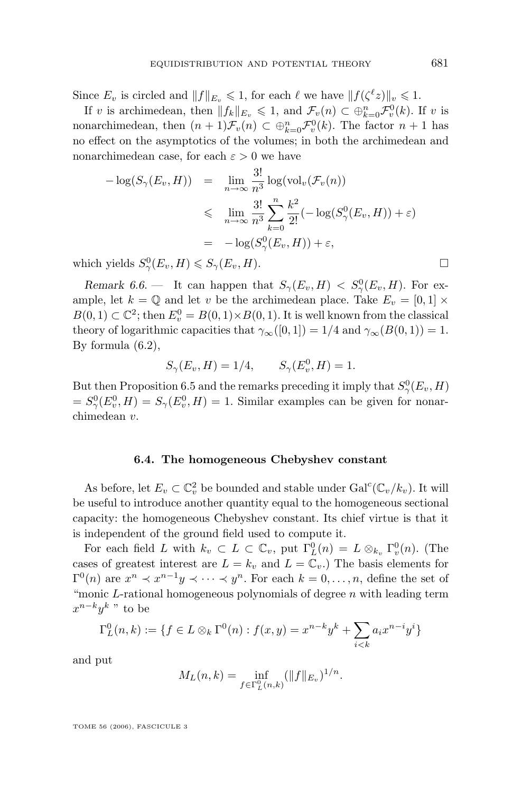Since  $E_v$  is circled and  $||f||_{E_v} \leq 1$ , for each  $\ell$  we have  $||f(\zeta^{\ell}z)||_v \leq 1$ .

If v is archimedean, then  $||f_k||_{E_v} \leq 1$ , and  $\mathcal{F}_v(n) \subset \bigoplus_{k=0}^n \mathcal{F}_v^0(k)$ . If v is nonarchimedean, then  $(n+1)\mathcal{F}_v(n) \subset \bigoplus_{k=0}^n \mathcal{F}_v^0(k)$ . The factor  $n+1$  has no effect on the asymptotics of the volumes; in both the archimedean and nonarchimedean case, for each  $\varepsilon > 0$  we have

$$
-\log(S_{\gamma}(E_v, H)) = \lim_{n \to \infty} \frac{3!}{n^3} \log(\text{vol}_v(\mathcal{F}_v(n)))
$$
  
\$\leqslant\$ 
$$
\lim_{n \to \infty} \frac{3!}{n^3} \sum_{k=0}^n \frac{k^2}{2!} (-\log(S_{\gamma}^0(E_v, H)) + \varepsilon)
$$
  
= 
$$
-\log(S_{\gamma}^0(E_v, H)) + \varepsilon,
$$

which yields  $S^0_\gamma(E_v, H) \leqslant S_\gamma(E_v, H)$ .

*Remark 6.6.* – It can happen that  $S_{\gamma}(E_v, H) < S_{\gamma}(E_v, H)$ . For example, let  $k = \mathbb{Q}$  and let v be the archimedean place. Take  $E_v = [0, 1] \times$  $B(0,1) \subset \mathbb{C}^2$ ; then  $E_v^0 = B(0,1) \times B(0,1)$ . It is well known from the classical theory of logarithmic capacities that  $\gamma_\infty([0,1]) = 1/4$  and  $\gamma_\infty(B(0,1)) = 1$ . By formula [\(6.2\)](#page-50-0),

$$
S_{\gamma}(E_v, H) = 1/4, \qquad S_{\gamma}(E_v^0, H) = 1.
$$

But then Proposition [6.5](#page-55-0) and the remarks preceding it imply that  $S^0_\gamma(E_v, H)$  $S^0_\gamma(E_v^0, H) = S_\gamma(E_v^0, H) = 1$ . Similar examples can be given for nonarchimedean v.

#### **6.4. The homogeneous Chebyshev constant**

As before, let  $E_v \subset \mathbb{C}_v^2$  be bounded and stable under  $Gal^c(\mathbb{C}_v/k_v)$ . It will be useful to introduce another quantity equal to the homogeneous sectional capacity: the homogeneous Chebyshev constant. Its chief virtue is that it is independent of the ground field used to compute it.

For each field L with  $k_v \subset L \subset \mathbb{C}_v$ , put  $\Gamma_L^0(n) = L \otimes_{k_v} \Gamma_v^0(n)$ . (The cases of greatest interest are  $L = k_v$  and  $L = \mathbb{C}_v$ . The basis elements for  $\Gamma^{0}(n)$  are  $x^{n} \prec x^{n-1}y \prec \cdots \prec y^{n}$ . For each  $k=0,\ldots,n$ , define the set of "monic  $L$ -rational homogeneous polynomials of degree  $n$  with leading term  $x^{n-k}y^k$  " to be

$$
\Gamma_L^0(n,k) := \{ f \in L \otimes_k \Gamma^0(n) : f(x,y) = x^{n-k} y^k + \sum_{i < k} a_i x^{n-i} y^i \}
$$

and put

$$
M_L(n,k) = \inf_{f \in \Gamma_L^0(n,k)} (\|f\|_{E_v})^{1/n}.
$$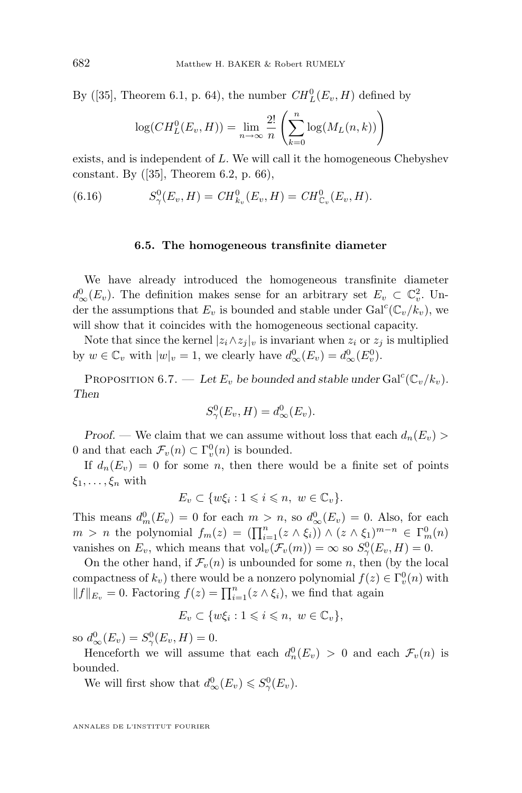By ([\[35\]](#page-64-0), Theorem 6.1, p. 64), the number  $CH_L^0(E_v, H)$  defined by

$$
\log(CH_L^0(E_v, H)) = \lim_{n \to \infty} \frac{2!}{n} \left( \sum_{k=0}^n \log(M_L(n, k)) \right)
$$

exists, and is independent of L. We will call it the homogeneous Chebyshev constant. By ([\[35\]](#page-64-0), Theorem 6.2, p. 66),

(6.16) 
$$
S_{\gamma}^{0}(E_{v}, H) = CH_{k_{v}}^{0}(E_{v}, H) = CH_{\mathbb{C}_{v}}^{0}(E_{v}, H).
$$

#### **6.5. The homogeneous transfinite diameter**

We have already introduced the homogeneous transfinite diameter  $d_{\infty}^{0}(E_{v})$ . The definition makes sense for an arbitrary set  $E_{v} \subset \mathbb{C}_{v}^{2}$ . Under the assumptions that  $E_v$  is bounded and stable under  $Gal^c(\mathbb{C}_v/k_v)$ , we will show that it coincides with the homogeneous sectional capacity.

Note that since the kernel  $|z_i \wedge z_j|_v$  is invariant when  $z_i$  or  $z_j$  is multiplied by  $w \in \mathbb{C}_v$  with  $|w|_v = 1$ , we clearly have  $d_{\infty}^0(E_v) = d_{\infty}^0(E_v^0)$ .

PROPOSITION 6.7. — Let  $E_v$  be bounded and stable under  $Gal^c(\mathbb{C}_v/k_v)$ . *Then*

$$
S^0_\gamma(E_v, H) = d^0_\infty(E_v).
$$

*Proof.* — We claim that we can assume without loss that each  $d_n(E_v)$ 0 and that each  $\mathcal{F}_v(n) \subset \Gamma_v^0(n)$  is bounded.

If  $d_n(E_v) = 0$  for some n, then there would be a finite set of points  $\xi_1,\ldots,\xi_n$  with

$$
E_v \subset \{w\xi_i : 1 \leqslant i \leqslant n, \ w \in \mathbb{C}_v\}.
$$

This means  $d_m^0(E_v) = 0$  for each  $m > n$ , so  $d_\infty^0(E_v) = 0$ . Also, for each  $m > n$  the polynomial  $f_m(z) = (\prod_{i=1}^n (z \wedge \xi_i)) \wedge (z \wedge \xi_1)^{m-n} \in \Gamma_m^0(n)$ vanishes on  $E_v$ , which means that  $\text{vol}_v(\mathcal{F}_v(m)) = \infty$  so  $S^0_\gamma(E_v, H) = 0$ .

On the other hand, if  $\mathcal{F}_v(n)$  is unbounded for some n, then (by the local compactness of  $k_v$ ) there would be a nonzero polynomial  $f(z) \in \Gamma_v^0(n)$  with  $||f||_{E_v} = 0$ . Factoring  $f(z) = \prod_{i=1}^n (z \wedge \xi_i)$ , we find that again

$$
E_v \subset \{w\xi_i : 1 \leqslant i \leqslant n, \ w \in \mathbb{C}_v\},\
$$

so  $d_{\infty}^{0}(E_{v}) = S_{\gamma}^{0}(E_{v}, H) = 0.$ 

Henceforth we will assume that each  $d_n^0(E_v) > 0$  and each  $\mathcal{F}_v(n)$  is bounded.

We will first show that  $d_{\infty}^{0}(E_v) \leq S_{\gamma}^{0}(E_v)$ .

<span id="page-58-0"></span>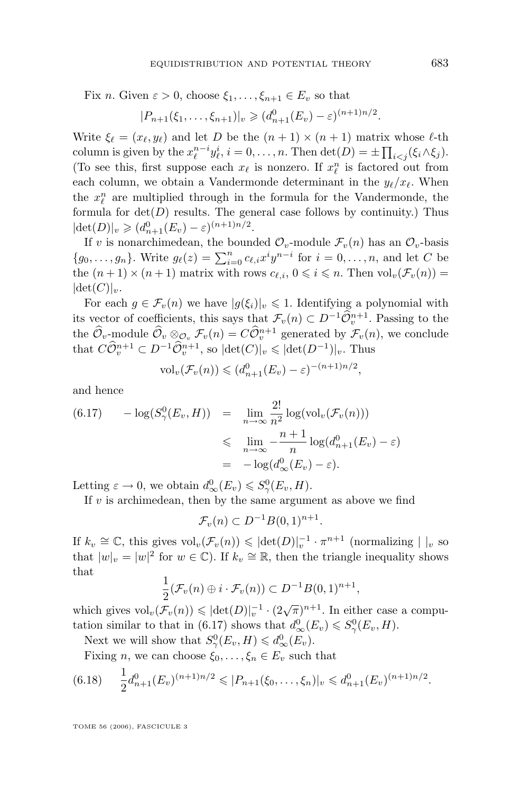<span id="page-59-0"></span>Fix n. Given  $\varepsilon > 0$ , choose  $\xi_1, \ldots, \xi_{n+1} \in E_v$  so that

$$
|P_{n+1}(\xi_1,\ldots,\xi_{n+1})|_v \geq (d_{n+1}^0(E_v)-\varepsilon)^{(n+1)n/2}.
$$

Write  $\xi_{\ell} = (x_{\ell}, y_{\ell})$  and let D be the  $(n + 1) \times (n + 1)$  matrix whose  $\ell$ -th column is given by the  $x_{\ell}^{n-i}y_{\ell}^i$ ,  $i = 0, \ldots, n$ . Then  $\det(D) = \pm \prod_{i < j} (\xi_i \wedge \xi_j)$ . (To see this, first suppose each  $x_\ell$  is nonzero. If  $x_\ell^n$  is factored out from each column, we obtain a Vandermonde determinant in the  $y_{\ell}/x_{\ell}$ . When the  $x_{\ell}^n$  are multiplied through in the formula for the Vandermonde, the formula for  $det(D)$  results. The general case follows by continuity.) Thus  $|\det(D)|_v \geq (d_{n+1}^0(E_v) - \varepsilon)^{(n+1)n/2}.$ 

If v is nonarchimedean, the bounded  $\mathcal{O}_v$ -module  $\mathcal{F}_v(n)$  has an  $\mathcal{O}_v$ -basis  $\{g_0, \ldots, g_n\}$ . Write  $g_\ell(z) = \sum_{i=0}^n c_{\ell,i} x^i y^{n-i}$  for  $i = 0, \ldots, n$ , and let C be the  $(n + 1) \times (n + 1)$  matrix with rows  $c_{\ell,i}$ ,  $0 \leq i \leq n$ . Then  $\text{vol}_v(\mathcal{F}_v(n)) =$  $|\det(C)|_v.$ 

For each  $g \in \mathcal{F}_v(n)$  we have  $|g(\xi_i)|_v \leq 1$ . Identifying a polynomial with its vector of coefficients, this says that  $\mathcal{F}_v(n) \subset D^{-1}\widehat{\mathcal{O}}_v^{n+1}$ . Passing to the the  $\hat{\mathcal{O}}_v$ -module  $\hat{\mathcal{O}}_v \otimes_{\mathcal{O}_v} \mathcal{F}_v(n) = C \hat{\mathcal{O}}_v^{n+1}$  generated by  $\mathcal{F}_v(n)$ , we conclude that  $C\widehat{\mathcal{O}}_v^{n+1} \subset D^{-1}\widehat{\mathcal{O}}_v^{n+1}$ , so  $|\text{det}(C)|_v \leqslant |\text{det}(D^{-1})|_v$ . Thus

$$
\mathrm{vol}_v(\mathcal{F}_v(n)) \leq (d_{n+1}^0(E_v) - \varepsilon)^{-(n+1)n/2},
$$

and hence

$$
(6.17) \qquad -\log(S_{\gamma}^{0}(E_{v}, H)) = \lim_{n \to \infty} \frac{2!}{n^{2}} \log(\text{vol}_{v}(\mathcal{F}_{v}(n)))
$$
  

$$
\leq \lim_{n \to \infty} -\frac{n+1}{n} \log(d_{n+1}^{0}(E_{v}) - \varepsilon)
$$
  

$$
= -\log(d_{\infty}^{0}(E_{v}) - \varepsilon).
$$

Letting  $\varepsilon \to 0$ , we obtain  $d_{\infty}^{0}(E_v) \leqslant S_{\gamma}^{0}(E_v, H)$ .

If  $v$  is archimedean, then by the same argument as above we find

 $\mathcal{F}_v(n) \subset D^{-1}B(0,1)^{n+1}.$ 

If  $k_v \cong \mathbb{C}$ , this gives  $\text{vol}_v(\mathcal{F}_v(n)) \leqslant |\text{det}(D)|_v^{-1} \cdot \pi^{n+1}$  (normalizing  $| \ |_v$  so that  $|w|_v = |w|^2$  for  $w \in \mathbb{C}$ ). If  $k_v \cong \mathbb{R}$ , then the triangle inequality shows that

$$
\frac{1}{2}(\mathcal{F}_v(n) \oplus i \cdot \mathcal{F}_v(n)) \subset D^{-1}B(0,1)^{n+1},
$$

which gives  $\text{vol}_v(\mathcal{F}_v(n)) \leqslant |\text{det}(D)|_v^{-1} \cdot (2\sqrt{\pi})^{n+1}$ . In either case a computation similar to that in (6.17) shows that  $d_{\infty}^{0}(E_v) \leqslant S_{\gamma}^{0}(E_v, H)$ .

Next we will show that  $S^0_\gamma(E_v, H) \leq d^0_\infty(E_v)$ .

Fixing *n*, we can choose  $\xi_0, \ldots, \xi_n \in E_v$  such that

$$
(6.18) \quad \frac{1}{2}d_{n+1}^0(E_v)^{(n+1)n/2} \leqslant |P_{n+1}(\xi_0,\ldots,\xi_n)|_v \leqslant d_{n+1}^0(E_v)^{(n+1)n/2}.
$$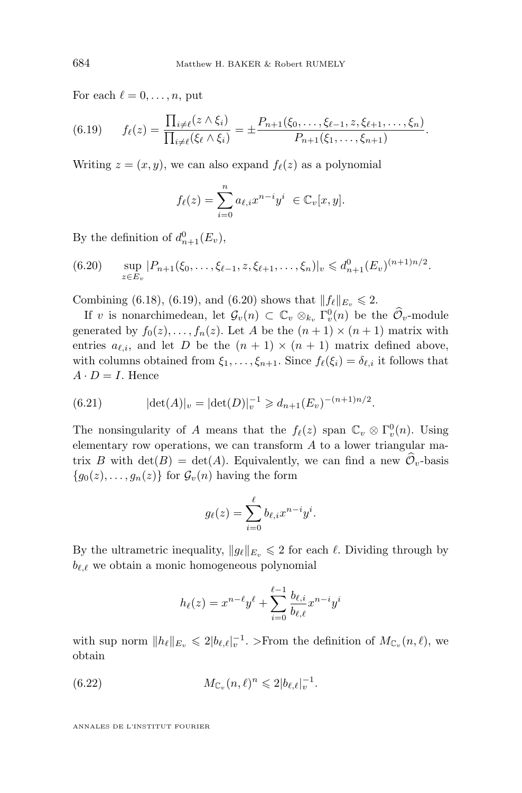For each  $\ell = 0, \ldots, n$ , put

$$
(6.19) \t f_{\ell}(z) = \frac{\prod_{i \neq \ell} (z \wedge \xi_i)}{\prod_{i \neq \ell} (\xi_{\ell} \wedge \xi_i)} = \pm \frac{P_{n+1}(\xi_0, \ldots, \xi_{\ell-1}, z, \xi_{\ell+1}, \ldots, \xi_n)}{P_{n+1}(\xi_1, \ldots, \xi_{n+1})}.
$$

Writing  $z = (x, y)$ , we can also expand  $f_{\ell}(z)$  as a polynomial

$$
f_{\ell}(z) = \sum_{i=0}^{n} a_{\ell,i} x^{n-i} y^i \in \mathbb{C}_v[x, y].
$$

By the definition of  $d_{n+1}^0(E_v)$ ,

$$
(6.20) \quad \sup_{z \in E_v} |P_{n+1}(\xi_0,\ldots,\xi_{\ell-1},z,\xi_{\ell+1},\ldots,\xi_n)|_v \leq d_{n+1}^0(E_v)^{(n+1)n/2}.
$$

Combining [\(6.18\)](#page-59-0), (6.19), and (6.20) shows that  $|| f_{\ell} ||_{E_v} \le 2$ .

If v is nonarchimedean, let  $\mathcal{G}_v(n) \subset \mathbb{C}_v \otimes_{k_v} \Gamma_v^0(n)$  be the  $\widehat{\mathcal{O}}_v$ -module generated by  $f_0(z), \ldots, f_n(z)$ . Let A be the  $(n + 1) \times (n + 1)$  matrix with entries  $a_{\ell,i}$ , and let D be the  $(n + 1) \times (n + 1)$  matrix defined above, with columns obtained from  $\xi_1, \ldots, \xi_{n+1}$ . Since  $f_\ell(\xi_i) = \delta_{\ell,i}$  it follows that  $A \cdot D = I$ . Hence

(6.21) 
$$
|\det(A)|_v = |\det(D)|_v^{-1} \geq d_{n+1}(E_v)^{-(n+1)n/2}.
$$

The nonsingularity of A means that the  $f_{\ell}(z)$  span  $\mathbb{C}_v \otimes \Gamma_v^0(n)$ . Using elementary row operations, we can transform  $A$  to a lower triangular matrix B with  $\det(B) = \det(A)$ . Equivalently, we can find a new  $\mathcal{O}_v$ -basis  ${g_0(z), \ldots, g_n(z)}$  for  $\mathcal{G}_v(n)$  having the form

$$
g_{\ell}(z) = \sum_{i=0}^{\ell} b_{\ell,i} x^{n-i} y^{i}.
$$

By the ultrametric inequality,  $||g_{\ell}||_{E_v} \leq 2$  for each  $\ell$ . Dividing through by  $b_{\ell,\ell}$  we obtain a monic homogeneous polynomial

$$
h_{\ell}(z) = x^{n-\ell}y^{\ell} + \sum_{i=0}^{\ell-1} \frac{b_{\ell,i}}{b_{\ell,\ell}} x^{n-i}y^i
$$

with sup norm  $||h_\ell||_{E_v} \leq 2|b_{\ell,\ell}|_v^{-1}$ . >From the definition of  $M_{\mathbb{C}_v}(n,\ell)$ , we obtain

(6.22) 
$$
M_{\mathbb{C}_v}(n,\ell)^n \leq 2|b_{\ell,\ell}|_v^{-1}.
$$

<span id="page-60-0"></span>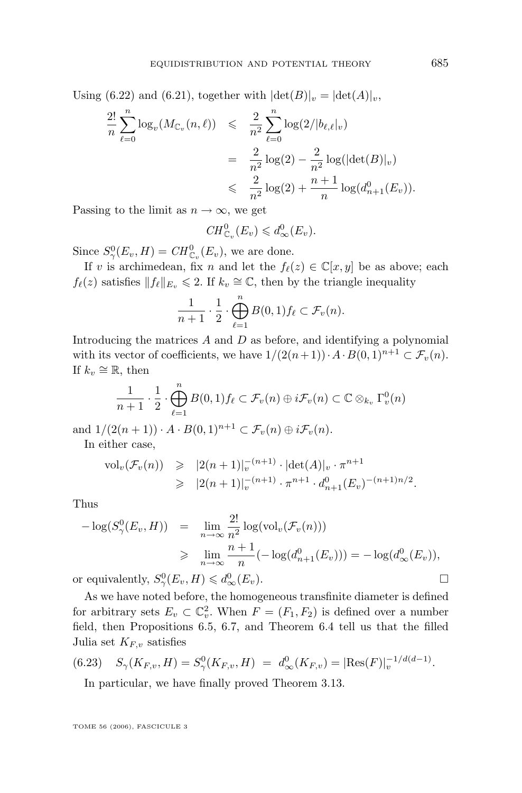<span id="page-61-0"></span>Using [\(6.22\)](#page-60-0) and [\(6.21\)](#page-60-0), together with  $|\text{det}(B)|_v = |\text{det}(A)|_v$ ,

$$
\frac{2!}{n} \sum_{\ell=0}^{n} \log_v(M_{\mathbb{C}_v}(n,\ell)) \leq \frac{2}{n^2} \sum_{\ell=0}^{n} \log(2/|b_{\ell,\ell}|_v)
$$
  
= 
$$
\frac{2}{n^2} \log(2) - \frac{2}{n^2} \log(|\det(B)|_v)
$$
  

$$
\leq \frac{2}{n^2} \log(2) + \frac{n+1}{n} \log(d_{n+1}^0(E_v)).
$$

Passing to the limit as  $n \to \infty$ , we get

$$
CH_{\mathbb{C}_v}^0(E_v) \leq d_{\infty}^0(E_v).
$$

Since  $S^0_\gamma(E_v, H) = CH^0_{\mathbb{C}_v}(E_v)$ , we are done.

If v is archimedean, fix n and let the  $f_{\ell}(z) \in \mathbb{C}[x, y]$  be as above; each  $f_{\ell}(z)$  satisfies  $|| f_{\ell} ||_{E_v} \leq 2$ . If  $k_v \cong \mathbb{C}$ , then by the triangle inequality

$$
\frac{1}{n+1} \cdot \frac{1}{2} \cdot \bigoplus_{\ell=1}^{n} B(0,1) f_{\ell} \subset \mathcal{F}_{v}(n).
$$

Introducing the matrices A and D as before, and identifying a polynomial with its vector of coefficients, we have  $1/(2(n+1)) \cdot A \cdot B(0, 1)^{n+1} \subset \mathcal{F}_v(n)$ . If  $k_v \cong \mathbb{R}$ , then

$$
\frac{1}{n+1} \cdot \frac{1}{2} \cdot \bigoplus_{\ell=1}^{n} B(0,1) f_{\ell} \subset \mathcal{F}_{v}(n) \oplus i \mathcal{F}_{v}(n) \subset \mathbb{C} \otimes_{k_{v}} \Gamma_{v}^{0}(n)
$$

and  $1/(2(n+1)) \cdot A \cdot B(0,1)^{n+1} \subset \mathcal{F}_v(n) \oplus i\mathcal{F}_v(n)$ . In either case,

$$
\text{vol}_{v}(\mathcal{F}_{v}(n)) \geqslant |2(n+1)|_{v}^{-(n+1)} \cdot |\text{det}(A)|_{v} \cdot \pi^{n+1}
$$
  

$$
\geqslant |2(n+1)|_{v}^{-(n+1)} \cdot \pi^{n+1} \cdot d_{n+1}^{0}(E_{v})^{-(n+1)n/2}.
$$

Thus

$$
-\log(S_{\gamma}^{0}(E_{v}, H)) = \lim_{n \to \infty} \frac{2!}{n^{2}} \log(\text{vol}_{v}(\mathcal{F}_{v}(n)))
$$
  
\n
$$
\geq \lim_{n \to \infty} \frac{n+1}{n} (-\log(d_{n+1}^{0}(E_{v}))) = -\log(d_{\infty}^{0}(E_{v})),
$$

or equivalently,  $S^0_\gamma(E_v, H) \leq d^0_\infty(E_v)$ .

As we have noted before, the homogeneous transfinite diameter is defined for arbitrary sets  $E_v \subset \mathbb{C}_v^2$ . When  $F = (F_1, F_2)$  is defined over a number field, then Propositions [6.5,](#page-55-0) [6.7,](#page-58-0) and Theorem [6.4](#page-54-0) tell us that the filled Julia set  $K_{F,v}$  satisfies

(6.23) 
$$
S_{\gamma}(K_{F,v}, H) = S_{\gamma}^{0}(K_{F,v}, H) = d_{\infty}^{0}(K_{F,v}) = |\text{Res}(F)|_{v}^{-1/d(d-1)}.
$$

In particular, we have finally proved Theorem [3.13.](#page-15-0)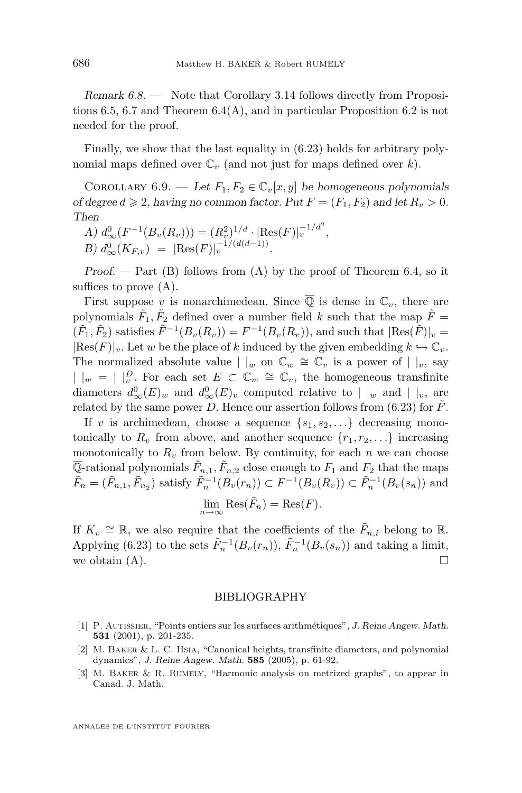<span id="page-62-0"></span>*Remark 6.8.* — Note that Corollary [3.14](#page-15-0) follows directly from Propositions [6.5,](#page-55-0) [6.7](#page-58-0) and Theorem [6.4\(](#page-54-0)A), and in particular Proposition [6.2](#page-50-0) is not needed for the proof.

Finally, we show that the last equality in [\(6.23\)](#page-61-0) holds for arbitrary polynomial maps defined over  $\mathbb{C}_v$  (and not just for maps defined over k).

COROLLARY 6.9. — Let  $F_1, F_2 \in \mathbb{C}_v[x, y]$  be homogeneous polynomials *of degree*  $d \ge 2$ , having no common factor. Put  $F = (F_1, F_2)$  and let  $R_v > 0$ . *Then*

*A*)  $d_{\infty}^{0}(F^{-1}(B_v(R_v))) = (R_v^2)^{1/d} \cdot |\text{Res}(F)|_v^{-1/d^2},$ *B*)  $d_{\infty}^{0}(K_{F,v}) = |\text{Res}(F)|_{v}^{-1/(d(d-1))}$ .

*Proof. —* Part (B) follows from (A) by the proof of Theorem [6.4,](#page-54-0) so it suffices to prove (A).

First suppose v is nonarchimedean. Since  $\overline{Q}$  is dense in  $\mathbb{C}_v$ , there are polynomials  $\tilde{F}_1, \tilde{F}_2$  defined over a number field k such that the map  $\tilde{F} =$  $(\tilde{F}_1, \tilde{F}_2)$  satisfies  $\tilde{F}^{-1}(B_v(R_v)) = F^{-1}(B_v(R_v))$ , and such that  $|\text{Res}(\tilde{F})|_v =$  $|\text{Res}(F)|_v$ . Let w be the place of k induced by the given embedding  $k \hookrightarrow \mathbb{C}_v$ . The normalized absolute value  $| \nvert_w$  on  $\mathbb{C}_w \cong \mathbb{C}_v$  is a power of  $| \nvert_v$ , say  $| \ |_{w} = | \ |_{v}^{D}$ . For each set  $E \subset \mathbb{C}_{w} \cong \mathbb{C}_{v}$ , the homogeneous transfinite diameters  $d_{\infty}^{0}(E)_{w}$  and  $d_{\infty}^{0}(E)_{v}$  computed relative to  $|_{w}$  and  $|_{v}$ , are related by the same power D. Hence our assertion follows from  $(6.23)$  for F.

If v is archimedean, choose a sequence  $\{s_1, s_2, \ldots\}$  decreasing monotonically to  $R_v$  from above, and another sequence  $\{r_1, r_2, \ldots\}$  increasing monotonically to  $R_v$  from below. By continuity, for each n we can choose  $\overline{\mathbb{Q}}$ -rational polynomials  $\tilde{F}_{n,1}, \tilde{F}_{n,2}$  close enough to  $F_1$  and  $F_2$  that the maps  $\tilde{F}_n = (\tilde{F}_{n,1}, \tilde{F}_{n_2})$  satisfy  $\tilde{F}_n^{-1}(B_v(r_n)) \subset F^{-1}(B_v(R_v)) \subset \tilde{F}_n^{-1}(B_v(s_n))$  and

$$
\lim_{n \to \infty} \text{Res}(\tilde{F}_n) = \text{Res}(F).
$$

If  $K_v \cong \mathbb{R}$ , we also require that the coefficients of the  $\tilde{F}_{n,i}$  belong to  $\mathbb{R}$ . Applying [\(6.23\)](#page-61-0) to the sets  $\tilde{F}_n^{-1}(B_v(r_n)), \tilde{F}_n^{-1}(B_v(s_n))$  and taking a limit, we obtain  $(A)$ .

#### BIBLIOGRAPHY

- [1] P. Autissier, "Points entiers sur les surfaces arithmétiques", *J. Reine Angew. Math.* **531** (2001), p. 201-235.
- [2] M. BAKER & L. C. HSIA, "Canonical heights, transfinite diameters, and polynomial dynamics", *J. Reine Angew. Math.* **585** (2005), p. 61-92.
- [3] M. Baker & R. Rumely, "Harmonic analysis on metrized graphs", to appear in Canad. J. Math.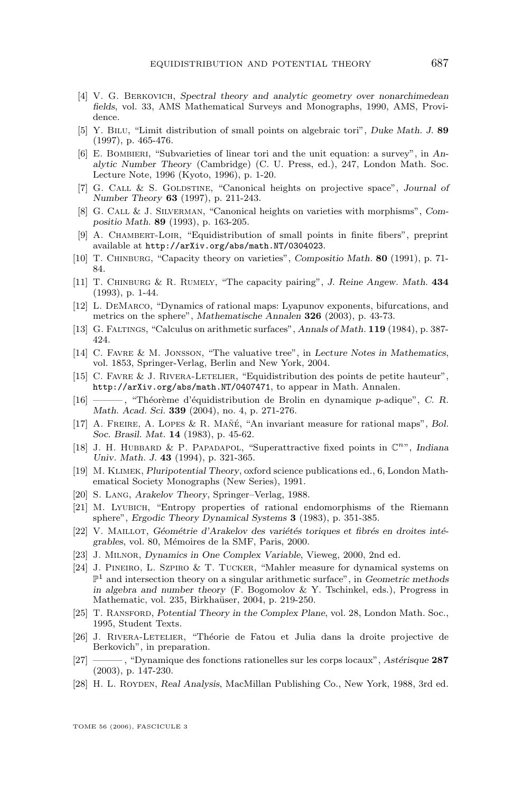- <span id="page-63-0"></span>[4] V. G. Berkovich, *Spectral theory and analytic geometry over nonarchimedean fields*, vol. 33, AMS Mathematical Surveys and Monographs, 1990, AMS, Providence.
- [5] Y. Bilu, "Limit distribution of small points on algebraic tori", *Duke Math. J.* **89** (1997), p. 465-476.
- [6] E. Bombieri, "Subvarieties of linear tori and the unit equation: a survey", in *Analytic Number Theory* (Cambridge) (C. U. Press, ed.), 247, London Math. Soc. Lecture Note, 1996 (Kyoto, 1996), p. 1-20.
- [7] G. Call & S. Goldstine, "Canonical heights on projective space", *Journal of Number Theory* **63** (1997), p. 211-243.
- [8] G. Call & J. Silverman, "Canonical heights on varieties with morphisms", *Compositio Math.* **89** (1993), p. 163-205.
- [9] A. CHAMBERT-LOIR, "Equidistribution of small points in finite fibers", preprint available at <http://arXiv.org/abs/math.NT/0304023>.
- [10] T. Chinburg, "Capacity theory on varieties", *Compositio Math.* **80** (1991), p. 71- 84.
- [11] T. Chinburg & R. Rumely, "The capacity pairing", *J. Reine Angew. Math.* **434** (1993), p. 1-44.
- [12] L. DeMarco, "Dynamics of rational maps: Lyapunov exponents, bifurcations, and metrics on the sphere", *Mathematische Annalen* **326** (2003), p. 43-73.
- [13] G. Faltings, "Calculus on arithmetic surfaces", *Annals of Math.* **119** (1984), p. 387- 424.
- [14] C. Favre & M. Jonsson, "The valuative tree", in *Lecture Notes in Mathematics*, vol. 1853, Springer-Verlag, Berlin and New York, 2004.
- [15] C. Favre & J. Rivera-Letelier, "Equidistribution des points de petite hauteur", <http://arXiv.org/abs/math.NT/0407471>, to appear in Math. Annalen.
- [16] ——— , "Théorème d'équidistribution de Brolin en dynamique p-adique", *C. R. Math. Acad. Sci.* **339** (2004), no. 4, p. 271-276.
- [17] A. Freire, A. Lopes & R. Mañé, "An invariant measure for rational maps", *Bol. Soc. Brasil. Mat.* **14** (1983), p. 45-62.
- [18] J. H. HUBBARD & P. PAPADAPOL, "Superattractive fixed points in  $\mathbb{C}^{n}$ ", *Indiana Univ. Math. J.* **43** (1994), p. 321-365.
- [19] M. Klimek, *Pluripotential Theory*, oxford science publications ed., 6, London Mathematical Society Monographs (New Series), 1991.
- [20] S. Lang, *Arakelov Theory*, Springer–Verlag, 1988.
- [21] M. Lyubich, "Entropy properties of rational endomorphisms of the Riemann sphere", *Ergodic Theory Dynamical Systems* **3** (1983), p. 351-385.
- [22] V. Maillot, *Géométrie d'Arakelov des variétés toriques et fibrés en droites intégrables*, vol. 80, Mémoires de la SMF, Paris, 2000.
- [23] J. Milnor, *Dynamics in One Complex Variable*, Vieweg, 2000, 2nd ed.
- [24] J. Pineiro, L. Szpiro & T. Tucker, "Mahler measure for dynamical systems on P <sup>1</sup> and intersection theory on a singular arithmetic surface", in *Geometric methods in algebra and number theory* (F. Bogomolov & Y. Tschinkel, eds.), Progress in Mathematic, vol. 235, Birkhaüser, 2004, p. 219-250.
- [25] T. Ransford, *Potential Theory in the Complex Plane*, vol. 28, London Math. Soc., 1995, Student Texts.
- [26] J. Rivera-Letelier, "Théorie de Fatou et Julia dans la droite projective de Berkovich", in preparation.
- [27] ——— , "Dynamique des fonctions rationelles sur les corps locaux", *Astérisque* **287** (2003), p. 147-230.
- [28] H. L. Royden, *Real Analysis*, MacMillan Publishing Co., New York, 1988, 3rd ed.